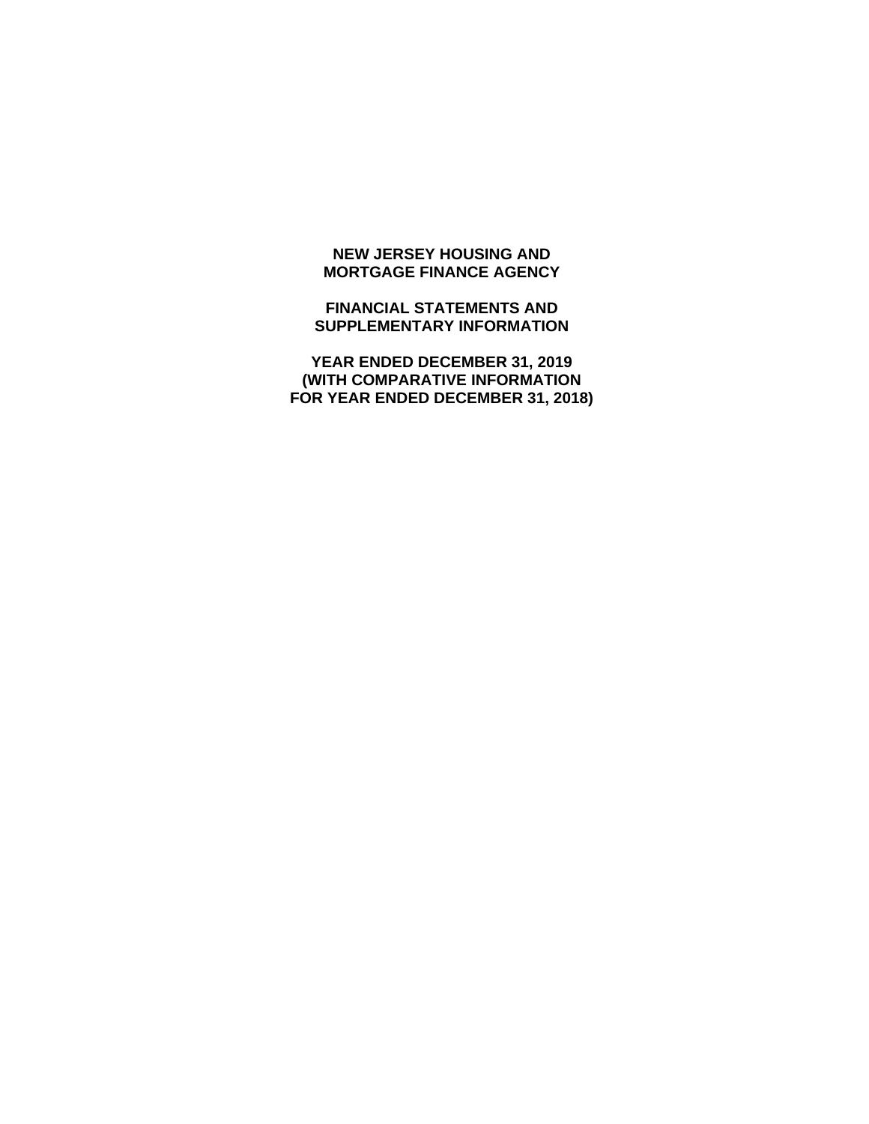# **NEW JERSEY HOUSING AND MORTGAGE FINANCE AGENCY**

**FINANCIAL STATEMENTS AND SUPPLEMENTARY INFORMATION** 

**YEAR ENDED DECEMBER 31, 2019 (WITH COMPARATIVE INFORMATION FOR YEAR ENDED DECEMBER 31, 2018)**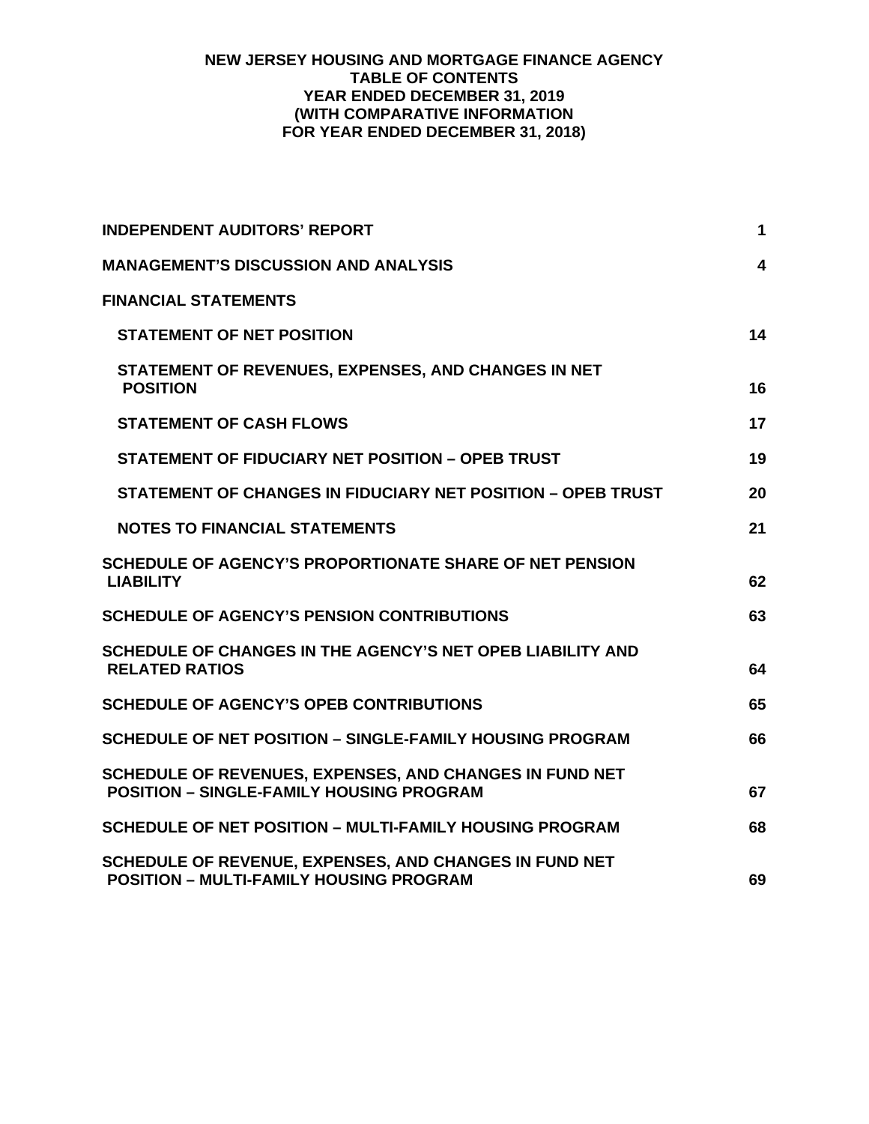### **NEW JERSEY HOUSING AND MORTGAGE FINANCE AGENCY TABLE OF CONTENTS YEAR ENDED DECEMBER 31, 2019 (WITH COMPARATIVE INFORMATION FOR YEAR ENDED DECEMBER 31, 2018)**

| <b>INDEPENDENT AUDITORS' REPORT</b>                                                                        | $\mathbf 1$             |
|------------------------------------------------------------------------------------------------------------|-------------------------|
| <b>MANAGEMENT'S DISCUSSION AND ANALYSIS</b>                                                                | $\overline{\mathbf{4}}$ |
| <b>FINANCIAL STATEMENTS</b>                                                                                |                         |
| <b>STATEMENT OF NET POSITION</b>                                                                           | 14                      |
| STATEMENT OF REVENUES, EXPENSES, AND CHANGES IN NET<br><b>POSITION</b>                                     | 16                      |
| <b>STATEMENT OF CASH FLOWS</b>                                                                             | 17                      |
| STATEMENT OF FIDUCIARY NET POSITION - OPEB TRUST                                                           | 19                      |
| STATEMENT OF CHANGES IN FIDUCIARY NET POSITION - OPEB TRUST                                                | 20                      |
| <b>NOTES TO FINANCIAL STATEMENTS</b>                                                                       | 21                      |
| SCHEDULE OF AGENCY'S PROPORTIONATE SHARE OF NET PENSION<br><b>LIABILITY</b>                                | 62                      |
| <b>SCHEDULE OF AGENCY'S PENSION CONTRIBUTIONS</b>                                                          | 63                      |
| SCHEDULE OF CHANGES IN THE AGENCY'S NET OPEB LIABILITY AND<br><b>RELATED RATIOS</b>                        | 64                      |
| <b>SCHEDULE OF AGENCY'S OPEB CONTRIBUTIONS</b>                                                             | 65                      |
| SCHEDULE OF NET POSITION - SINGLE-FAMILY HOUSING PROGRAM                                                   | 66                      |
| SCHEDULE OF REVENUES, EXPENSES, AND CHANGES IN FUND NET<br><b>POSITION - SINGLE-FAMILY HOUSING PROGRAM</b> | 67                      |
| SCHEDULE OF NET POSITION - MULTI-FAMILY HOUSING PROGRAM                                                    | 68                      |
| SCHEDULE OF REVENUE, EXPENSES, AND CHANGES IN FUND NET<br><b>POSITION - MULTI-FAMILY HOUSING PROGRAM</b>   | 69                      |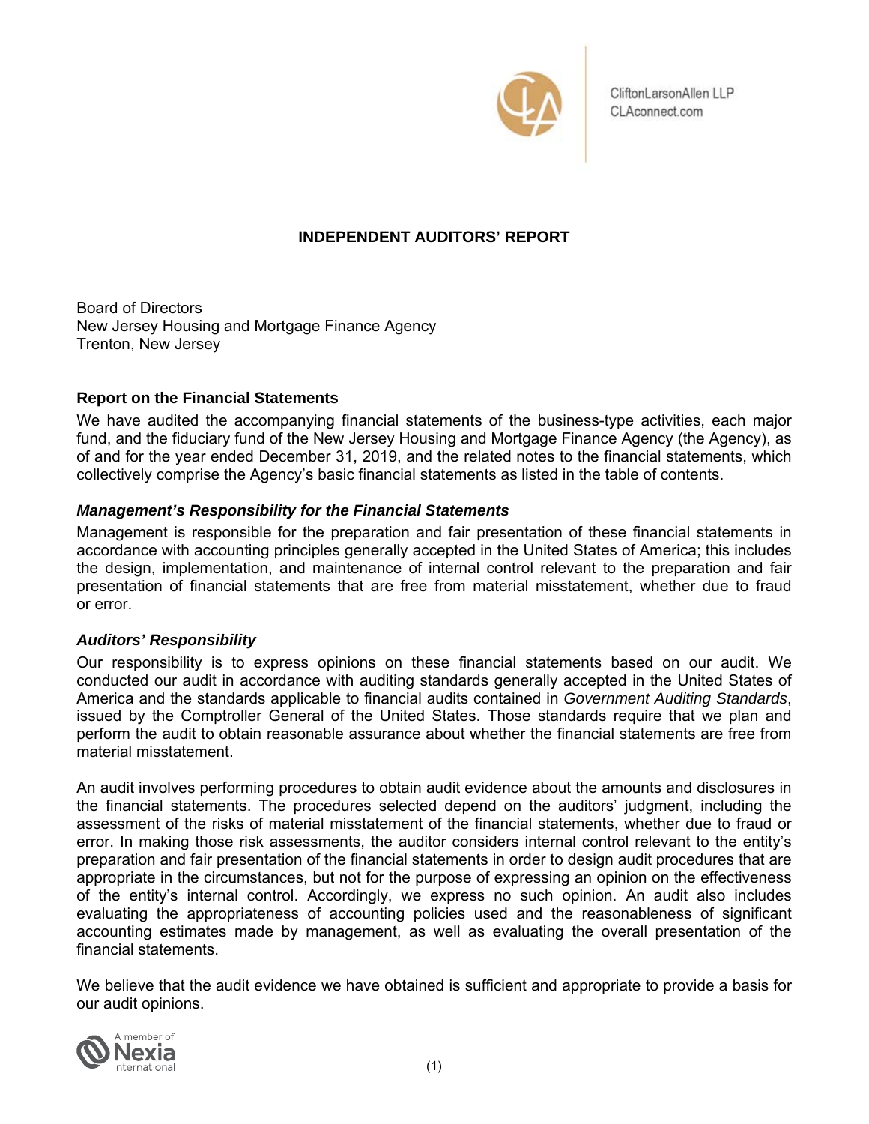

CliftonLarsonAllen LLP CLAconnect.com

# **INDEPENDENT AUDITORS' REPORT**

Board of Directors New Jersey Housing and Mortgage Finance Agency Trenton, New Jersey

# **Report on the Financial Statements**

We have audited the accompanying financial statements of the business-type activities, each major fund, and the fiduciary fund of the New Jersey Housing and Mortgage Finance Agency (the Agency), as of and for the year ended December 31, 2019, and the related notes to the financial statements, which collectively comprise the Agency's basic financial statements as listed in the table of contents.

# *Management's Responsibility for the Financial Statements*

Management is responsible for the preparation and fair presentation of these financial statements in accordance with accounting principles generally accepted in the United States of America; this includes the design, implementation, and maintenance of internal control relevant to the preparation and fair presentation of financial statements that are free from material misstatement, whether due to fraud or error.

# *Auditors' Responsibility*

Our responsibility is to express opinions on these financial statements based on our audit. We conducted our audit in accordance with auditing standards generally accepted in the United States of America and the standards applicable to financial audits contained in *Government Auditing Standards*, issued by the Comptroller General of the United States. Those standards require that we plan and perform the audit to obtain reasonable assurance about whether the financial statements are free from material misstatement.

An audit involves performing procedures to obtain audit evidence about the amounts and disclosures in the financial statements. The procedures selected depend on the auditors' judgment, including the assessment of the risks of material misstatement of the financial statements, whether due to fraud or error. In making those risk assessments, the auditor considers internal control relevant to the entity's preparation and fair presentation of the financial statements in order to design audit procedures that are appropriate in the circumstances, but not for the purpose of expressing an opinion on the effectiveness of the entity's internal control. Accordingly, we express no such opinion. An audit also includes evaluating the appropriateness of accounting policies used and the reasonableness of significant accounting estimates made by management, as well as evaluating the overall presentation of the financial statements.

We believe that the audit evidence we have obtained is sufficient and appropriate to provide a basis for our audit opinions.

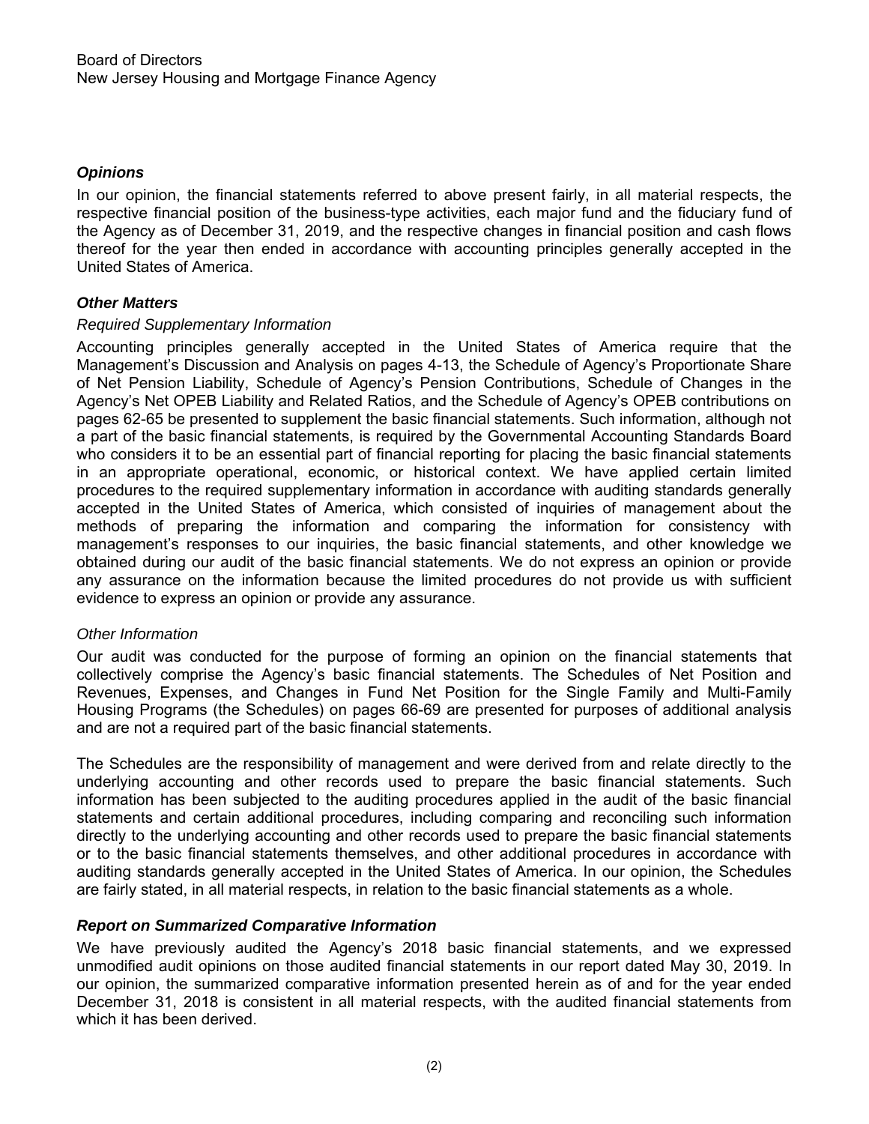# *Opinions*

In our opinion, the financial statements referred to above present fairly, in all material respects, the respective financial position of the business-type activities, each major fund and the fiduciary fund of the Agency as of December 31, 2019, and the respective changes in financial position and cash flows thereof for the year then ended in accordance with accounting principles generally accepted in the United States of America.

# *Other Matters*

### *Required Supplementary Information*

Accounting principles generally accepted in the United States of America require that the Management's Discussion and Analysis on pages 4-13, the Schedule of Agency's Proportionate Share of Net Pension Liability, Schedule of Agency's Pension Contributions, Schedule of Changes in the Agency's Net OPEB Liability and Related Ratios, and the Schedule of Agency's OPEB contributions on pages 62-65 be presented to supplement the basic financial statements. Such information, although not a part of the basic financial statements, is required by the Governmental Accounting Standards Board who considers it to be an essential part of financial reporting for placing the basic financial statements in an appropriate operational, economic, or historical context. We have applied certain limited procedures to the required supplementary information in accordance with auditing standards generally accepted in the United States of America, which consisted of inquiries of management about the methods of preparing the information and comparing the information for consistency with management's responses to our inquiries, the basic financial statements, and other knowledge we obtained during our audit of the basic financial statements. We do not express an opinion or provide any assurance on the information because the limited procedures do not provide us with sufficient evidence to express an opinion or provide any assurance.

# *Other Information*

Our audit was conducted for the purpose of forming an opinion on the financial statements that collectively comprise the Agency's basic financial statements. The Schedules of Net Position and Revenues, Expenses, and Changes in Fund Net Position for the Single Family and Multi-Family Housing Programs (the Schedules) on pages 66-69 are presented for purposes of additional analysis and are not a required part of the basic financial statements.

The Schedules are the responsibility of management and were derived from and relate directly to the underlying accounting and other records used to prepare the basic financial statements. Such information has been subjected to the auditing procedures applied in the audit of the basic financial statements and certain additional procedures, including comparing and reconciling such information directly to the underlying accounting and other records used to prepare the basic financial statements or to the basic financial statements themselves, and other additional procedures in accordance with auditing standards generally accepted in the United States of America. In our opinion, the Schedules are fairly stated, in all material respects, in relation to the basic financial statements as a whole.

# *Report on Summarized Comparative Information*

We have previously audited the Agency's 2018 basic financial statements, and we expressed unmodified audit opinions on those audited financial statements in our report dated May 30, 2019. In our opinion, the summarized comparative information presented herein as of and for the year ended December 31, 2018 is consistent in all material respects, with the audited financial statements from which it has been derived.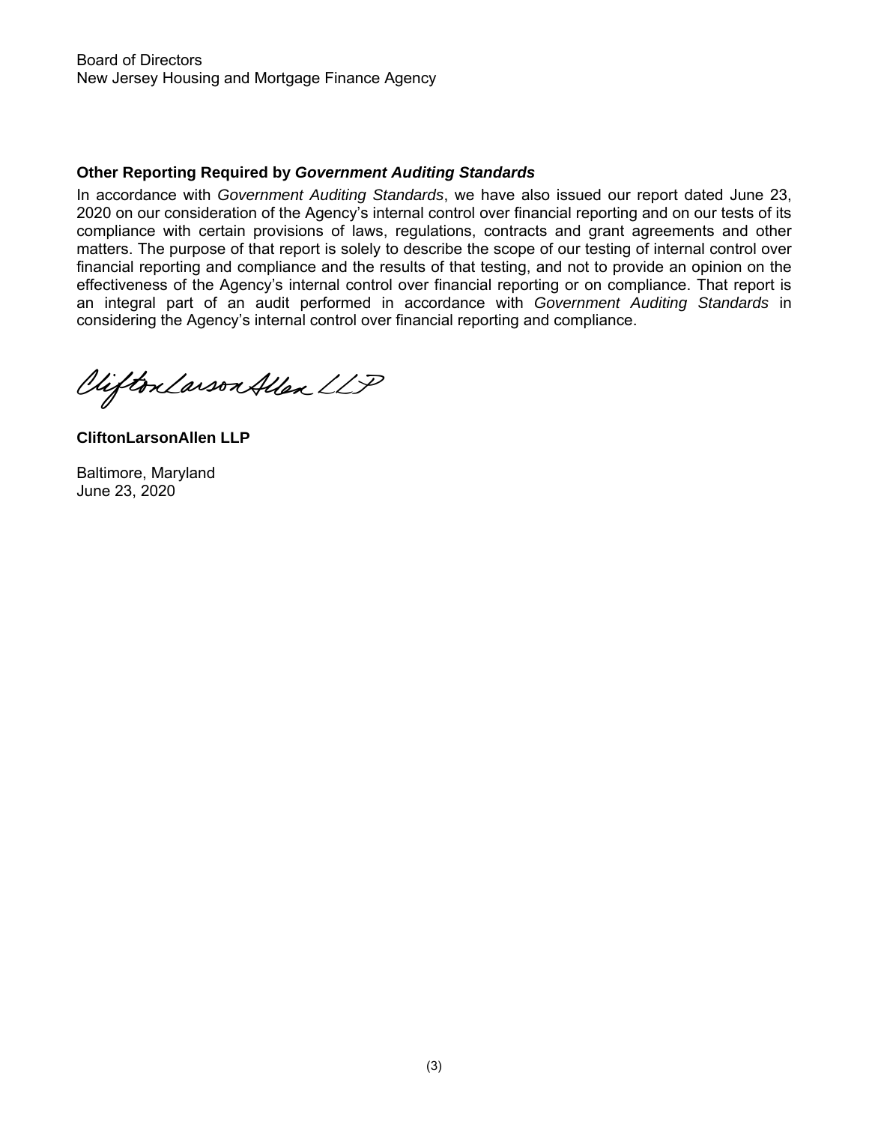# **Other Reporting Required by** *Government Auditing Standards*

In accordance with *Government Auditing Standards*, we have also issued our report dated June 23, 2020 on our consideration of the Agency's internal control over financial reporting and on our tests of its compliance with certain provisions of laws, regulations, contracts and grant agreements and other matters. The purpose of that report is solely to describe the scope of our testing of internal control over financial reporting and compliance and the results of that testing, and not to provide an opinion on the effectiveness of the Agency's internal control over financial reporting or on compliance. That report is an integral part of an audit performed in accordance with *Government Auditing Standards* in considering the Agency's internal control over financial reporting and compliance.

Vifton Larson Allen LLP

**CliftonLarsonAllen LLP** 

Baltimore, Maryland June 23, 2020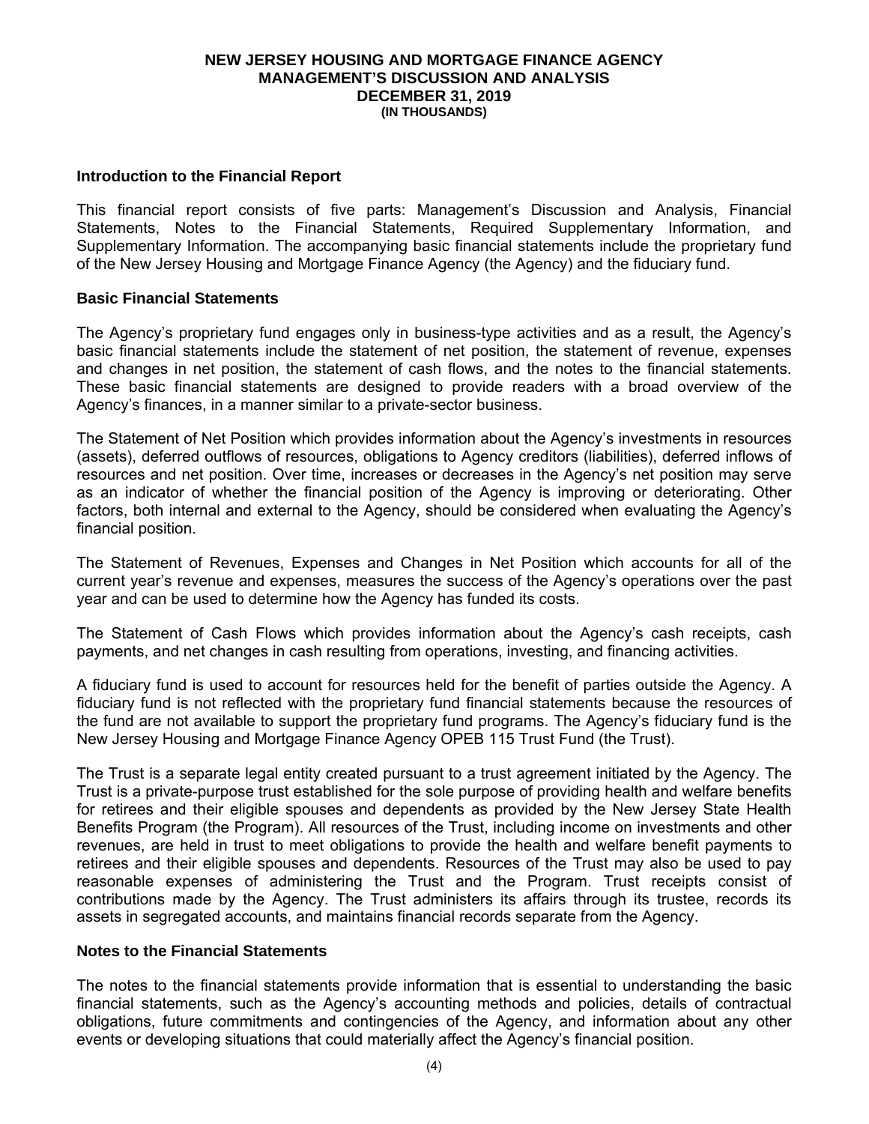### **Introduction to the Financial Report**

This financial report consists of five parts: Management's Discussion and Analysis, Financial Statements, Notes to the Financial Statements, Required Supplementary Information, and Supplementary Information. The accompanying basic financial statements include the proprietary fund of the New Jersey Housing and Mortgage Finance Agency (the Agency) and the fiduciary fund.

#### **Basic Financial Statements**

The Agency's proprietary fund engages only in business-type activities and as a result, the Agency's basic financial statements include the statement of net position, the statement of revenue, expenses and changes in net position, the statement of cash flows, and the notes to the financial statements. These basic financial statements are designed to provide readers with a broad overview of the Agency's finances, in a manner similar to a private-sector business.

The Statement of Net Position which provides information about the Agency's investments in resources (assets), deferred outflows of resources, obligations to Agency creditors (liabilities), deferred inflows of resources and net position. Over time, increases or decreases in the Agency's net position may serve as an indicator of whether the financial position of the Agency is improving or deteriorating. Other factors, both internal and external to the Agency, should be considered when evaluating the Agency's financial position.

The Statement of Revenues, Expenses and Changes in Net Position which accounts for all of the current year's revenue and expenses, measures the success of the Agency's operations over the past year and can be used to determine how the Agency has funded its costs.

The Statement of Cash Flows which provides information about the Agency's cash receipts, cash payments, and net changes in cash resulting from operations, investing, and financing activities.

A fiduciary fund is used to account for resources held for the benefit of parties outside the Agency. A fiduciary fund is not reflected with the proprietary fund financial statements because the resources of the fund are not available to support the proprietary fund programs. The Agency's fiduciary fund is the New Jersey Housing and Mortgage Finance Agency OPEB 115 Trust Fund (the Trust).

The Trust is a separate legal entity created pursuant to a trust agreement initiated by the Agency. The Trust is a private-purpose trust established for the sole purpose of providing health and welfare benefits for retirees and their eligible spouses and dependents as provided by the New Jersey State Health Benefits Program (the Program). All resources of the Trust, including income on investments and other revenues, are held in trust to meet obligations to provide the health and welfare benefit payments to retirees and their eligible spouses and dependents. Resources of the Trust may also be used to pay reasonable expenses of administering the Trust and the Program. Trust receipts consist of contributions made by the Agency. The Trust administers its affairs through its trustee, records its assets in segregated accounts, and maintains financial records separate from the Agency.

### **Notes to the Financial Statements**

The notes to the financial statements provide information that is essential to understanding the basic financial statements, such as the Agency's accounting methods and policies, details of contractual obligations, future commitments and contingencies of the Agency, and information about any other events or developing situations that could materially affect the Agency's financial position.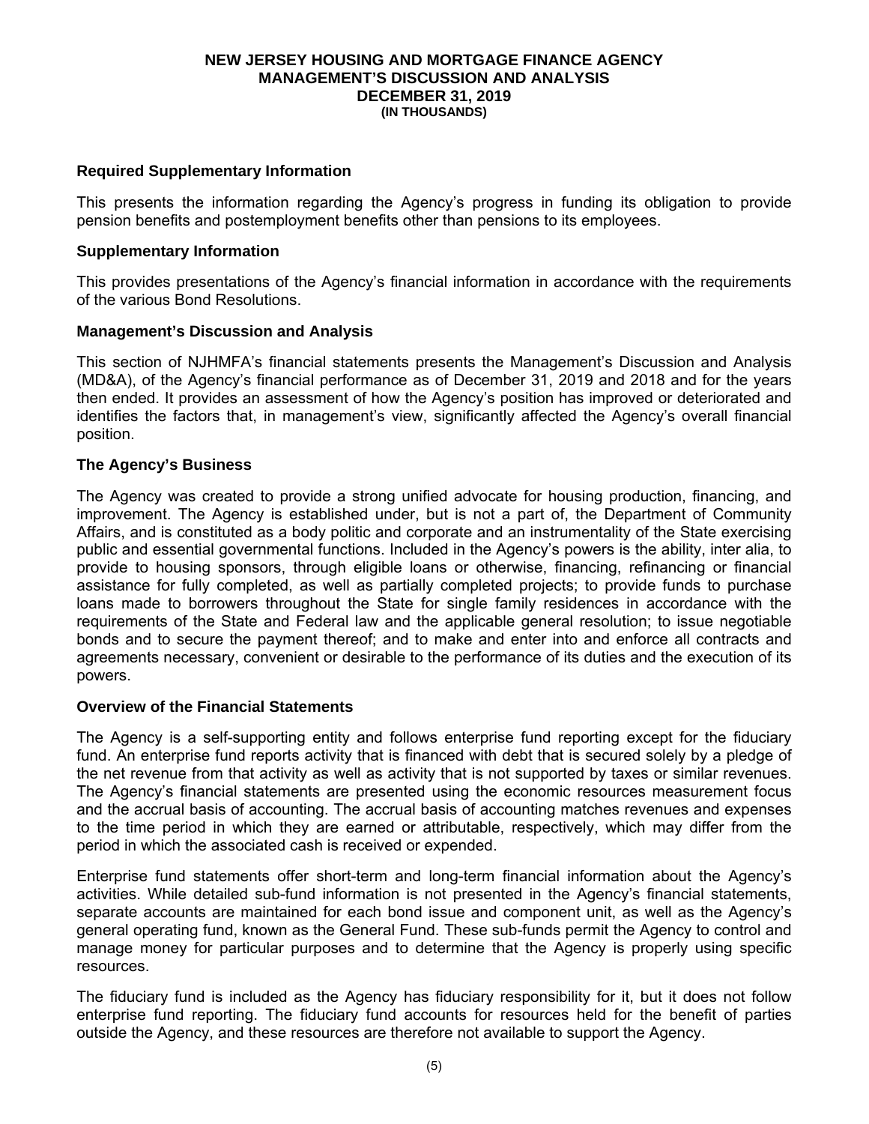## **Required Supplementary Information**

This presents the information regarding the Agency's progress in funding its obligation to provide pension benefits and postemployment benefits other than pensions to its employees.

### **Supplementary Information**

This provides presentations of the Agency's financial information in accordance with the requirements of the various Bond Resolutions.

### **Management's Discussion and Analysis**

This section of NJHMFA's financial statements presents the Management's Discussion and Analysis (MD&A), of the Agency's financial performance as of December 31, 2019 and 2018 and for the years then ended. It provides an assessment of how the Agency's position has improved or deteriorated and identifies the factors that, in management's view, significantly affected the Agency's overall financial position.

#### **The Agency's Business**

The Agency was created to provide a strong unified advocate for housing production, financing, and improvement. The Agency is established under, but is not a part of, the Department of Community Affairs, and is constituted as a body politic and corporate and an instrumentality of the State exercising public and essential governmental functions. Included in the Agency's powers is the ability, inter alia, to provide to housing sponsors, through eligible loans or otherwise, financing, refinancing or financial assistance for fully completed, as well as partially completed projects; to provide funds to purchase loans made to borrowers throughout the State for single family residences in accordance with the requirements of the State and Federal law and the applicable general resolution; to issue negotiable bonds and to secure the payment thereof; and to make and enter into and enforce all contracts and agreements necessary, convenient or desirable to the performance of its duties and the execution of its powers.

### **Overview of the Financial Statements**

The Agency is a self-supporting entity and follows enterprise fund reporting except for the fiduciary fund. An enterprise fund reports activity that is financed with debt that is secured solely by a pledge of the net revenue from that activity as well as activity that is not supported by taxes or similar revenues. The Agency's financial statements are presented using the economic resources measurement focus and the accrual basis of accounting. The accrual basis of accounting matches revenues and expenses to the time period in which they are earned or attributable, respectively, which may differ from the period in which the associated cash is received or expended.

Enterprise fund statements offer short-term and long-term financial information about the Agency's activities. While detailed sub-fund information is not presented in the Agency's financial statements, separate accounts are maintained for each bond issue and component unit, as well as the Agency's general operating fund, known as the General Fund. These sub-funds permit the Agency to control and manage money for particular purposes and to determine that the Agency is properly using specific resources.

The fiduciary fund is included as the Agency has fiduciary responsibility for it, but it does not follow enterprise fund reporting. The fiduciary fund accounts for resources held for the benefit of parties outside the Agency, and these resources are therefore not available to support the Agency.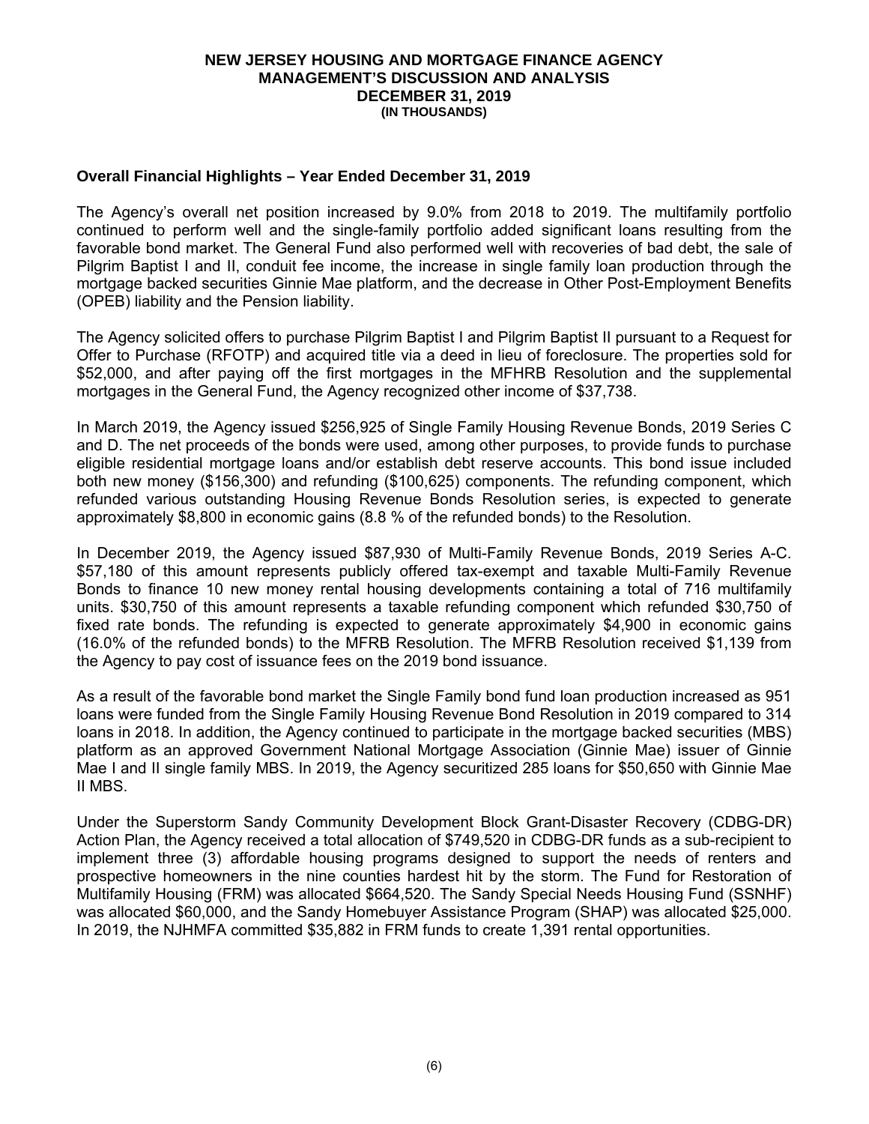### **Overall Financial Highlights – Year Ended December 31, 2019**

The Agency's overall net position increased by 9.0% from 2018 to 2019. The multifamily portfolio continued to perform well and the single-family portfolio added significant loans resulting from the favorable bond market. The General Fund also performed well with recoveries of bad debt, the sale of Pilgrim Baptist I and II, conduit fee income, the increase in single family loan production through the mortgage backed securities Ginnie Mae platform, and the decrease in Other Post-Employment Benefits (OPEB) liability and the Pension liability.

The Agency solicited offers to purchase Pilgrim Baptist I and Pilgrim Baptist II pursuant to a Request for Offer to Purchase (RFOTP) and acquired title via a deed in lieu of foreclosure. The properties sold for \$52,000, and after paying off the first mortgages in the MFHRB Resolution and the supplemental mortgages in the General Fund, the Agency recognized other income of \$37,738.

In March 2019, the Agency issued \$256,925 of Single Family Housing Revenue Bonds, 2019 Series C and D. The net proceeds of the bonds were used, among other purposes, to provide funds to purchase eligible residential mortgage loans and/or establish debt reserve accounts. This bond issue included both new money (\$156,300) and refunding (\$100,625) components. The refunding component, which refunded various outstanding Housing Revenue Bonds Resolution series, is expected to generate approximately \$8,800 in economic gains (8.8 % of the refunded bonds) to the Resolution.

In December 2019, the Agency issued \$87,930 of Multi-Family Revenue Bonds, 2019 Series A-C. \$57,180 of this amount represents publicly offered tax-exempt and taxable Multi-Family Revenue Bonds to finance 10 new money rental housing developments containing a total of 716 multifamily units. \$30,750 of this amount represents a taxable refunding component which refunded \$30,750 of fixed rate bonds. The refunding is expected to generate approximately \$4,900 in economic gains (16.0% of the refunded bonds) to the MFRB Resolution. The MFRB Resolution received \$1,139 from the Agency to pay cost of issuance fees on the 2019 bond issuance.

As a result of the favorable bond market the Single Family bond fund loan production increased as 951 loans were funded from the Single Family Housing Revenue Bond Resolution in 2019 compared to 314 loans in 2018. In addition, the Agency continued to participate in the mortgage backed securities (MBS) platform as an approved Government National Mortgage Association (Ginnie Mae) issuer of Ginnie Mae I and II single family MBS. In 2019, the Agency securitized 285 loans for \$50,650 with Ginnie Mae II MBS.

Under the Superstorm Sandy Community Development Block Grant-Disaster Recovery (CDBG-DR) Action Plan, the Agency received a total allocation of \$749,520 in CDBG-DR funds as a sub-recipient to implement three (3) affordable housing programs designed to support the needs of renters and prospective homeowners in the nine counties hardest hit by the storm. The Fund for Restoration of Multifamily Housing (FRM) was allocated \$664,520. The Sandy Special Needs Housing Fund (SSNHF) was allocated \$60,000, and the Sandy Homebuyer Assistance Program (SHAP) was allocated \$25,000. In 2019, the NJHMFA committed \$35,882 in FRM funds to create 1,391 rental opportunities.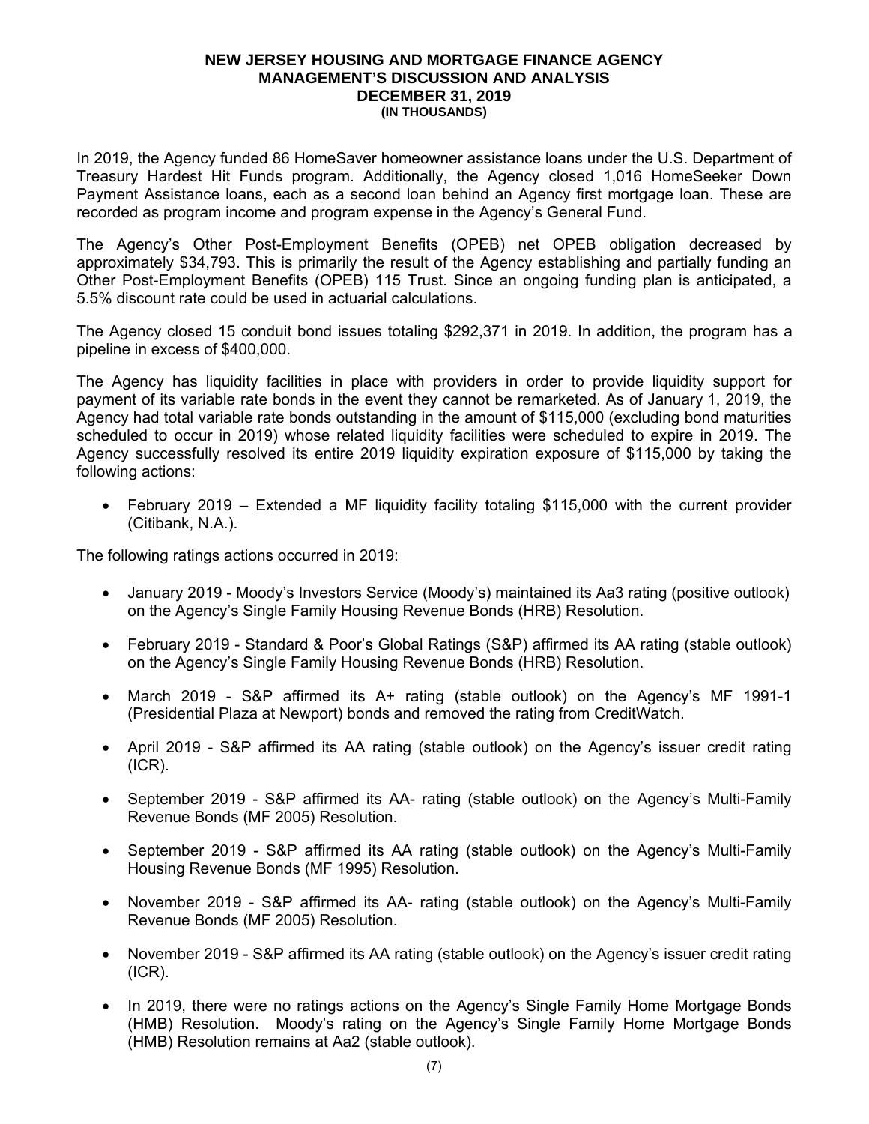In 2019, the Agency funded 86 HomeSaver homeowner assistance loans under the U.S. Department of Treasury Hardest Hit Funds program. Additionally, the Agency closed 1,016 HomeSeeker Down Payment Assistance loans, each as a second loan behind an Agency first mortgage loan. These are recorded as program income and program expense in the Agency's General Fund.

The Agency's Other Post-Employment Benefits (OPEB) net OPEB obligation decreased by approximately \$34,793. This is primarily the result of the Agency establishing and partially funding an Other Post-Employment Benefits (OPEB) 115 Trust. Since an ongoing funding plan is anticipated, a 5.5% discount rate could be used in actuarial calculations.

The Agency closed 15 conduit bond issues totaling \$292,371 in 2019. In addition, the program has a pipeline in excess of \$400,000.

The Agency has liquidity facilities in place with providers in order to provide liquidity support for payment of its variable rate bonds in the event they cannot be remarketed. As of January 1, 2019, the Agency had total variable rate bonds outstanding in the amount of \$115,000 (excluding bond maturities scheduled to occur in 2019) whose related liquidity facilities were scheduled to expire in 2019. The Agency successfully resolved its entire 2019 liquidity expiration exposure of \$115,000 by taking the following actions:

 February 2019 – Extended a MF liquidity facility totaling \$115,000 with the current provider (Citibank, N.A.).

The following ratings actions occurred in 2019:

- January 2019 Moody's Investors Service (Moody's) maintained its Aa3 rating (positive outlook) on the Agency's Single Family Housing Revenue Bonds (HRB) Resolution.
- February 2019 Standard & Poor's Global Ratings (S&P) affirmed its AA rating (stable outlook) on the Agency's Single Family Housing Revenue Bonds (HRB) Resolution.
- March 2019 S&P affirmed its A+ rating (stable outlook) on the Agency's MF 1991-1 (Presidential Plaza at Newport) bonds and removed the rating from CreditWatch.
- April 2019 S&P affirmed its AA rating (stable outlook) on the Agency's issuer credit rating (ICR).
- September 2019 S&P affirmed its AA- rating (stable outlook) on the Agency's Multi-Family Revenue Bonds (MF 2005) Resolution.
- September 2019 S&P affirmed its AA rating (stable outlook) on the Agency's Multi-Family Housing Revenue Bonds (MF 1995) Resolution.
- November 2019 S&P affirmed its AA- rating (stable outlook) on the Agency's Multi-Family Revenue Bonds (MF 2005) Resolution.
- November 2019 S&P affirmed its AA rating (stable outlook) on the Agency's issuer credit rating (ICR).
- In 2019, there were no ratings actions on the Agency's Single Family Home Mortgage Bonds (HMB) Resolution. Moody's rating on the Agency's Single Family Home Mortgage Bonds (HMB) Resolution remains at Aa2 (stable outlook).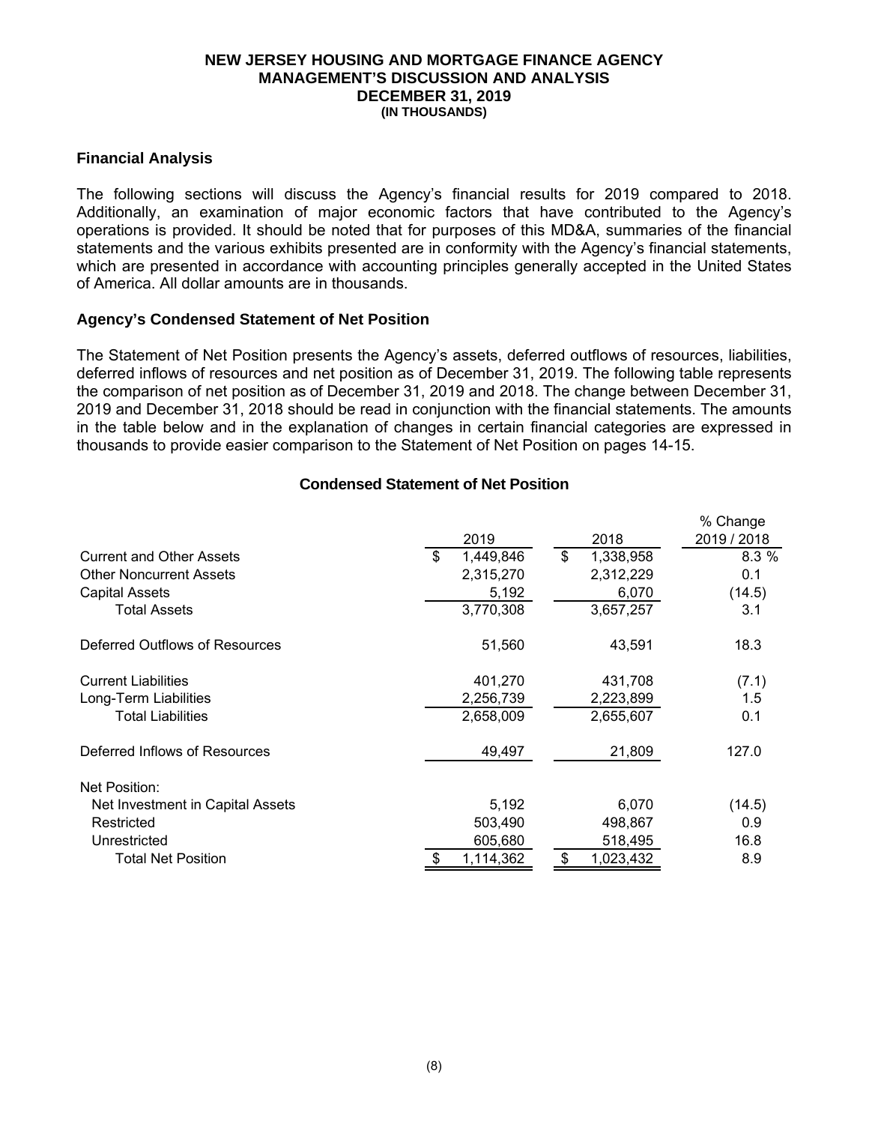# **Financial Analysis**

The following sections will discuss the Agency's financial results for 2019 compared to 2018. Additionally, an examination of major economic factors that have contributed to the Agency's operations is provided. It should be noted that for purposes of this MD&A, summaries of the financial statements and the various exhibits presented are in conformity with the Agency's financial statements, which are presented in accordance with accounting principles generally accepted in the United States of America. All dollar amounts are in thousands.

# **Agency's Condensed Statement of Net Position**

The Statement of Net Position presents the Agency's assets, deferred outflows of resources, liabilities, deferred inflows of resources and net position as of December 31, 2019. The following table represents the comparison of net position as of December 31, 2019 and 2018. The change between December 31, 2019 and December 31, 2018 should be read in conjunction with the financial statements. The amounts in the table below and in the explanation of changes in certain financial categories are expressed in thousands to provide easier comparison to the Statement of Net Position on pages 14-15.

# **Condensed Statement of Net Position**

|                                  |                  |                             | % Change    |
|----------------------------------|------------------|-----------------------------|-------------|
|                                  | 2019             | 2018                        | 2019 / 2018 |
| <b>Current and Other Assets</b>  | 1,449,846<br>\$. | $\mathfrak{S}$<br>1,338,958 | 8.3%        |
| <b>Other Noncurrent Assets</b>   | 2,315,270        | 2,312,229                   | 0.1         |
| <b>Capital Assets</b>            | 5,192            | 6,070                       | (14.5)      |
| <b>Total Assets</b>              | 3,770,308        | 3,657,257                   | 3.1         |
| Deferred Outflows of Resources   | 51,560           | 43,591                      | 18.3        |
| <b>Current Liabilities</b>       | 401,270          | 431,708                     | (7.1)       |
| Long-Term Liabilities            | 2,256,739        | 2,223,899                   | $1.5\,$     |
| <b>Total Liabilities</b>         | 2,658,009        | 2,655,607                   | 0.1         |
| Deferred Inflows of Resources    | 49,497           | 21,809                      | 127.0       |
| Net Position:                    |                  |                             |             |
| Net Investment in Capital Assets | 5,192            | 6,070                       | (14.5)      |
| Restricted                       | 503,490          | 498,867                     | 0.9         |
| Unrestricted                     | 605,680          | 518,495                     | 16.8        |
| <b>Total Net Position</b>        | 1,114,362<br>\$  | \$<br>1,023,432             | 8.9         |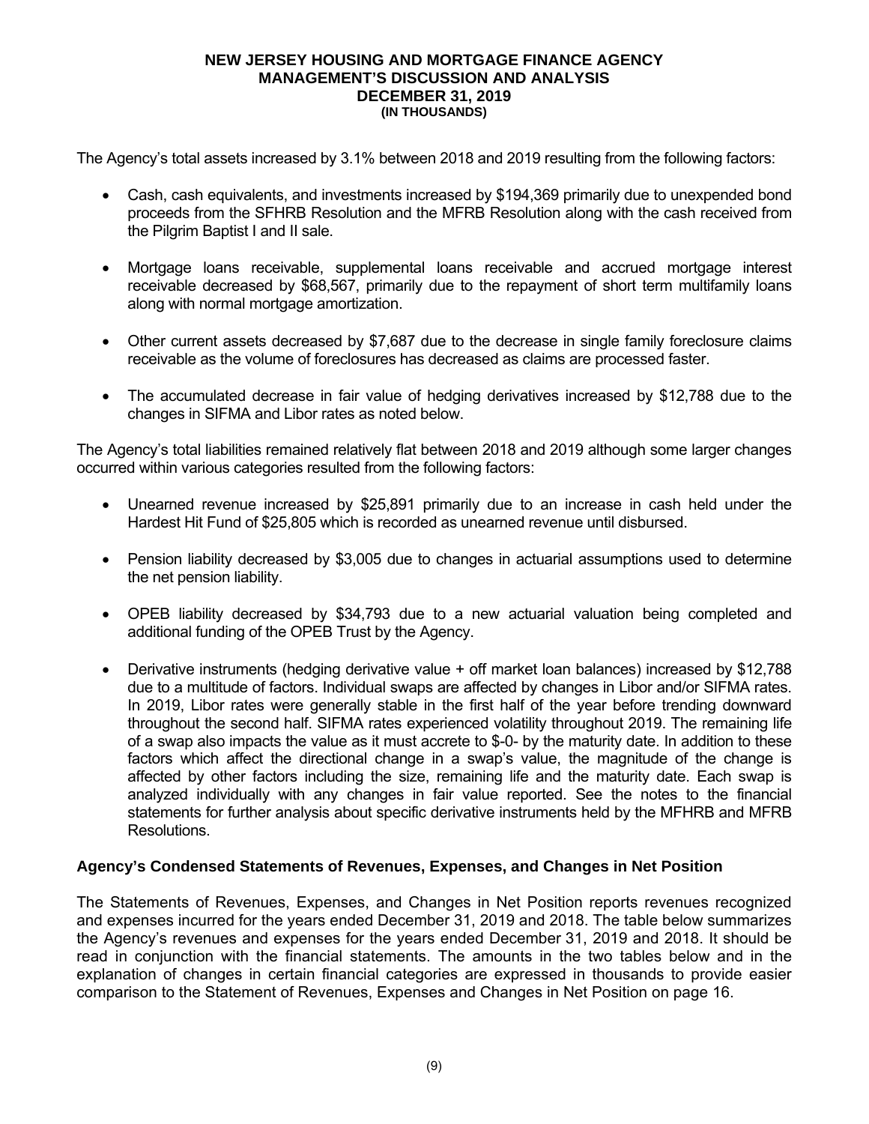The Agency's total assets increased by 3.1% between 2018 and 2019 resulting from the following factors:

- Cash, cash equivalents, and investments increased by \$194,369 primarily due to unexpended bond proceeds from the SFHRB Resolution and the MFRB Resolution along with the cash received from the Pilgrim Baptist I and II sale.
- Mortgage loans receivable, supplemental loans receivable and accrued mortgage interest receivable decreased by \$68,567, primarily due to the repayment of short term multifamily loans along with normal mortgage amortization.
- Other current assets decreased by \$7,687 due to the decrease in single family foreclosure claims receivable as the volume of foreclosures has decreased as claims are processed faster.
- The accumulated decrease in fair value of hedging derivatives increased by \$12,788 due to the changes in SIFMA and Libor rates as noted below.

The Agency's total liabilities remained relatively flat between 2018 and 2019 although some larger changes occurred within various categories resulted from the following factors:

- Unearned revenue increased by \$25,891 primarily due to an increase in cash held under the Hardest Hit Fund of \$25,805 which is recorded as unearned revenue until disbursed.
- Pension liability decreased by \$3,005 due to changes in actuarial assumptions used to determine the net pension liability.
- OPEB liability decreased by \$34,793 due to a new actuarial valuation being completed and additional funding of the OPEB Trust by the Agency.
- Derivative instruments (hedging derivative value + off market loan balances) increased by \$12,788 due to a multitude of factors. Individual swaps are affected by changes in Libor and/or SIFMA rates. In 2019, Libor rates were generally stable in the first half of the year before trending downward throughout the second half. SIFMA rates experienced volatility throughout 2019. The remaining life of a swap also impacts the value as it must accrete to \$-0- by the maturity date. In addition to these factors which affect the directional change in a swap's value, the magnitude of the change is affected by other factors including the size, remaining life and the maturity date. Each swap is analyzed individually with any changes in fair value reported. See the notes to the financial statements for further analysis about specific derivative instruments held by the MFHRB and MFRB Resolutions.

# **Agency's Condensed Statements of Revenues, Expenses, and Changes in Net Position**

The Statements of Revenues, Expenses, and Changes in Net Position reports revenues recognized and expenses incurred for the years ended December 31, 2019 and 2018. The table below summarizes the Agency's revenues and expenses for the years ended December 31, 2019 and 2018. It should be read in conjunction with the financial statements. The amounts in the two tables below and in the explanation of changes in certain financial categories are expressed in thousands to provide easier comparison to the Statement of Revenues, Expenses and Changes in Net Position on page 16.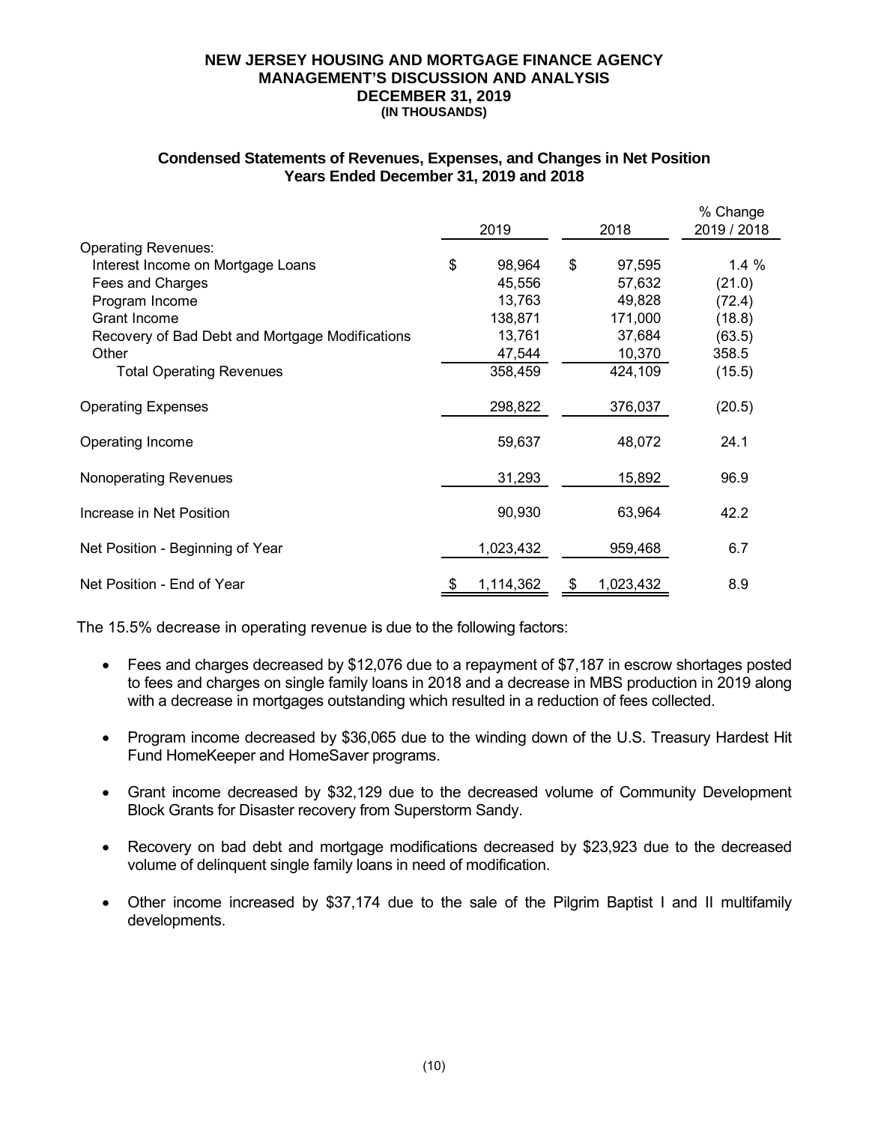## **Condensed Statements of Revenues, Expenses, and Changes in Net Position Years Ended December 31, 2019 and 2018**

|                                                 |     | 2019      | 2018            | % Change<br>2019 / 2018 |
|-------------------------------------------------|-----|-----------|-----------------|-------------------------|
| <b>Operating Revenues:</b>                      |     |           |                 |                         |
| Interest Income on Mortgage Loans               | \$  | 98,964    | \$<br>97,595    | $1.4\%$                 |
| Fees and Charges                                |     | 45,556    | 57,632          | (21.0)                  |
| Program Income                                  |     | 13,763    | 49,828          | (72.4)                  |
| Grant Income                                    |     | 138,871   | 171,000         | (18.8)                  |
| Recovery of Bad Debt and Mortgage Modifications |     | 13,761    | 37,684          | (63.5)                  |
| Other                                           |     | 47,544    | 10,370          | 358.5                   |
| <b>Total Operating Revenues</b>                 |     | 358,459   | 424,109         | (15.5)                  |
| <b>Operating Expenses</b>                       |     | 298,822   | 376,037         | (20.5)                  |
| Operating Income                                |     | 59,637    | 48,072          | 24.1                    |
| Nonoperating Revenues                           |     | 31,293    | 15,892          | 96.9                    |
| Increase in Net Position                        |     | 90,930    | 63,964          | 42.2                    |
| Net Position - Beginning of Year                |     | 1,023,432 | 959,468         | 6.7                     |
| Net Position - End of Year                      | -\$ | 1,114,362 | \$<br>1,023,432 | 8.9                     |

The 15.5% decrease in operating revenue is due to the following factors:

- Fees and charges decreased by \$12,076 due to a repayment of \$7,187 in escrow shortages posted to fees and charges on single family loans in 2018 and a decrease in MBS production in 2019 along with a decrease in mortgages outstanding which resulted in a reduction of fees collected.
- Program income decreased by \$36,065 due to the winding down of the U.S. Treasury Hardest Hit Fund HomeKeeper and HomeSaver programs.
- Grant income decreased by \$32,129 due to the decreased volume of Community Development Block Grants for Disaster recovery from Superstorm Sandy.
- Recovery on bad debt and mortgage modifications decreased by \$23,923 due to the decreased volume of delinquent single family loans in need of modification.
- Other income increased by \$37,174 due to the sale of the Pilgrim Baptist I and II multifamily developments.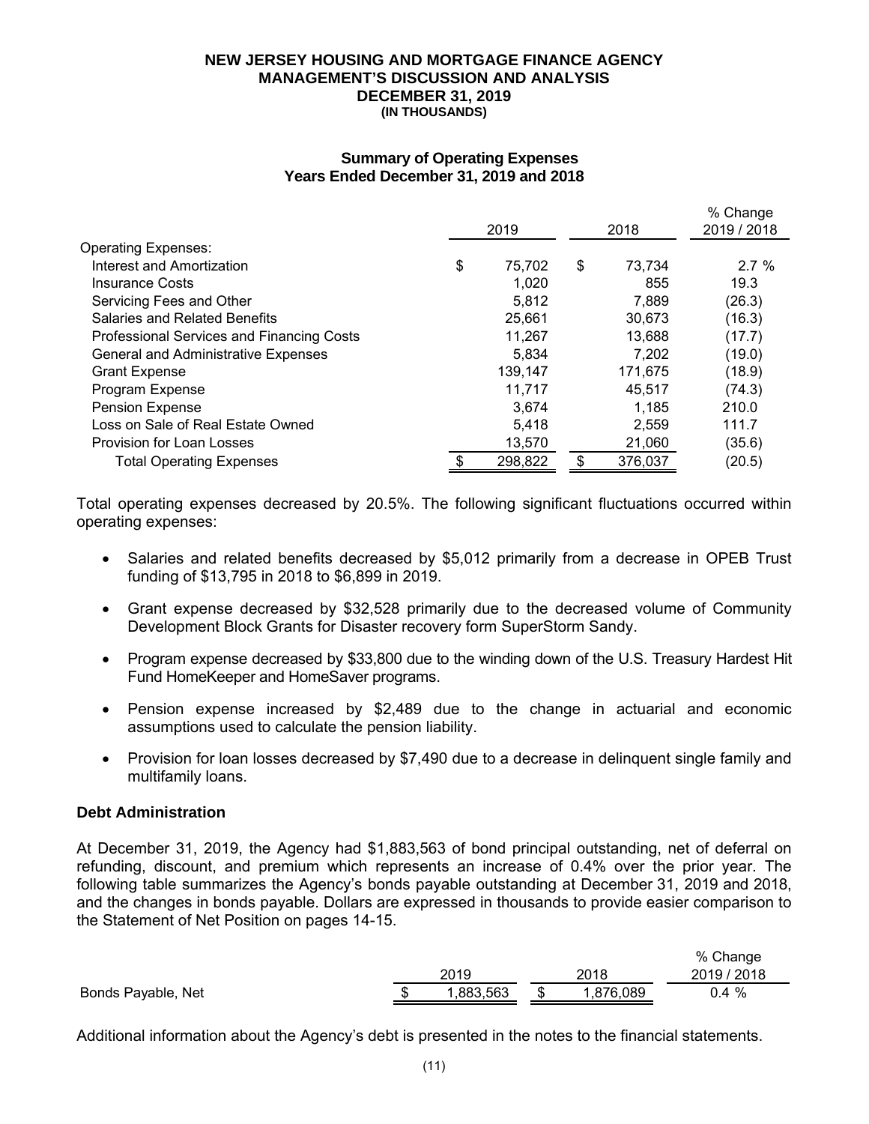### **Summary of Operating Expenses Years Ended December 31, 2019 and 2018**

|                                                  |              |         |               | % Change |
|--------------------------------------------------|--------------|---------|---------------|----------|
|                                                  | 2019<br>2018 |         | 2019 / 2018   |          |
| Operating Expenses:                              |              |         |               |          |
| Interest and Amortization                        | \$           | 75.702  | \$<br>73,734  | 2.7%     |
| <b>Insurance Costs</b>                           |              | 1,020   | 855           | 19.3     |
| Servicing Fees and Other                         |              | 5,812   | 7,889         | (26.3)   |
| <b>Salaries and Related Benefits</b>             |              | 25,661  | 30,673        | (16.3)   |
| <b>Professional Services and Financing Costs</b> |              | 11,267  | 13,688        | (17.7)   |
| <b>General and Administrative Expenses</b>       |              | 5.834   | 7,202         | (19.0)   |
| <b>Grant Expense</b>                             |              | 139,147 | 171,675       | (18.9)   |
| Program Expense                                  |              | 11,717  | 45,517        | (74.3)   |
| Pension Expense                                  |              | 3.674   | 1.185         | 210.0    |
| Loss on Sale of Real Estate Owned                |              | 5,418   | 2,559         | 111.7    |
| <b>Provision for Loan Losses</b>                 |              | 13,570  | 21,060        | (35.6)   |
| <b>Total Operating Expenses</b>                  | \$           | 298,822 | \$<br>376,037 | (20.5)   |

Total operating expenses decreased by 20.5%. The following significant fluctuations occurred within operating expenses:

- Salaries and related benefits decreased by \$5,012 primarily from a decrease in OPEB Trust funding of \$13,795 in 2018 to \$6,899 in 2019.
- Grant expense decreased by \$32,528 primarily due to the decreased volume of Community Development Block Grants for Disaster recovery form SuperStorm Sandy.
- Program expense decreased by \$33,800 due to the winding down of the U.S. Treasury Hardest Hit Fund HomeKeeper and HomeSaver programs.
- Pension expense increased by \$2,489 due to the change in actuarial and economic assumptions used to calculate the pension liability.
- Provision for loan losses decreased by \$7,490 due to a decrease in delinguent single family and multifamily loans.

# **Debt Administration**

At December 31, 2019, the Agency had \$1,883,563 of bond principal outstanding, net of deferral on refunding, discount, and premium which represents an increase of 0.4% over the prior year. The following table summarizes the Agency's bonds payable outstanding at December 31, 2019 and 2018, and the changes in bonds payable. Dollars are expressed in thousands to provide easier comparison to the Statement of Net Position on pages 14-15.

|                    |           |           | % Change    |
|--------------------|-----------|-----------|-------------|
|                    | 2019      | 2018      | 2019 / 2018 |
| Bonds Payable, Net | 1,883,563 | 1,876,089 | 0.4%        |

Additional information about the Agency's debt is presented in the notes to the financial statements.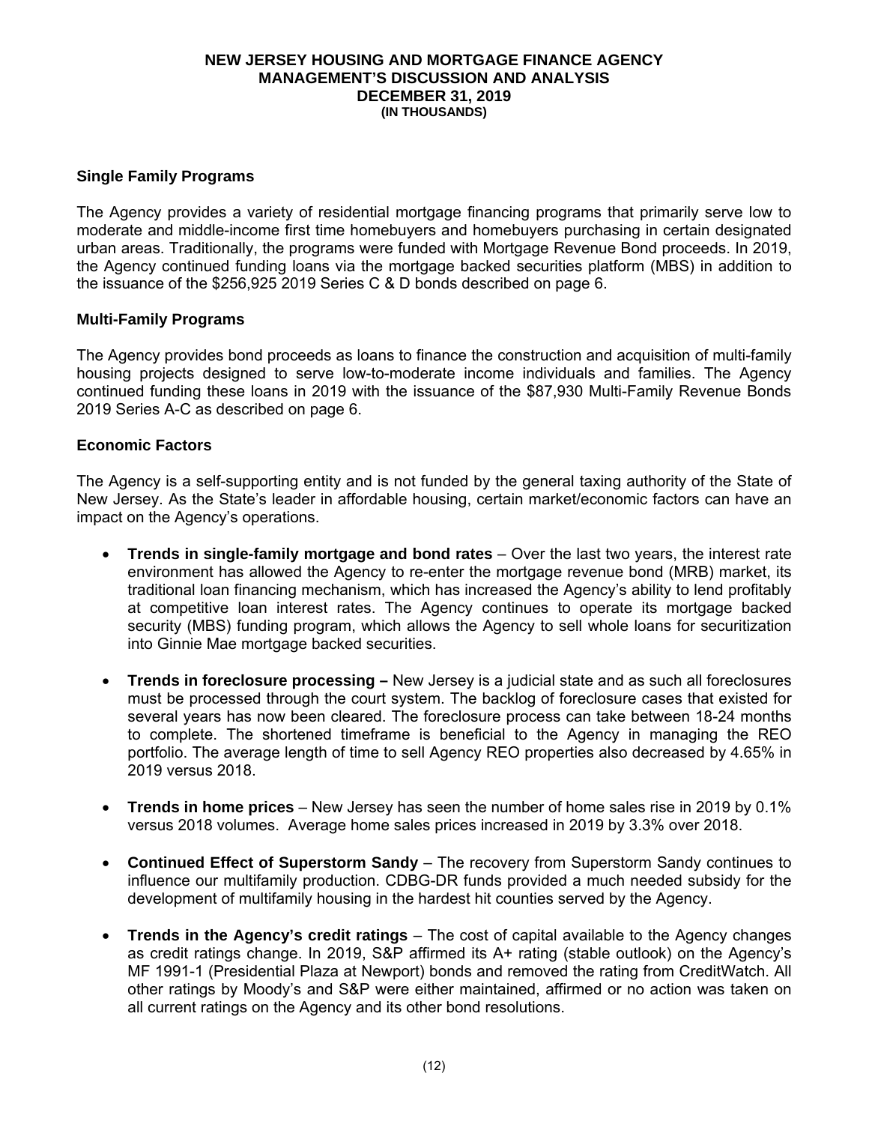### **Single Family Programs**

The Agency provides a variety of residential mortgage financing programs that primarily serve low to moderate and middle-income first time homebuyers and homebuyers purchasing in certain designated urban areas. Traditionally, the programs were funded with Mortgage Revenue Bond proceeds. In 2019, the Agency continued funding loans via the mortgage backed securities platform (MBS) in addition to the issuance of the \$256,925 2019 Series C & D bonds described on page 6.

### **Multi-Family Programs**

The Agency provides bond proceeds as loans to finance the construction and acquisition of multi-family housing projects designed to serve low-to-moderate income individuals and families. The Agency continued funding these loans in 2019 with the issuance of the \$87,930 Multi-Family Revenue Bonds 2019 Series A-C as described on page 6.

### **Economic Factors**

The Agency is a self-supporting entity and is not funded by the general taxing authority of the State of New Jersey. As the State's leader in affordable housing, certain market/economic factors can have an impact on the Agency's operations.

- **Trends in single-family mortgage and bond rates** Over the last two years, the interest rate environment has allowed the Agency to re-enter the mortgage revenue bond (MRB) market, its traditional loan financing mechanism, which has increased the Agency's ability to lend profitably at competitive loan interest rates. The Agency continues to operate its mortgage backed security (MBS) funding program, which allows the Agency to sell whole loans for securitization into Ginnie Mae mortgage backed securities.
- **Trends in foreclosure processing** New Jersey is a judicial state and as such all foreclosures must be processed through the court system. The backlog of foreclosure cases that existed for several years has now been cleared. The foreclosure process can take between 18-24 months to complete. The shortened timeframe is beneficial to the Agency in managing the REO portfolio. The average length of time to sell Agency REO properties also decreased by 4.65% in 2019 versus 2018.
- **Trends in home prices**  New Jersey has seen the number of home sales rise in 2019 by 0.1% versus 2018 volumes. Average home sales prices increased in 2019 by 3.3% over 2018.
- **Continued Effect of Superstorm Sandy**  The recovery from Superstorm Sandy continues to influence our multifamily production. CDBG-DR funds provided a much needed subsidy for the development of multifamily housing in the hardest hit counties served by the Agency.
- **Trends in the Agency's credit ratings**  The cost of capital available to the Agency changes as credit ratings change. In 2019, S&P affirmed its A+ rating (stable outlook) on the Agency's MF 1991-1 (Presidential Plaza at Newport) bonds and removed the rating from CreditWatch. All other ratings by Moody's and S&P were either maintained, affirmed or no action was taken on all current ratings on the Agency and its other bond resolutions.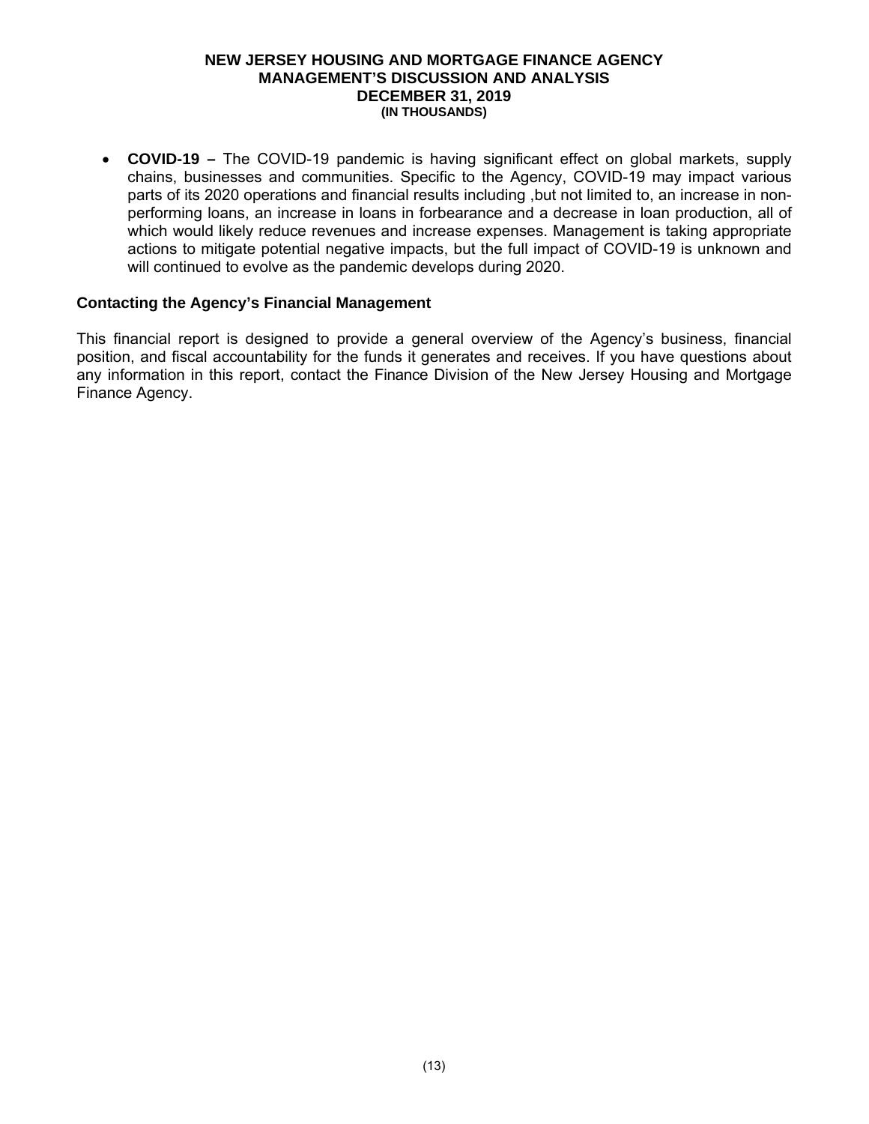**COVID-19 –** The COVID-19 pandemic is having significant effect on global markets, supply chains, businesses and communities. Specific to the Agency, COVID-19 may impact various parts of its 2020 operations and financial results including ,but not limited to, an increase in nonperforming loans, an increase in loans in forbearance and a decrease in loan production, all of which would likely reduce revenues and increase expenses. Management is taking appropriate actions to mitigate potential negative impacts, but the full impact of COVID-19 is unknown and will continued to evolve as the pandemic develops during 2020.

# **Contacting the Agency's Financial Management**

This financial report is designed to provide a general overview of the Agency's business, financial position, and fiscal accountability for the funds it generates and receives. If you have questions about any information in this report, contact the Finance Division of the New Jersey Housing and Mortgage Finance Agency.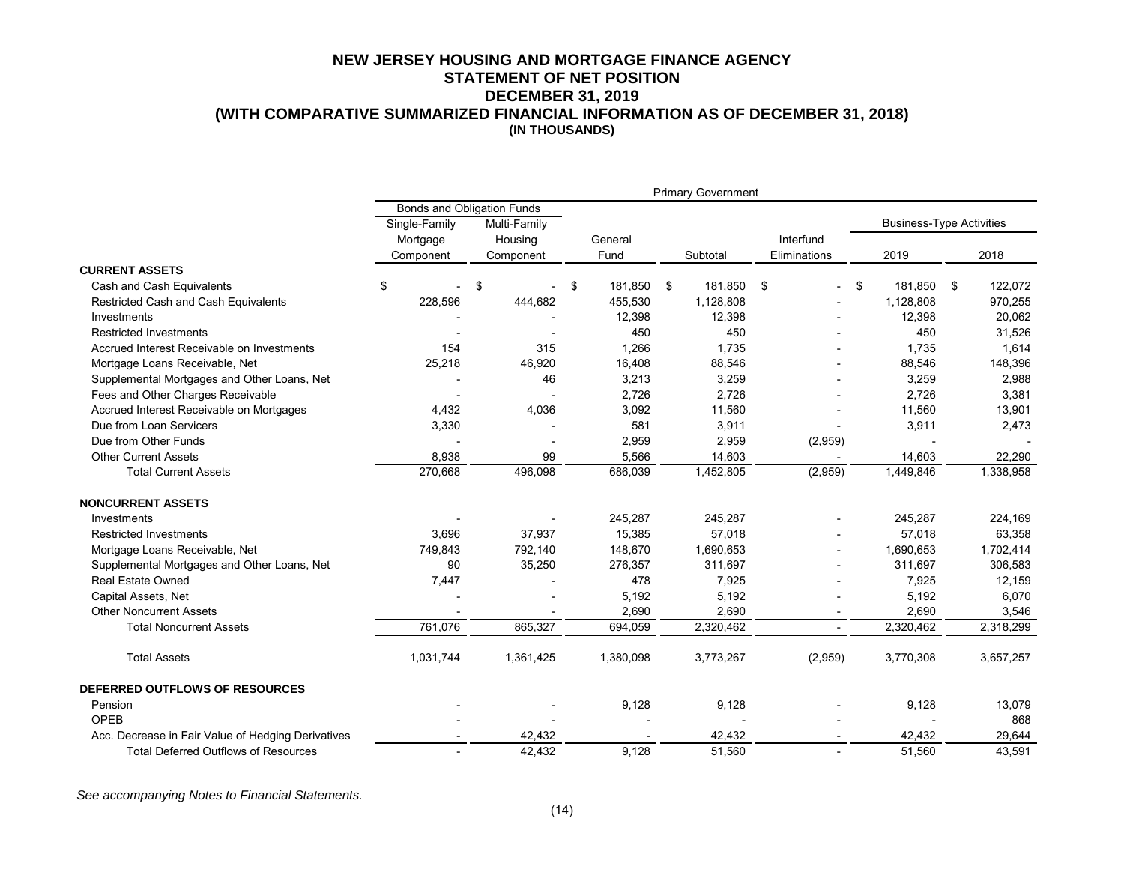#### **NEW JERSEY HOUSING AND MORTGAGE FINANCE AGENCY STATEMENT OF NET POSITION DECEMBER 31, 2019 (WITH COMPARATIVE SUMMARIZED FINANCIAL INFORMATION AS OF DECEMBER 31, 2018) (IN THOUSANDS)**

|                                                    |               |                                   |               | <b>Primary Government</b> |                        |               |                                 |
|----------------------------------------------------|---------------|-----------------------------------|---------------|---------------------------|------------------------|---------------|---------------------------------|
|                                                    |               | <b>Bonds and Obligation Funds</b> |               |                           |                        |               |                                 |
|                                                    | Single-Family | Multi-Family                      |               |                           |                        |               | <b>Business-Type Activities</b> |
|                                                    | Mortgage      | Housing                           | General       |                           | Interfund              |               |                                 |
|                                                    | Component     | Component                         | Fund          | Subtotal                  | Eliminations           | 2019          | 2018                            |
| <b>CURRENT ASSETS</b>                              |               |                                   |               |                           |                        |               |                                 |
| Cash and Cash Equivalents                          | \$            | S                                 | 181,850<br>\$ | \$<br>181,850             | - \$<br>$\overline{a}$ | \$<br>181,850 | 122,072<br>\$                   |
| Restricted Cash and Cash Equivalents               | 228,596       | 444,682                           | 455,530       | 1,128,808                 |                        | 1,128,808     | 970,255                         |
| Investments                                        |               |                                   | 12,398        | 12,398                    |                        | 12,398        | 20,062                          |
| <b>Restricted Investments</b>                      |               |                                   | 450           | 450                       |                        | 450           | 31,526                          |
| Accrued Interest Receivable on Investments         | 154           | 315                               | 1,266         | 1,735                     |                        | 1,735         | 1,614                           |
| Mortgage Loans Receivable, Net                     | 25,218        | 46,920                            | 16,408        | 88,546                    |                        | 88,546        | 148,396                         |
| Supplemental Mortgages and Other Loans, Net        |               | 46                                | 3,213         | 3,259                     |                        | 3,259         | 2,988                           |
| Fees and Other Charges Receivable                  |               |                                   | 2,726         | 2,726                     |                        | 2,726         | 3,381                           |
| Accrued Interest Receivable on Mortgages           | 4,432         | 4,036                             | 3,092         | 11,560                    |                        | 11,560        | 13,901                          |
| Due from Loan Servicers                            | 3,330         |                                   | 581           | 3,911                     |                        | 3,911         | 2,473                           |
| Due from Other Funds                               |               |                                   | 2,959         | 2,959                     | (2,959)                |               |                                 |
| <b>Other Current Assets</b>                        | 8,938         | 99                                | 5,566         | 14,603                    |                        | 14,603        | 22,290                          |
| <b>Total Current Assets</b>                        | 270,668       | 496,098                           | 686,039       | 1,452,805                 | (2,959)                | 1,449,846     | 1,338,958                       |
| <b>NONCURRENT ASSETS</b>                           |               |                                   |               |                           |                        |               |                                 |
| Investments                                        |               |                                   | 245,287       | 245,287                   |                        | 245,287       | 224,169                         |
| <b>Restricted Investments</b>                      | 3,696         | 37,937                            | 15,385        | 57,018                    |                        | 57,018        | 63,358                          |
| Mortgage Loans Receivable, Net                     | 749.843       | 792,140                           | 148,670       | 1,690,653                 |                        | 1,690,653     | 1,702,414                       |
| Supplemental Mortgages and Other Loans, Net        | 90            | 35,250                            | 276,357       | 311,697                   |                        | 311,697       | 306,583                         |
| Real Estate Owned                                  | 7,447         |                                   | 478           | 7,925                     |                        | 7,925         | 12,159                          |
| Capital Assets, Net                                |               |                                   | 5,192         | 5,192                     |                        | 5,192         | 6,070                           |
| <b>Other Noncurrent Assets</b>                     |               |                                   | 2,690         | 2,690                     |                        | 2,690         | 3,546                           |
| <b>Total Noncurrent Assets</b>                     | 761,076       | 865,327                           | 694,059       | 2,320,462                 | $\overline{a}$         | 2,320,462     | 2,318,299                       |
| <b>Total Assets</b>                                | 1,031,744     | 1,361,425                         | 1,380,098     | 3,773,267                 | (2,959)                | 3,770,308     | 3,657,257                       |
| DEFERRED OUTFLOWS OF RESOURCES                     |               |                                   |               |                           |                        |               |                                 |
| Pension                                            |               |                                   | 9,128         | 9,128                     |                        | 9,128         | 13,079                          |
| OPEB                                               |               |                                   |               |                           |                        |               | 868                             |
| Acc. Decrease in Fair Value of Hedging Derivatives |               | 42,432                            |               | 42,432                    |                        | 42,432        | 29,644                          |
| <b>Total Deferred Outflows of Resources</b>        |               | 42,432                            | 9.128         | 51.560                    |                        | 51,560        | 43,591                          |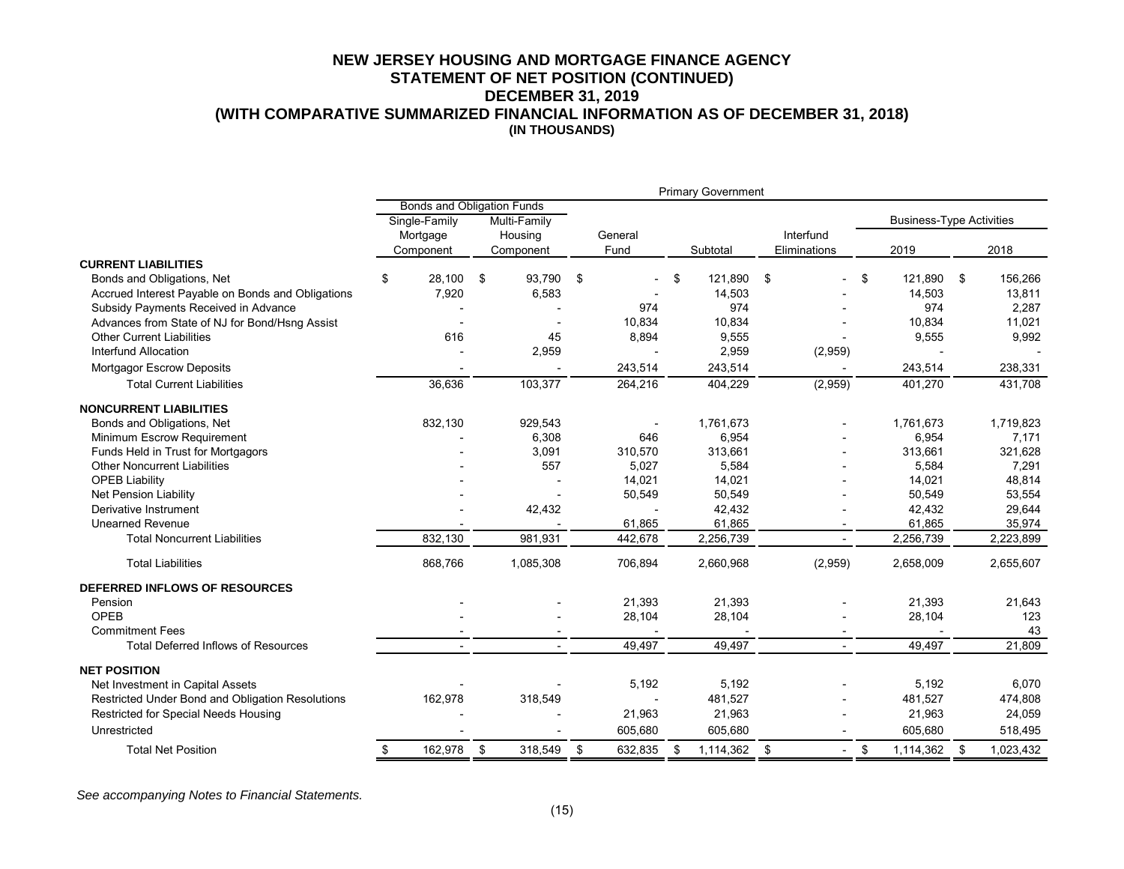#### **NEW JERSEY HOUSING AND MORTGAGE FINANCE AGENCY STATEMENT OF NET POSITION (CONTINUED) DECEMBER 31, 2019 (WITH COMPARATIVE SUMMARIZED FINANCIAL INFORMATION AS OF DECEMBER 31, 2018) (IN THOUSANDS)**

|                                                   |               |                                   |               | <b>Primary Government</b> |                                |                 |                                 |
|---------------------------------------------------|---------------|-----------------------------------|---------------|---------------------------|--------------------------------|-----------------|---------------------------------|
|                                                   |               | <b>Bonds and Obligation Funds</b> |               |                           |                                |                 |                                 |
|                                                   | Single-Family | Multi-Family                      |               |                           |                                |                 | <b>Business-Type Activities</b> |
|                                                   | Mortgage      | Housing                           | General       |                           | Interfund                      |                 |                                 |
|                                                   | Component     | Component                         | Fund          | Subtotal                  | Eliminations                   | 2019            | 2018                            |
| <b>CURRENT LIABILITIES</b>                        |               |                                   |               |                           |                                |                 |                                 |
| Bonds and Obligations, Net                        | \$<br>28,100  | \$<br>93,790 \$                   |               | \$<br>121,890             | \$<br>$\overline{\phantom{0}}$ | \$<br>121,890   | \$<br>156,266                   |
| Accrued Interest Payable on Bonds and Obligations | 7,920         | 6,583                             |               | 14,503                    |                                | 14,503          | 13,811                          |
| Subsidy Payments Received in Advance              |               |                                   | 974           | 974                       |                                | 974             | 2,287                           |
| Advances from State of NJ for Bond/Hsng Assist    |               |                                   | 10,834        | 10,834                    |                                | 10,834          | 11,021                          |
| <b>Other Current Liabilities</b>                  | 616           | 45                                | 8,894         | 9,555                     |                                | 9,555           | 9,992                           |
| <b>Interfund Allocation</b>                       |               | 2,959                             |               | 2,959                     | (2,959)                        |                 |                                 |
| Mortgagor Escrow Deposits                         |               |                                   | 243,514       | 243,514                   |                                | 243,514         | 238,331                         |
| <b>Total Current Liabilities</b>                  | 36,636        | 103,377                           | 264,216       | 404,229                   | (2,959)                        | 401,270         | 431,708                         |
| <b>NONCURRENT LIABILITIES</b>                     |               |                                   |               |                           |                                |                 |                                 |
| Bonds and Obligations, Net                        | 832,130       | 929,543                           |               | 1,761,673                 |                                | 1,761,673       | 1,719,823                       |
| Minimum Escrow Requirement                        |               | 6,308                             | 646           | 6,954                     |                                | 6,954           | 7,171                           |
| Funds Held in Trust for Mortgagors                |               | 3,091                             | 310,570       | 313,661                   |                                | 313,661         | 321,628                         |
| <b>Other Noncurrent Liabilities</b>               |               | 557                               | 5,027         | 5,584                     |                                | 5,584           | 7,291                           |
| <b>OPEB Liability</b>                             |               |                                   | 14,021        | 14,021                    |                                | 14,021          | 48,814                          |
| Net Pension Liability                             |               |                                   | 50,549        | 50,549                    |                                | 50,549          | 53,554                          |
| Derivative Instrument                             |               | 42,432                            |               | 42,432                    |                                | 42,432          | 29,644                          |
| <b>Unearned Revenue</b>                           |               |                                   | 61,865        | 61,865                    |                                | 61,865          | 35,974                          |
| <b>Total Noncurrent Liabilities</b>               | 832,130       | 981,931                           | 442,678       | 2,256,739                 |                                | 2,256,739       | 2,223,899                       |
| <b>Total Liabilities</b>                          | 868,766       | 1,085,308                         | 706,894       | 2,660,968                 | (2,959)                        | 2,658,009       | 2,655,607                       |
| DEFERRED INFLOWS OF RESOURCES                     |               |                                   |               |                           |                                |                 |                                 |
| Pension                                           |               |                                   | 21,393        | 21,393                    |                                | 21,393          | 21,643                          |
| OPEB                                              |               |                                   | 28,104        | 28,104                    |                                | 28,104          | 123                             |
| <b>Commitment Fees</b>                            |               |                                   |               |                           |                                |                 | 43                              |
| <b>Total Deferred Inflows of Resources</b>        |               |                                   | 49,497        | 49,497                    |                                | 49,497          | 21,809                          |
| <b>NET POSITION</b>                               |               |                                   |               |                           |                                |                 |                                 |
| Net Investment in Capital Assets                  |               |                                   | 5,192         | 5,192                     |                                | 5,192           | 6,070                           |
| Restricted Under Bond and Obligation Resolutions  | 162,978       | 318,549                           |               | 481,527                   |                                | 481,527         | 474,808                         |
| Restricted for Special Needs Housing              |               |                                   | 21,963        | 21,963                    |                                | 21,963          | 24,059                          |
| Unrestricted                                      |               |                                   | 605,680       | 605,680                   |                                | 605,680         | 518,495                         |
| <b>Total Net Position</b>                         | 162,978<br>\$ | \$<br>318,549                     | \$<br>632,835 | \$<br>1,114,362           | \$<br>$\overline{\phantom{a}}$ | \$<br>1,114,362 | 1,023,432<br>\$                 |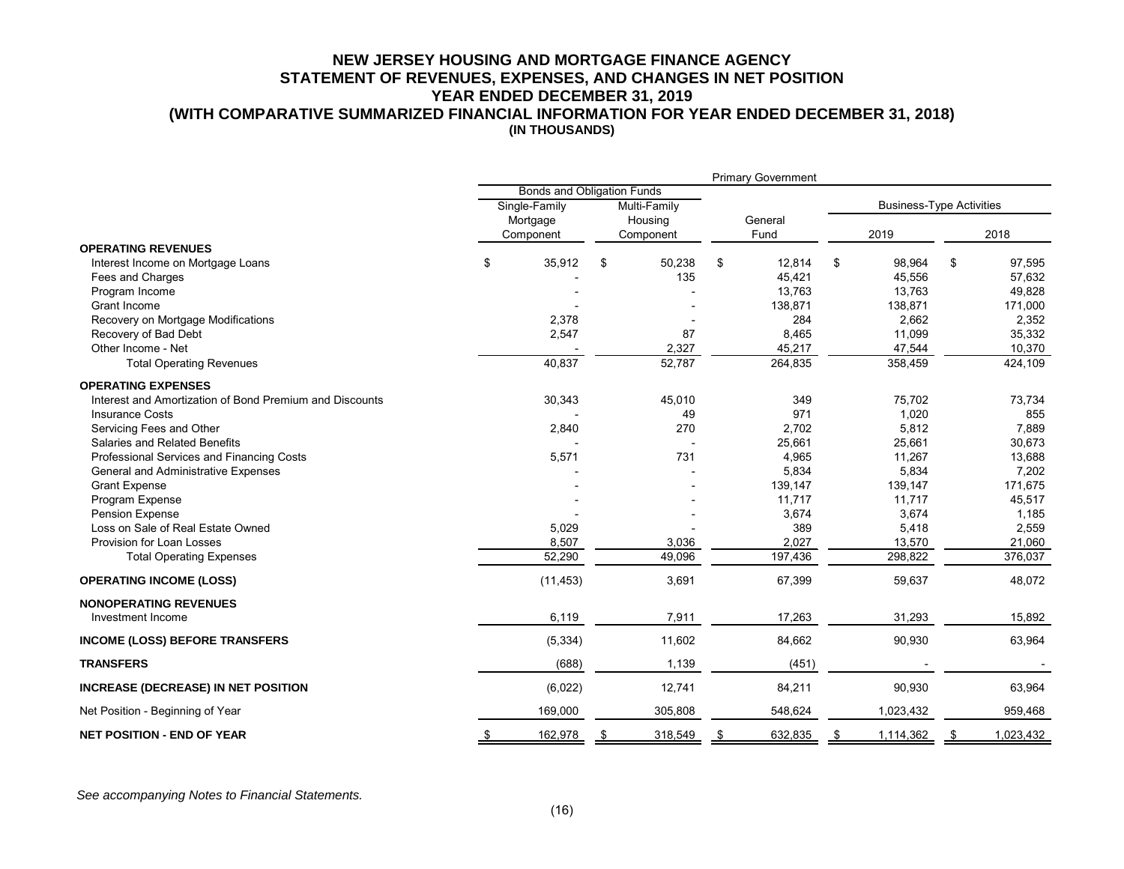#### **NEW JERSEY HOUSING AND MORTGAGE FINANCE AGENCY STATEMENT OF REVENUES, EXPENSES, AND CHANGES IN NET POSITION YEAR ENDED DECEMBER 31, 2019 (WITH COMPARATIVE SUMMARIZED FINANCIAL INFORMATION FOR YEAR ENDED DECEMBER 31, 2018) (IN THOUSANDS)**

|                                                         |                            |                       |                      |         |    | <b>Primary Government</b> |    |                                 |    |           |  |      |
|---------------------------------------------------------|----------------------------|-----------------------|----------------------|---------|----|---------------------------|----|---------------------------------|----|-----------|--|------|
|                                                         | Bonds and Obligation Funds |                       |                      |         |    |                           |    |                                 |    |           |  |      |
|                                                         | Single-Family              |                       | Multi-Family         |         |    |                           |    | <b>Business-Type Activities</b> |    |           |  |      |
|                                                         |                            | Mortgage<br>Component | Housing<br>Component |         |    | General<br>Fund           |    |                                 |    | 2019      |  | 2018 |
| <b>OPERATING REVENUES</b>                               |                            |                       |                      |         |    |                           |    |                                 |    |           |  |      |
| Interest Income on Mortgage Loans                       | \$                         | 35,912                | \$                   | 50,238  | \$ | 12,814                    | \$ | 98,964                          | \$ | 97,595    |  |      |
| Fees and Charges                                        |                            |                       |                      | 135     |    | 45,421                    |    | 45,556                          |    | 57,632    |  |      |
| Program Income                                          |                            |                       |                      |         |    | 13,763                    |    | 13,763                          |    | 49,828    |  |      |
| Grant Income                                            |                            |                       |                      |         |    | 138,871                   |    | 138,871                         |    | 171,000   |  |      |
| Recovery on Mortgage Modifications                      |                            | 2,378                 |                      |         |    | 284                       |    | 2,662                           |    | 2,352     |  |      |
| Recovery of Bad Debt                                    |                            | 2,547                 |                      | 87      |    | 8,465                     |    | 11,099                          |    | 35,332    |  |      |
| Other Income - Net                                      |                            |                       |                      | 2,327   |    | 45,217                    |    | 47,544                          |    | 10,370    |  |      |
| <b>Total Operating Revenues</b>                         |                            | 40,837                |                      | 52,787  |    | 264,835                   |    | 358,459                         |    | 424,109   |  |      |
| <b>OPERATING EXPENSES</b>                               |                            |                       |                      |         |    |                           |    |                                 |    |           |  |      |
| Interest and Amortization of Bond Premium and Discounts |                            | 30,343                |                      | 45,010  |    | 349                       |    | 75,702                          |    | 73,734    |  |      |
| <b>Insurance Costs</b>                                  |                            |                       |                      | 49      |    | 971                       |    | 1,020                           |    | 855       |  |      |
| Servicing Fees and Other                                |                            | 2,840                 |                      | 270     |    | 2,702                     |    | 5,812                           |    | 7,889     |  |      |
| Salaries and Related Benefits                           |                            |                       |                      |         |    | 25,661                    |    | 25.661                          |    | 30,673    |  |      |
| Professional Services and Financing Costs               |                            | 5,571                 |                      | 731     |    | 4,965                     |    | 11,267                          |    | 13,688    |  |      |
| General and Administrative Expenses                     |                            |                       |                      |         |    | 5,834                     |    | 5,834                           |    | 7,202     |  |      |
| <b>Grant Expense</b>                                    |                            |                       |                      |         |    | 139,147                   |    | 139,147                         |    | 171,675   |  |      |
| Program Expense                                         |                            |                       |                      |         |    | 11,717                    |    | 11,717                          |    | 45,517    |  |      |
| Pension Expense                                         |                            |                       |                      |         |    | 3,674                     |    | 3,674                           |    | 1,185     |  |      |
| Loss on Sale of Real Estate Owned                       |                            | 5,029                 |                      |         |    | 389                       |    | 5,418                           |    | 2,559     |  |      |
| Provision for Loan Losses                               |                            | 8,507                 |                      | 3,036   |    | 2,027                     |    | 13,570                          |    | 21,060    |  |      |
| <b>Total Operating Expenses</b>                         |                            | 52,290                |                      | 49,096  |    | 197,436                   |    | 298,822                         |    | 376,037   |  |      |
| <b>OPERATING INCOME (LOSS)</b>                          |                            | (11, 453)             |                      | 3,691   |    | 67,399                    |    | 59,637                          |    | 48,072    |  |      |
| <b>NONOPERATING REVENUES</b>                            |                            |                       |                      |         |    |                           |    |                                 |    |           |  |      |
| Investment Income                                       |                            | 6,119                 |                      | 7,911   |    | 17,263                    |    | 31,293                          |    | 15,892    |  |      |
| <b>INCOME (LOSS) BEFORE TRANSFERS</b>                   |                            | (5, 334)              |                      | 11,602  |    | 84,662                    |    | 90,930                          |    | 63,964    |  |      |
| <b>TRANSFERS</b>                                        |                            | (688)                 |                      | 1,139   |    | (451)                     |    |                                 |    |           |  |      |
| <b>INCREASE (DECREASE) IN NET POSITION</b>              |                            | (6,022)               |                      | 12,741  |    | 84,211                    |    | 90,930                          |    | 63,964    |  |      |
| Net Position - Beginning of Year                        |                            | 169,000               |                      | 305,808 |    | 548,624                   |    | 1,023,432                       |    | 959,468   |  |      |
| <b>NET POSITION - END OF YEAR</b>                       | S.                         | 162,978               | - \$                 | 318,549 | \$ | 632,835                   |    | 1,114,362                       | \$ | 1,023,432 |  |      |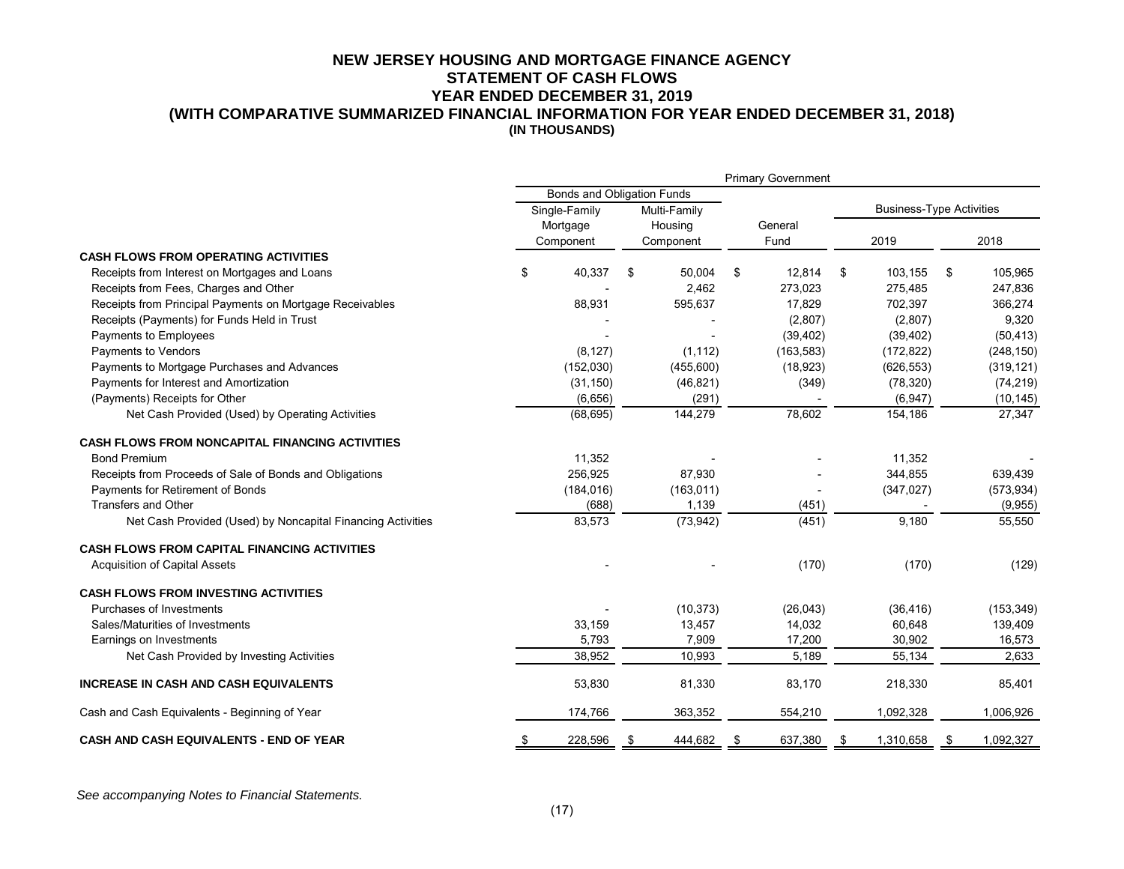#### **NEW JERSEY HOUSING AND MORTGAGE FINANCE AGENCY STATEMENT OF CASH FLOWS YEAR ENDED DECEMBER 31, 2019 (WITH COMPARATIVE SUMMARIZED FINANCIAL INFORMATION FOR YEAR ENDED DECEMBER 31, 2018) (IN THOUSANDS)**

|                                                             | <b>Primary Government</b>         |               |    |              |      |            |      |                                 |     |            |
|-------------------------------------------------------------|-----------------------------------|---------------|----|--------------|------|------------|------|---------------------------------|-----|------------|
|                                                             | <b>Bonds and Obligation Funds</b> |               |    |              |      |            |      |                                 |     |            |
|                                                             |                                   | Single-Family |    | Multi-Family |      |            |      | <b>Business-Type Activities</b> |     |            |
|                                                             |                                   | Mortgage      |    | Housing      |      | General    |      |                                 |     |            |
|                                                             |                                   | Component     |    | Component    |      | Fund       |      | 2019                            |     | 2018       |
| <b>CASH FLOWS FROM OPERATING ACTIVITIES</b>                 |                                   |               |    |              |      |            |      |                                 |     |            |
| Receipts from Interest on Mortgages and Loans               | \$                                | 40,337        | \$ | 50,004       | \$   | 12,814     | \$   | 103,155                         | \$  | 105,965    |
| Receipts from Fees, Charges and Other                       |                                   |               |    | 2,462        |      | 273,023    |      | 275,485                         |     | 247,836    |
| Receipts from Principal Payments on Mortgage Receivables    |                                   | 88,931        |    | 595,637      |      | 17,829     |      | 702,397                         |     | 366,274    |
| Receipts (Payments) for Funds Held in Trust                 |                                   |               |    |              |      | (2,807)    |      | (2,807)                         |     | 9,320      |
| Payments to Employees                                       |                                   |               |    |              |      | (39, 402)  |      | (39, 402)                       |     | (50, 413)  |
| Payments to Vendors                                         |                                   | (8, 127)      |    | (1, 112)     |      | (163, 583) |      | (172, 822)                      |     | (248, 150) |
| Payments to Mortgage Purchases and Advances                 |                                   | (152,030)     |    | (455,600)    |      | (18, 923)  |      | (626, 553)                      |     | (319, 121) |
| Payments for Interest and Amortization                      |                                   | (31, 150)     |    | (46, 821)    |      | (349)      |      | (78, 320)                       |     | (74, 219)  |
| (Payments) Receipts for Other                               |                                   | (6,656)       |    | (291)        |      |            |      | (6, 947)                        |     | (10, 145)  |
| Net Cash Provided (Used) by Operating Activities            |                                   | (68, 695)     |    | 144,279      |      | 78,602     |      | 154,186                         |     | 27,347     |
| <b>CASH FLOWS FROM NONCAPITAL FINANCING ACTIVITIES</b>      |                                   |               |    |              |      |            |      |                                 |     |            |
| <b>Bond Premium</b>                                         |                                   | 11,352        |    |              |      |            |      | 11,352                          |     |            |
| Receipts from Proceeds of Sale of Bonds and Obligations     |                                   | 256,925       |    | 87,930       |      |            |      | 344,855                         |     | 639,439    |
| Payments for Retirement of Bonds                            |                                   | (184, 016)    |    | (163, 011)   |      |            |      | (347, 027)                      |     | (573, 934) |
| <b>Transfers and Other</b>                                  |                                   | (688)         |    | 1,139        |      | (451)      |      |                                 |     | (9,955)    |
| Net Cash Provided (Used) by Noncapital Financing Activities |                                   | 83,573        |    | (73, 942)    |      | (451)      |      | 9,180                           |     | 55,550     |
| <b>CASH FLOWS FROM CAPITAL FINANCING ACTIVITIES</b>         |                                   |               |    |              |      |            |      |                                 |     |            |
| <b>Acquisition of Capital Assets</b>                        |                                   |               |    |              |      | (170)      |      | (170)                           |     | (129)      |
| <b>CASH FLOWS FROM INVESTING ACTIVITIES</b>                 |                                   |               |    |              |      |            |      |                                 |     |            |
| Purchases of Investments                                    |                                   |               |    | (10, 373)    |      | (26, 043)  |      | (36, 416)                       |     | (153, 349) |
| Sales/Maturities of Investments                             |                                   | 33,159        |    | 13,457       |      | 14,032     |      | 60,648                          |     | 139,409    |
| Earnings on Investments                                     |                                   | 5,793         |    | 7,909        |      | 17,200     |      | 30,902                          |     | 16,573     |
| Net Cash Provided by Investing Activities                   |                                   | 38.952        |    | 10.993       |      | 5,189      |      | 55,134                          |     | 2.633      |
| <b>INCREASE IN CASH AND CASH EQUIVALENTS</b>                |                                   | 53,830        |    | 81,330       |      | 83,170     |      | 218,330                         |     | 85,401     |
| Cash and Cash Equivalents - Beginning of Year               |                                   | 174,766       |    | 363,352      |      | 554,210    |      | 1,092,328                       |     | 1,006,926  |
| CASH AND CASH EQUIVALENTS - END OF YEAR                     |                                   | 228,596       | -5 | 444,682      | - \$ | 637,380    | - \$ | 1,310,658                       | - 5 | 1,092,327  |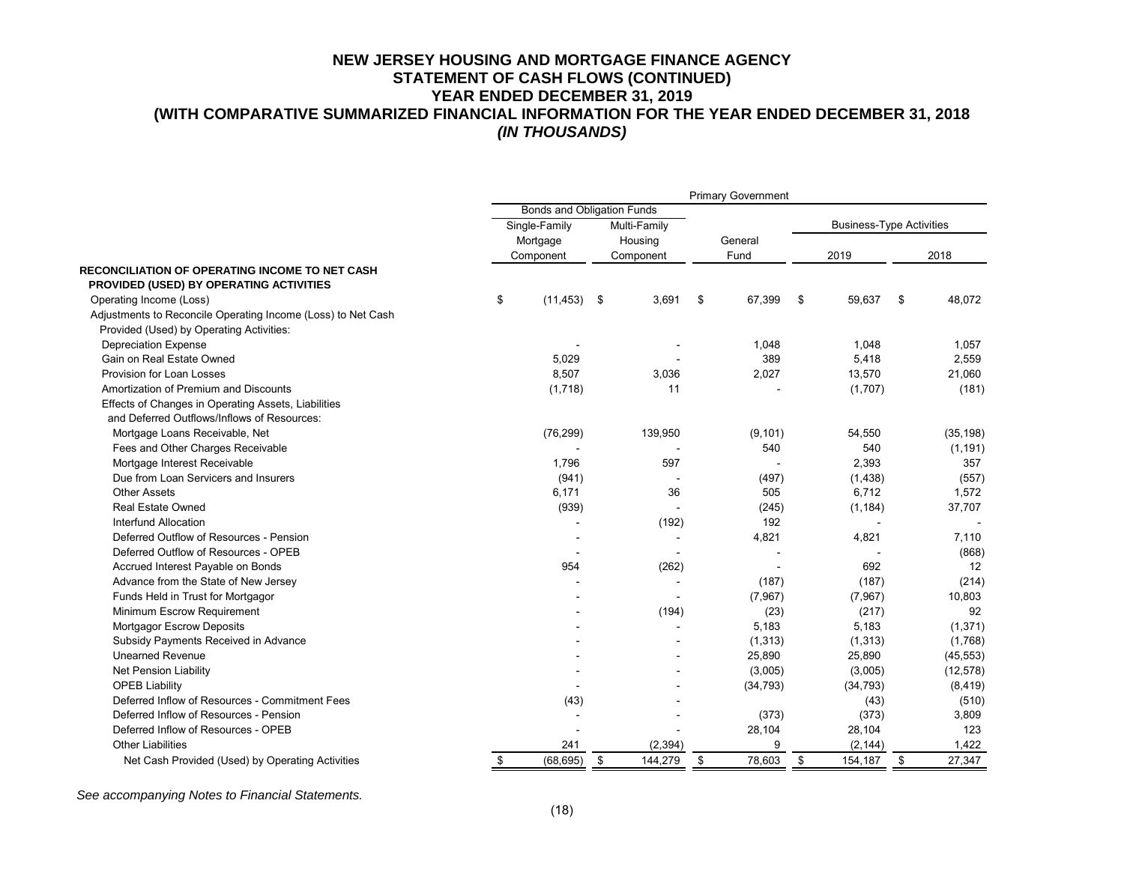### **NEW JERSEY HOUSING AND MORTGAGE FINANCE AGENCY STATEMENT OF CASH FLOWS (CONTINUED) YEAR ENDED DECEMBER 31, 2019 (WITH COMPARATIVE SUMMARIZED FINANCIAL INFORMATION FOR THE YEAR ENDED DECEMBER 31, 2018**  *(IN THOUSANDS)*

| <b>Bonds and Obligation Funds</b>                                                    |                                   |               |                                 |
|--------------------------------------------------------------------------------------|-----------------------------------|---------------|---------------------------------|
|                                                                                      |                                   |               |                                 |
| Single-Family<br>Multi-Family                                                        |                                   |               | <b>Business-Type Activities</b> |
| Mortgage<br>Housing                                                                  | General                           |               |                                 |
| Component<br>Component                                                               | Fund                              | 2019          | 2018                            |
| <b>RECONCILIATION OF OPERATING INCOME TO NET CASH</b>                                |                                   |               |                                 |
| PROVIDED (USED) BY OPERATING ACTIVITIES                                              |                                   |               |                                 |
| \$<br>(11, 453)<br>3,691<br>$\mathbf{\$}$<br>Operating Income (Loss)                 | 67,399<br>\$                      | \$<br>59,637  | \$<br>48,072                    |
| Adjustments to Reconcile Operating Income (Loss) to Net Cash                         |                                   |               |                                 |
| Provided (Used) by Operating Activities:                                             |                                   |               |                                 |
| <b>Depreciation Expense</b>                                                          | 1,048                             | 1,048         | 1,057                           |
| Gain on Real Estate Owned<br>5,029                                                   | 389                               | 5,418         | 2,559                           |
| 8,507<br>Provision for Loan Losses                                                   | 3,036<br>2,027                    | 13,570        | 21,060                          |
| Amortization of Premium and Discounts<br>(1,718)                                     | 11                                | (1,707)       | (181)                           |
| Effects of Changes in Operating Assets, Liabilities                                  |                                   |               |                                 |
| and Deferred Outflows/Inflows of Resources:                                          |                                   |               |                                 |
| Mortgage Loans Receivable, Net<br>(76, 299)<br>139,950                               | (9, 101)                          | 54,550        | (35, 198)                       |
| Fees and Other Charges Receivable                                                    | 540                               | 540           | (1, 191)                        |
| Mortgage Interest Receivable<br>1,796                                                | 597                               | 2,393         | 357                             |
| Due from Loan Servicers and Insurers<br>(941)                                        | (497)                             | (1, 438)      | (557)                           |
| <b>Other Assets</b><br>6,171                                                         | 36<br>505                         | 6,712         | 1,572                           |
| <b>Real Estate Owned</b><br>(939)                                                    | (245)                             | (1, 184)      | 37,707                          |
| <b>Interfund Allocation</b>                                                          | (192)<br>192                      |               |                                 |
| Deferred Outflow of Resources - Pension                                              | 4,821                             | 4,821         | 7,110                           |
| Deferred Outflow of Resources - OPEB                                                 |                                   |               | (868)                           |
| Accrued Interest Payable on Bonds<br>954                                             | (262)                             | 692           | 12                              |
| Advance from the State of New Jersey                                                 | (187)<br>$\overline{\phantom{a}}$ | (187)         | (214)                           |
| Funds Held in Trust for Mortgagor                                                    | (7, 967)                          | (7, 967)      | 10,803                          |
| Minimum Escrow Requirement                                                           | (194)<br>(23)                     | (217)         | 92                              |
| <b>Mortgagor Escrow Deposits</b>                                                     | 5,183<br>$\overline{a}$           | 5,183         | (1, 371)                        |
| Subsidy Payments Received in Advance                                                 | (1, 313)                          | (1, 313)      | (1,768)                         |
| <b>Unearned Revenue</b>                                                              | 25,890                            | 25,890        | (45, 553)                       |
| Net Pension Liability                                                                | (3,005)                           | (3,005)       | (12, 578)                       |
| <b>OPEB Liability</b>                                                                | (34, 793)                         | (34, 793)     | (8, 419)                        |
| Deferred Inflow of Resources - Commitment Fees<br>(43)                               |                                   | (43)          | (510)                           |
| Deferred Inflow of Resources - Pension                                               | (373)                             | (373)         | 3,809                           |
| Deferred Inflow of Resources - OPEB                                                  | 28,104                            | 28,104        | 123                             |
| <b>Other Liabilities</b><br>241<br>(2, 394)                                          |                                   | 9<br>(2, 144) | 1,422                           |
| (68, 695)<br>144,279<br>\$<br>\$<br>Net Cash Provided (Used) by Operating Activities | \$<br>78,603                      | \$<br>154,187 | \$<br>27,347                    |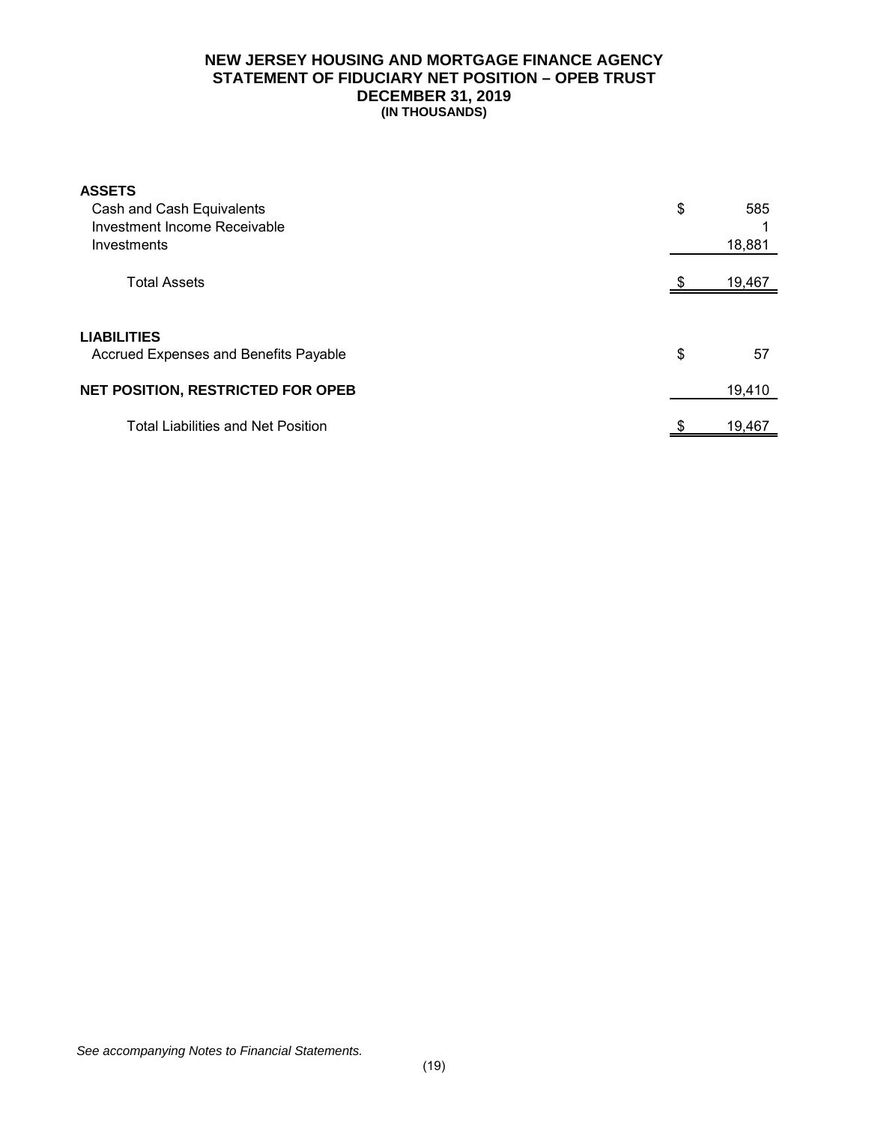### **NEW JERSEY HOUSING AND MORTGAGE FINANCE AGENCY STATEMENT OF FIDUCIARY NET POSITION – OPEB TRUST DECEMBER 31, 2019 (IN THOUSANDS)**

| <b>ASSETS</b><br>Cash and Cash Equivalents<br>Investment Income Receivable<br>Investments | \$<br>585<br>18,881 |
|-------------------------------------------------------------------------------------------|---------------------|
| <b>Total Assets</b>                                                                       | 19,467              |
| <b>LIABILITIES</b><br>Accrued Expenses and Benefits Payable                               | \$<br>57            |
| <b>NET POSITION, RESTRICTED FOR OPEB</b>                                                  | 19,410              |
| <b>Total Liabilities and Net Position</b>                                                 | \$<br>19,467        |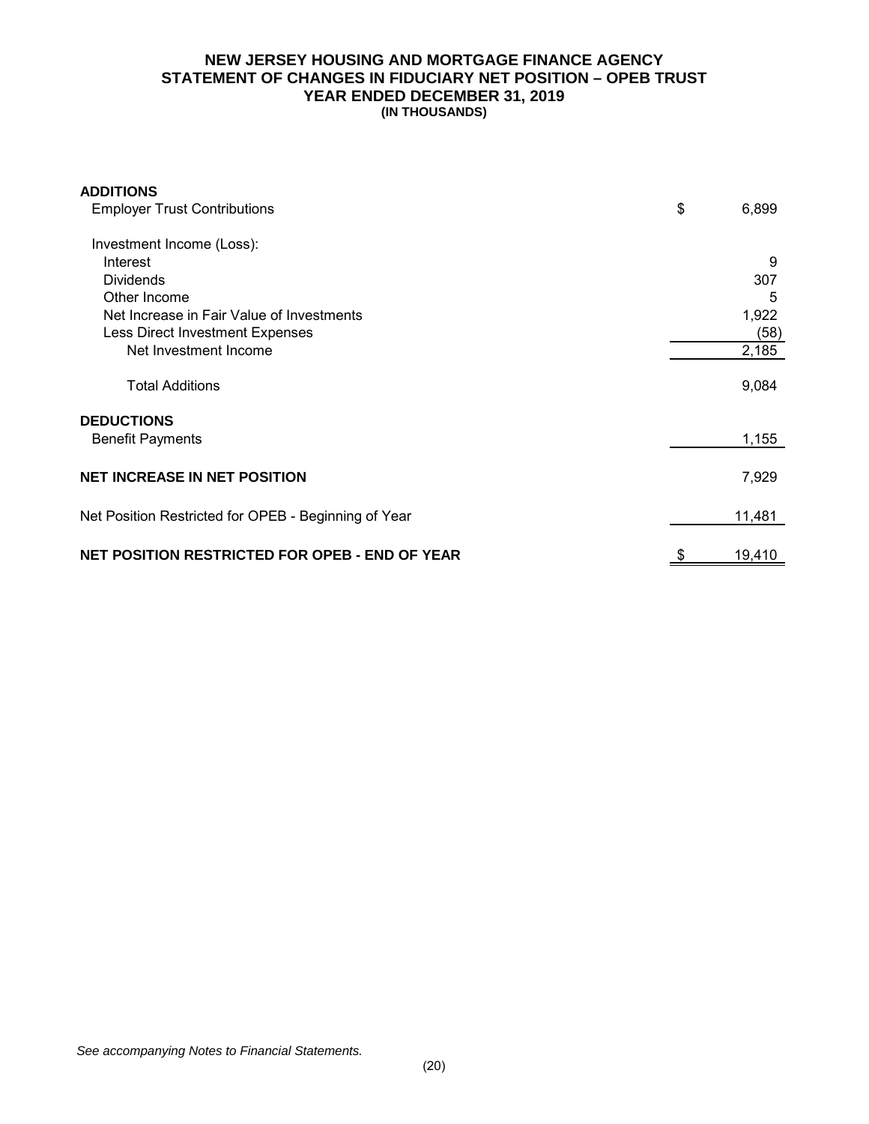### **NEW JERSEY HOUSING AND MORTGAGE FINANCE AGENCY STATEMENT OF CHANGES IN FIDUCIARY NET POSITION – OPEB TRUST YEAR ENDED DECEMBER 31, 2019 (IN THOUSANDS)**

| <b>ADDITIONS</b>                                     |              |
|------------------------------------------------------|--------------|
| <b>Employer Trust Contributions</b>                  | \$<br>6,899  |
| Investment Income (Loss):                            |              |
| Interest                                             | 9            |
| <b>Dividends</b>                                     | 307          |
|                                                      |              |
| Other Income                                         | 5            |
| Net Increase in Fair Value of Investments            | 1,922        |
| Less Direct Investment Expenses                      | (58)         |
| Net Investment Income                                | 2,185        |
|                                                      |              |
| <b>Total Additions</b>                               | 9,084        |
| <b>DEDUCTIONS</b>                                    |              |
| <b>Benefit Payments</b>                              | 1,155        |
|                                                      |              |
|                                                      |              |
| <b>NET INCREASE IN NET POSITION</b>                  | 7,929        |
| Net Position Restricted for OPEB - Beginning of Year | 11,481       |
|                                                      |              |
| NET POSITION RESTRICTED FOR OPEB - END OF YEAR       | \$<br>19,410 |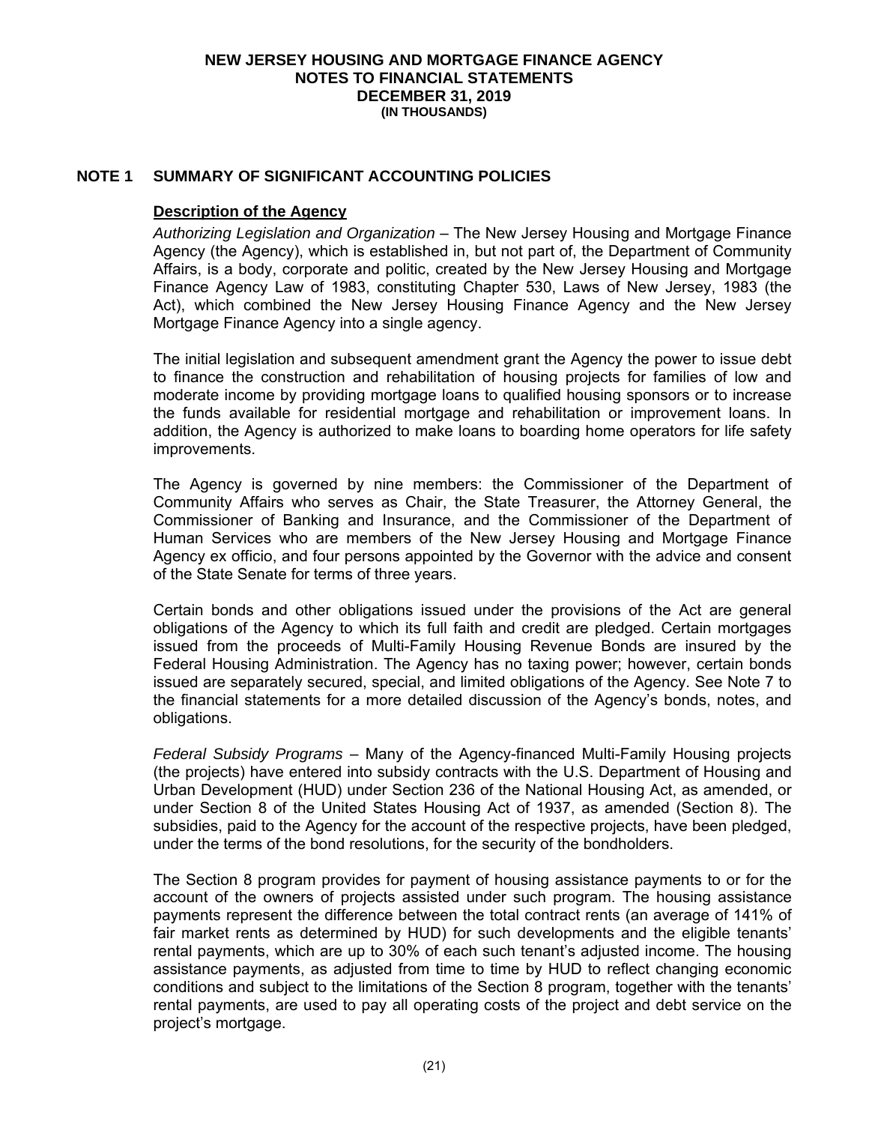### **NOTE 1 SUMMARY OF SIGNIFICANT ACCOUNTING POLICIES**

### **Description of the Agency**

*Authorizing Legislation and Organization* – The New Jersey Housing and Mortgage Finance Agency (the Agency), which is established in, but not part of, the Department of Community Affairs, is a body, corporate and politic, created by the New Jersey Housing and Mortgage Finance Agency Law of 1983, constituting Chapter 530, Laws of New Jersey, 1983 (the Act), which combined the New Jersey Housing Finance Agency and the New Jersey Mortgage Finance Agency into a single agency.

The initial legislation and subsequent amendment grant the Agency the power to issue debt to finance the construction and rehabilitation of housing projects for families of low and moderate income by providing mortgage loans to qualified housing sponsors or to increase the funds available for residential mortgage and rehabilitation or improvement loans. In addition, the Agency is authorized to make loans to boarding home operators for life safety improvements.

The Agency is governed by nine members: the Commissioner of the Department of Community Affairs who serves as Chair, the State Treasurer, the Attorney General, the Commissioner of Banking and Insurance, and the Commissioner of the Department of Human Services who are members of the New Jersey Housing and Mortgage Finance Agency ex officio, and four persons appointed by the Governor with the advice and consent of the State Senate for terms of three years.

Certain bonds and other obligations issued under the provisions of the Act are general obligations of the Agency to which its full faith and credit are pledged. Certain mortgages issued from the proceeds of Multi-Family Housing Revenue Bonds are insured by the Federal Housing Administration. The Agency has no taxing power; however, certain bonds issued are separately secured, special, and limited obligations of the Agency. See Note 7 to the financial statements for a more detailed discussion of the Agency's bonds, notes, and obligations.

*Federal Subsidy Programs* – Many of the Agency-financed Multi-Family Housing projects (the projects) have entered into subsidy contracts with the U.S. Department of Housing and Urban Development (HUD) under Section 236 of the National Housing Act, as amended, or under Section 8 of the United States Housing Act of 1937, as amended (Section 8). The subsidies, paid to the Agency for the account of the respective projects, have been pledged, under the terms of the bond resolutions, for the security of the bondholders.

The Section 8 program provides for payment of housing assistance payments to or for the account of the owners of projects assisted under such program. The housing assistance payments represent the difference between the total contract rents (an average of 141% of fair market rents as determined by HUD) for such developments and the eligible tenants' rental payments, which are up to 30% of each such tenant's adjusted income. The housing assistance payments, as adjusted from time to time by HUD to reflect changing economic conditions and subject to the limitations of the Section 8 program, together with the tenants' rental payments, are used to pay all operating costs of the project and debt service on the project's mortgage.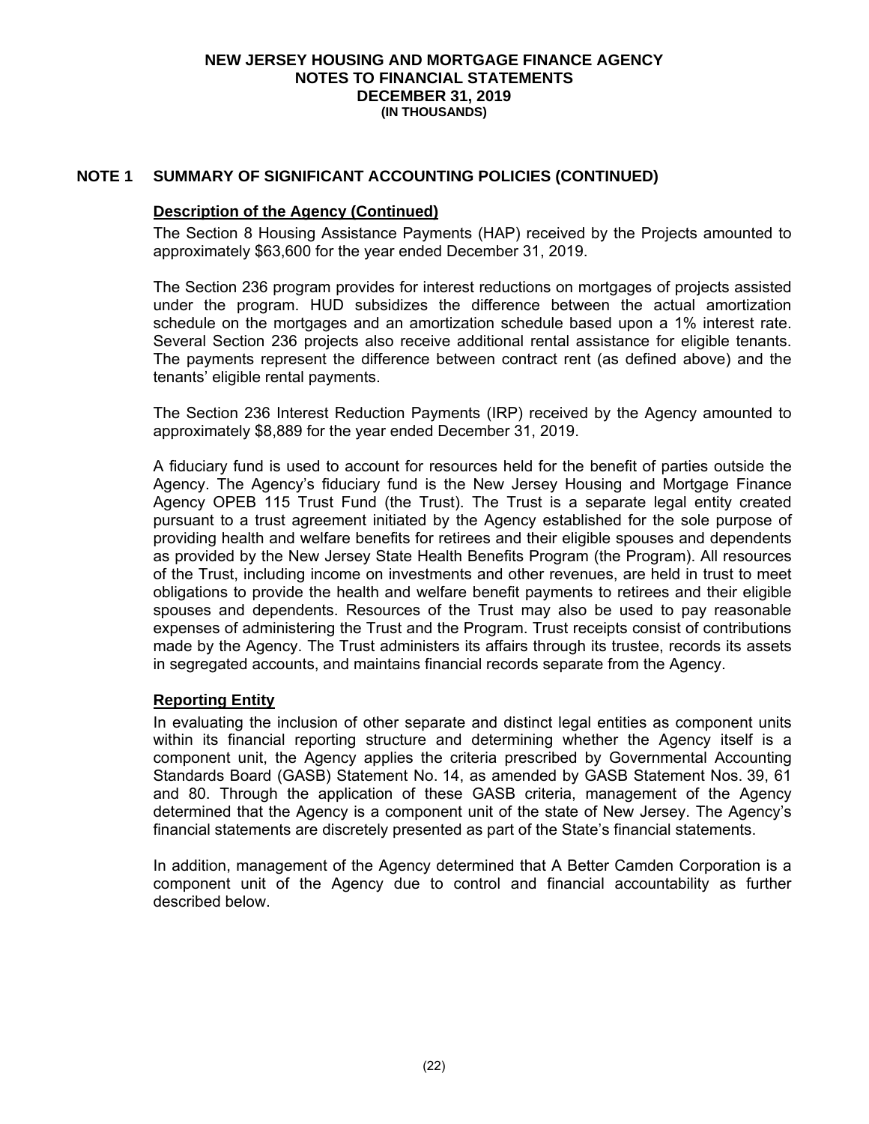### **NOTE 1 SUMMARY OF SIGNIFICANT ACCOUNTING POLICIES (CONTINUED)**

### **Description of the Agency (Continued)**

The Section 8 Housing Assistance Payments (HAP) received by the Projects amounted to approximately \$63,600 for the year ended December 31, 2019.

The Section 236 program provides for interest reductions on mortgages of projects assisted under the program. HUD subsidizes the difference between the actual amortization schedule on the mortgages and an amortization schedule based upon a 1% interest rate. Several Section 236 projects also receive additional rental assistance for eligible tenants. The payments represent the difference between contract rent (as defined above) and the tenants' eligible rental payments.

The Section 236 Interest Reduction Payments (IRP) received by the Agency amounted to approximately \$8,889 for the year ended December 31, 2019.

A fiduciary fund is used to account for resources held for the benefit of parties outside the Agency. The Agency's fiduciary fund is the New Jersey Housing and Mortgage Finance Agency OPEB 115 Trust Fund (the Trust). The Trust is a separate legal entity created pursuant to a trust agreement initiated by the Agency established for the sole purpose of providing health and welfare benefits for retirees and their eligible spouses and dependents as provided by the New Jersey State Health Benefits Program (the Program). All resources of the Trust, including income on investments and other revenues, are held in trust to meet obligations to provide the health and welfare benefit payments to retirees and their eligible spouses and dependents. Resources of the Trust may also be used to pay reasonable expenses of administering the Trust and the Program. Trust receipts consist of contributions made by the Agency. The Trust administers its affairs through its trustee, records its assets in segregated accounts, and maintains financial records separate from the Agency.

### **Reporting Entity**

In evaluating the inclusion of other separate and distinct legal entities as component units within its financial reporting structure and determining whether the Agency itself is a component unit, the Agency applies the criteria prescribed by Governmental Accounting Standards Board (GASB) Statement No. 14, as amended by GASB Statement Nos. 39, 61 and 80. Through the application of these GASB criteria, management of the Agency determined that the Agency is a component unit of the state of New Jersey. The Agency's financial statements are discretely presented as part of the State's financial statements.

In addition, management of the Agency determined that A Better Camden Corporation is a component unit of the Agency due to control and financial accountability as further described below.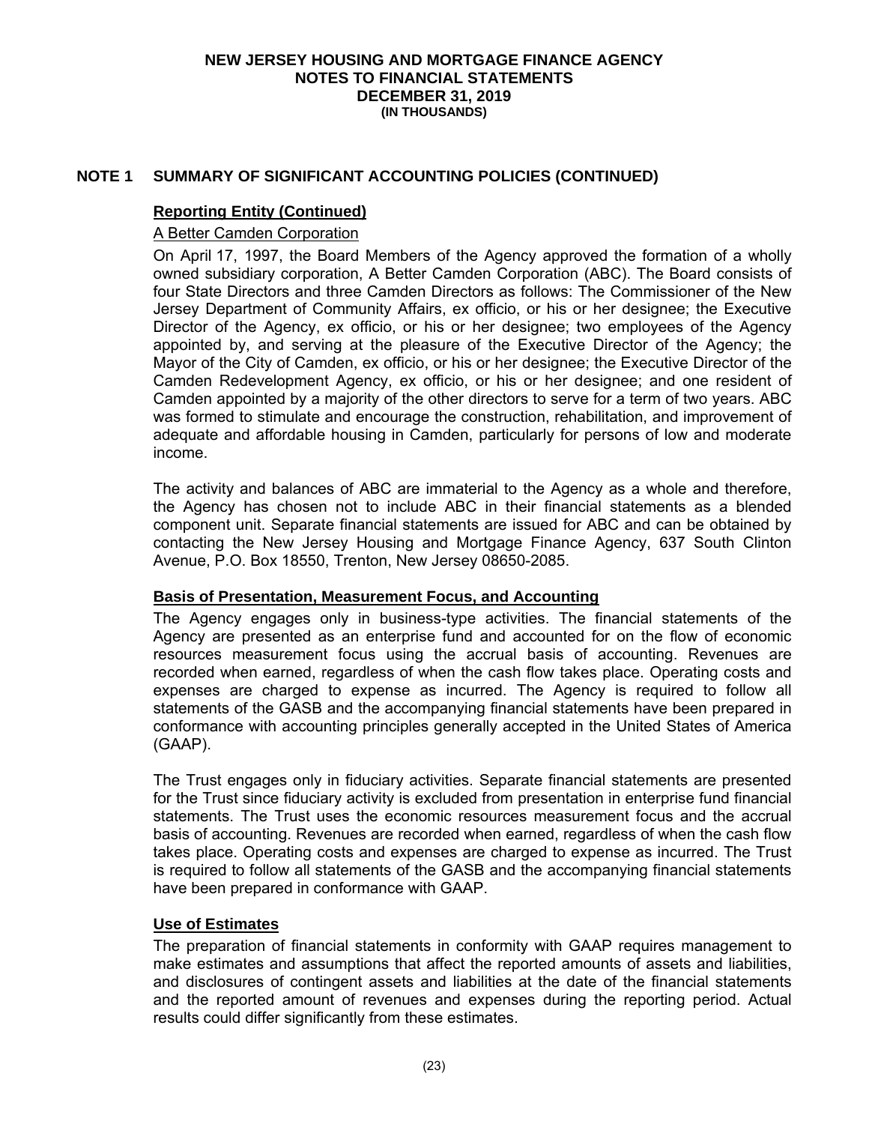### **NOTE 1 SUMMARY OF SIGNIFICANT ACCOUNTING POLICIES (CONTINUED)**

### **Reporting Entity (Continued)**

### A Better Camden Corporation

On April 17, 1997, the Board Members of the Agency approved the formation of a wholly owned subsidiary corporation, A Better Camden Corporation (ABC). The Board consists of four State Directors and three Camden Directors as follows: The Commissioner of the New Jersey Department of Community Affairs, ex officio, or his or her designee; the Executive Director of the Agency, ex officio, or his or her designee; two employees of the Agency appointed by, and serving at the pleasure of the Executive Director of the Agency; the Mayor of the City of Camden, ex officio, or his or her designee; the Executive Director of the Camden Redevelopment Agency, ex officio, or his or her designee; and one resident of Camden appointed by a majority of the other directors to serve for a term of two years. ABC was formed to stimulate and encourage the construction, rehabilitation, and improvement of adequate and affordable housing in Camden, particularly for persons of low and moderate income.

The activity and balances of ABC are immaterial to the Agency as a whole and therefore, the Agency has chosen not to include ABC in their financial statements as a blended component unit. Separate financial statements are issued for ABC and can be obtained by contacting the New Jersey Housing and Mortgage Finance Agency, 637 South Clinton Avenue, P.O. Box 18550, Trenton, New Jersey 08650-2085.

### **Basis of Presentation, Measurement Focus, and Accounting**

The Agency engages only in business-type activities. The financial statements of the Agency are presented as an enterprise fund and accounted for on the flow of economic resources measurement focus using the accrual basis of accounting. Revenues are recorded when earned, regardless of when the cash flow takes place. Operating costs and expenses are charged to expense as incurred. The Agency is required to follow all statements of the GASB and the accompanying financial statements have been prepared in conformance with accounting principles generally accepted in the United States of America (GAAP).

The Trust engages only in fiduciary activities. Separate financial statements are presented for the Trust since fiduciary activity is excluded from presentation in enterprise fund financial statements. The Trust uses the economic resources measurement focus and the accrual basis of accounting. Revenues are recorded when earned, regardless of when the cash flow takes place. Operating costs and expenses are charged to expense as incurred. The Trust is required to follow all statements of the GASB and the accompanying financial statements have been prepared in conformance with GAAP.

### **Use of Estimates**

The preparation of financial statements in conformity with GAAP requires management to make estimates and assumptions that affect the reported amounts of assets and liabilities, and disclosures of contingent assets and liabilities at the date of the financial statements and the reported amount of revenues and expenses during the reporting period. Actual results could differ significantly from these estimates.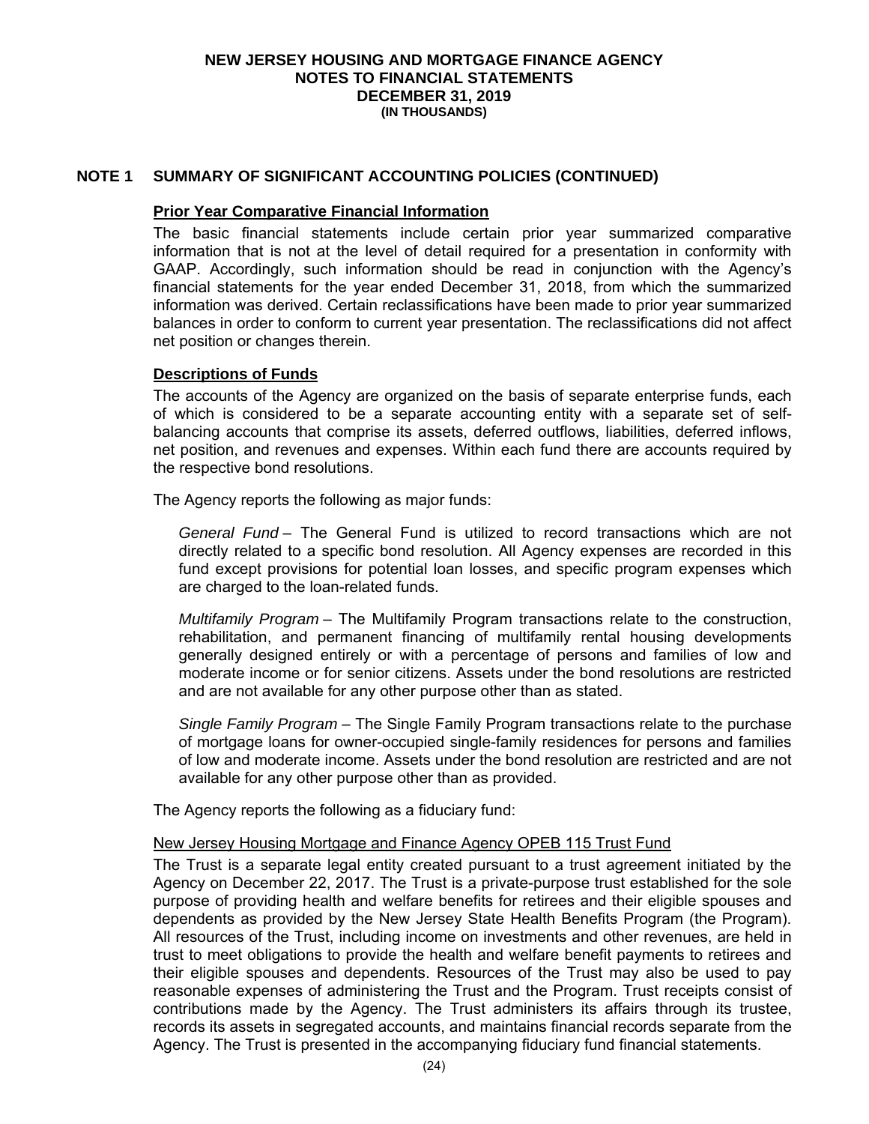### **NOTE 1 SUMMARY OF SIGNIFICANT ACCOUNTING POLICIES (CONTINUED)**

### **Prior Year Comparative Financial Information**

The basic financial statements include certain prior year summarized comparative information that is not at the level of detail required for a presentation in conformity with GAAP. Accordingly, such information should be read in conjunction with the Agency's financial statements for the year ended December 31, 2018, from which the summarized information was derived. Certain reclassifications have been made to prior year summarized balances in order to conform to current year presentation. The reclassifications did not affect net position or changes therein.

### **Descriptions of Funds**

The accounts of the Agency are organized on the basis of separate enterprise funds, each of which is considered to be a separate accounting entity with a separate set of selfbalancing accounts that comprise its assets, deferred outflows, liabilities, deferred inflows, net position, and revenues and expenses. Within each fund there are accounts required by the respective bond resolutions.

The Agency reports the following as major funds:

*General Fund* – The General Fund is utilized to record transactions which are not directly related to a specific bond resolution. All Agency expenses are recorded in this fund except provisions for potential loan losses, and specific program expenses which are charged to the loan-related funds.

*Multifamily Program* – The Multifamily Program transactions relate to the construction, rehabilitation, and permanent financing of multifamily rental housing developments generally designed entirely or with a percentage of persons and families of low and moderate income or for senior citizens. Assets under the bond resolutions are restricted and are not available for any other purpose other than as stated.

*Single Family Program* – The Single Family Program transactions relate to the purchase of mortgage loans for owner-occupied single-family residences for persons and families of low and moderate income. Assets under the bond resolution are restricted and are not available for any other purpose other than as provided.

The Agency reports the following as a fiduciary fund:

### New Jersey Housing Mortgage and Finance Agency OPEB 115 Trust Fund

The Trust is a separate legal entity created pursuant to a trust agreement initiated by the Agency on December 22, 2017. The Trust is a private-purpose trust established for the sole purpose of providing health and welfare benefits for retirees and their eligible spouses and dependents as provided by the New Jersey State Health Benefits Program (the Program). All resources of the Trust, including income on investments and other revenues, are held in trust to meet obligations to provide the health and welfare benefit payments to retirees and their eligible spouses and dependents. Resources of the Trust may also be used to pay reasonable expenses of administering the Trust and the Program. Trust receipts consist of contributions made by the Agency. The Trust administers its affairs through its trustee, records its assets in segregated accounts, and maintains financial records separate from the Agency. The Trust is presented in the accompanying fiduciary fund financial statements.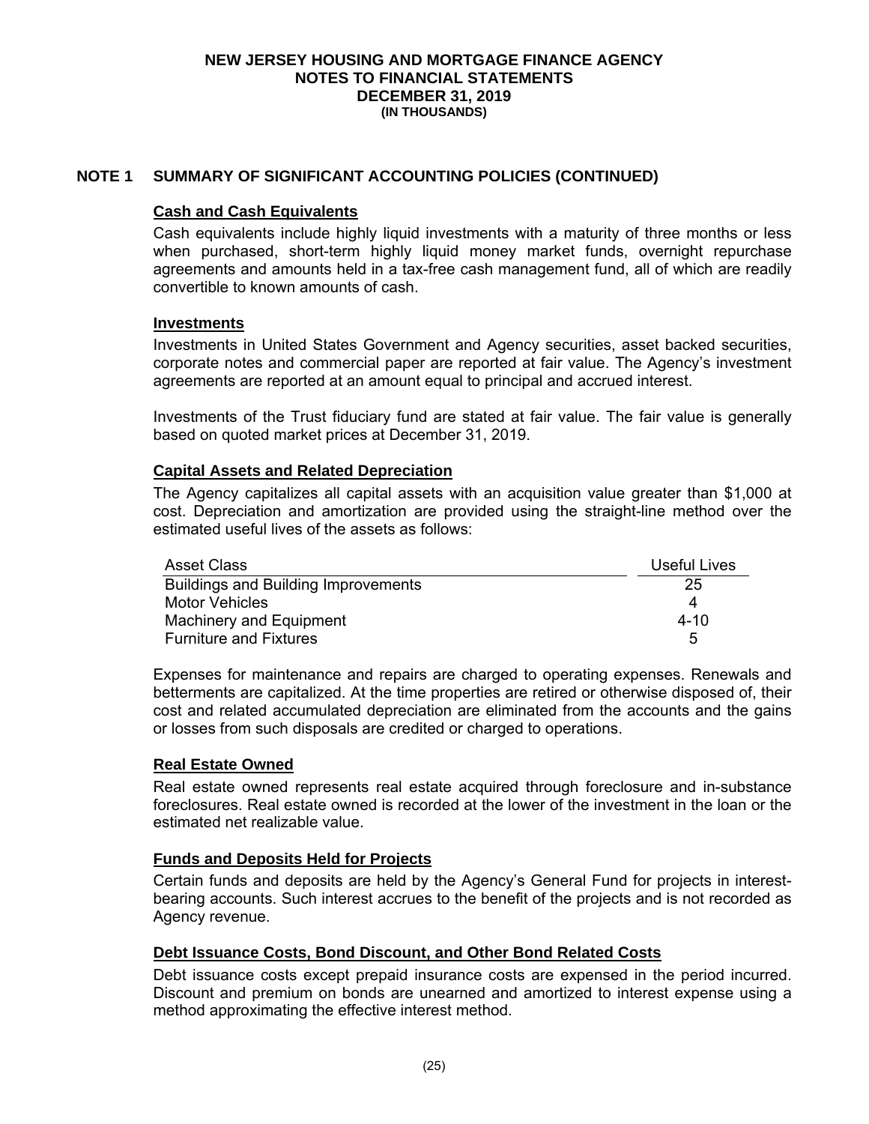### **NOTE 1 SUMMARY OF SIGNIFICANT ACCOUNTING POLICIES (CONTINUED)**

### **Cash and Cash Equivalents**

Cash equivalents include highly liquid investments with a maturity of three months or less when purchased, short-term highly liquid money market funds, overnight repurchase agreements and amounts held in a tax-free cash management fund, all of which are readily convertible to known amounts of cash.

#### **Investments**

Investments in United States Government and Agency securities, asset backed securities, corporate notes and commercial paper are reported at fair value. The Agency's investment agreements are reported at an amount equal to principal and accrued interest.

Investments of the Trust fiduciary fund are stated at fair value. The fair value is generally based on quoted market prices at December 31, 2019.

### **Capital Assets and Related Depreciation**

The Agency capitalizes all capital assets with an acquisition value greater than \$1,000 at cost. Depreciation and amortization are provided using the straight-line method over the estimated useful lives of the assets as follows:

| Asset Class                                | Useful Lives |
|--------------------------------------------|--------------|
| <b>Buildings and Building Improvements</b> | 25           |
| Motor Vehicles                             |              |
| Machinery and Equipment                    | $4 - 10$     |
| <b>Furniture and Fixtures</b>              | 5            |

Expenses for maintenance and repairs are charged to operating expenses. Renewals and betterments are capitalized. At the time properties are retired or otherwise disposed of, their cost and related accumulated depreciation are eliminated from the accounts and the gains or losses from such disposals are credited or charged to operations.

### **Real Estate Owned**

Real estate owned represents real estate acquired through foreclosure and in-substance foreclosures. Real estate owned is recorded at the lower of the investment in the loan or the estimated net realizable value.

### **Funds and Deposits Held for Projects**

Certain funds and deposits are held by the Agency's General Fund for projects in interestbearing accounts. Such interest accrues to the benefit of the projects and is not recorded as Agency revenue.

### **Debt Issuance Costs, Bond Discount, and Other Bond Related Costs**

Debt issuance costs except prepaid insurance costs are expensed in the period incurred. Discount and premium on bonds are unearned and amortized to interest expense using a method approximating the effective interest method.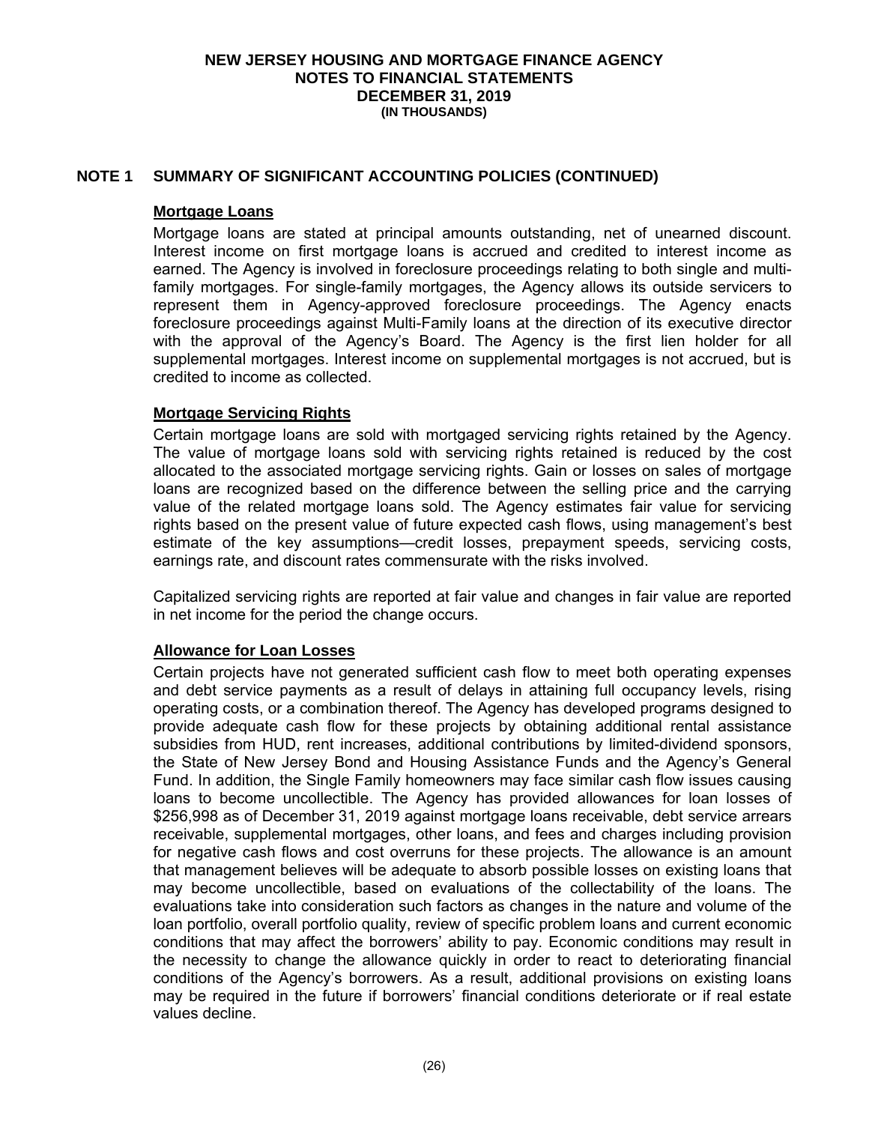### **NOTE 1 SUMMARY OF SIGNIFICANT ACCOUNTING POLICIES (CONTINUED)**

### **Mortgage Loans**

Mortgage loans are stated at principal amounts outstanding, net of unearned discount. Interest income on first mortgage loans is accrued and credited to interest income as earned. The Agency is involved in foreclosure proceedings relating to both single and multifamily mortgages. For single-family mortgages, the Agency allows its outside servicers to represent them in Agency-approved foreclosure proceedings. The Agency enacts foreclosure proceedings against Multi-Family loans at the direction of its executive director with the approval of the Agency's Board. The Agency is the first lien holder for all supplemental mortgages. Interest income on supplemental mortgages is not accrued, but is credited to income as collected.

### **Mortgage Servicing Rights**

Certain mortgage loans are sold with mortgaged servicing rights retained by the Agency. The value of mortgage loans sold with servicing rights retained is reduced by the cost allocated to the associated mortgage servicing rights. Gain or losses on sales of mortgage loans are recognized based on the difference between the selling price and the carrying value of the related mortgage loans sold. The Agency estimates fair value for servicing rights based on the present value of future expected cash flows, using management's best estimate of the key assumptions—credit losses, prepayment speeds, servicing costs, earnings rate, and discount rates commensurate with the risks involved.

Capitalized servicing rights are reported at fair value and changes in fair value are reported in net income for the period the change occurs.

### **Allowance for Loan Losses**

Certain projects have not generated sufficient cash flow to meet both operating expenses and debt service payments as a result of delays in attaining full occupancy levels, rising operating costs, or a combination thereof. The Agency has developed programs designed to provide adequate cash flow for these projects by obtaining additional rental assistance subsidies from HUD, rent increases, additional contributions by limited-dividend sponsors, the State of New Jersey Bond and Housing Assistance Funds and the Agency's General Fund. In addition, the Single Family homeowners may face similar cash flow issues causing loans to become uncollectible. The Agency has provided allowances for loan losses of \$256,998 as of December 31, 2019 against mortgage loans receivable, debt service arrears receivable, supplemental mortgages, other loans, and fees and charges including provision for negative cash flows and cost overruns for these projects. The allowance is an amount that management believes will be adequate to absorb possible losses on existing loans that may become uncollectible, based on evaluations of the collectability of the loans. The evaluations take into consideration such factors as changes in the nature and volume of the loan portfolio, overall portfolio quality, review of specific problem loans and current economic conditions that may affect the borrowers' ability to pay. Economic conditions may result in the necessity to change the allowance quickly in order to react to deteriorating financial conditions of the Agency's borrowers. As a result, additional provisions on existing loans may be required in the future if borrowers' financial conditions deteriorate or if real estate values decline.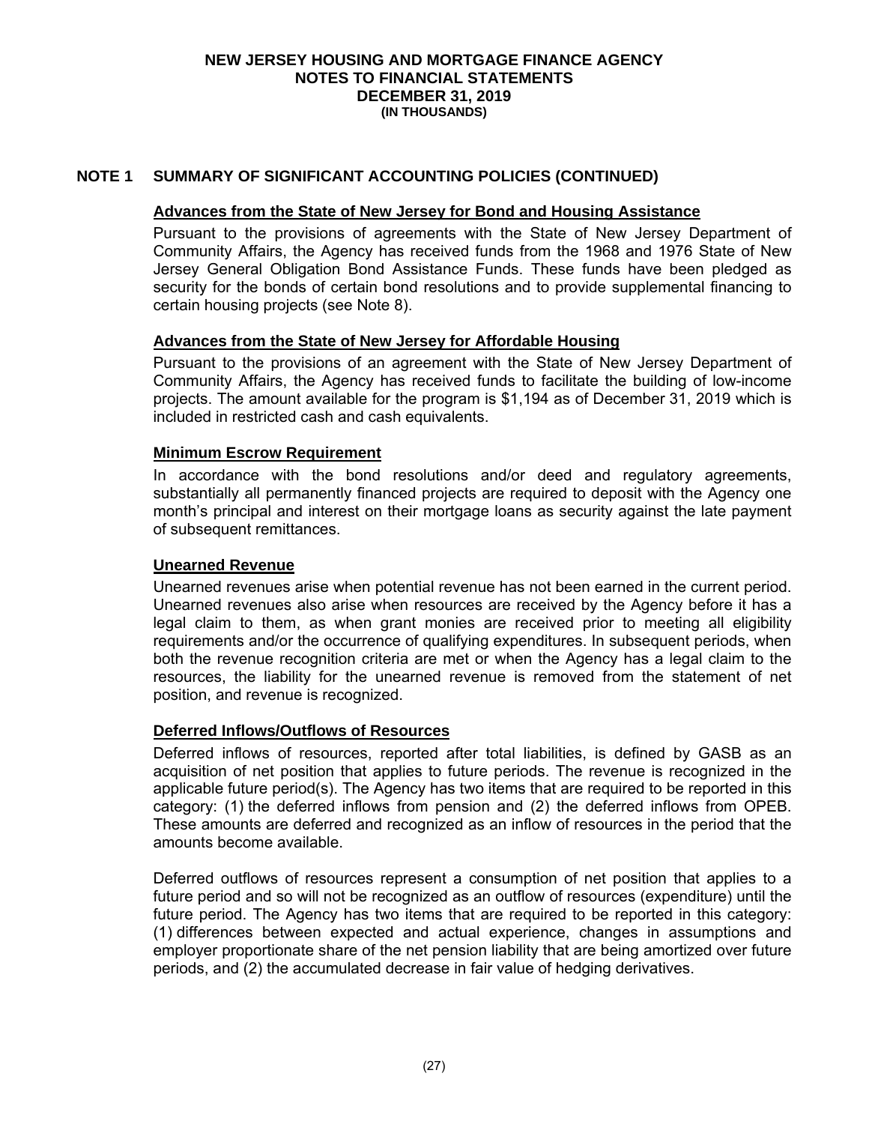## **NOTE 1 SUMMARY OF SIGNIFICANT ACCOUNTING POLICIES (CONTINUED)**

### **Advances from the State of New Jersey for Bond and Housing Assistance**

Pursuant to the provisions of agreements with the State of New Jersey Department of Community Affairs, the Agency has received funds from the 1968 and 1976 State of New Jersey General Obligation Bond Assistance Funds. These funds have been pledged as security for the bonds of certain bond resolutions and to provide supplemental financing to certain housing projects (see Note 8).

### **Advances from the State of New Jersey for Affordable Housing**

Pursuant to the provisions of an agreement with the State of New Jersey Department of Community Affairs, the Agency has received funds to facilitate the building of low-income projects. The amount available for the program is \$1,194 as of December 31, 2019 which is included in restricted cash and cash equivalents.

### **Minimum Escrow Requirement**

In accordance with the bond resolutions and/or deed and regulatory agreements, substantially all permanently financed projects are required to deposit with the Agency one month's principal and interest on their mortgage loans as security against the late payment of subsequent remittances.

### **Unearned Revenue**

Unearned revenues arise when potential revenue has not been earned in the current period. Unearned revenues also arise when resources are received by the Agency before it has a legal claim to them, as when grant monies are received prior to meeting all eligibility requirements and/or the occurrence of qualifying expenditures. In subsequent periods, when both the revenue recognition criteria are met or when the Agency has a legal claim to the resources, the liability for the unearned revenue is removed from the statement of net position, and revenue is recognized.

### **Deferred Inflows/Outflows of Resources**

Deferred inflows of resources, reported after total liabilities, is defined by GASB as an acquisition of net position that applies to future periods. The revenue is recognized in the applicable future period(s). The Agency has two items that are required to be reported in this category: (1) the deferred inflows from pension and (2) the deferred inflows from OPEB. These amounts are deferred and recognized as an inflow of resources in the period that the amounts become available.

Deferred outflows of resources represent a consumption of net position that applies to a future period and so will not be recognized as an outflow of resources (expenditure) until the future period. The Agency has two items that are required to be reported in this category: (1) differences between expected and actual experience, changes in assumptions and employer proportionate share of the net pension liability that are being amortized over future periods, and (2) the accumulated decrease in fair value of hedging derivatives.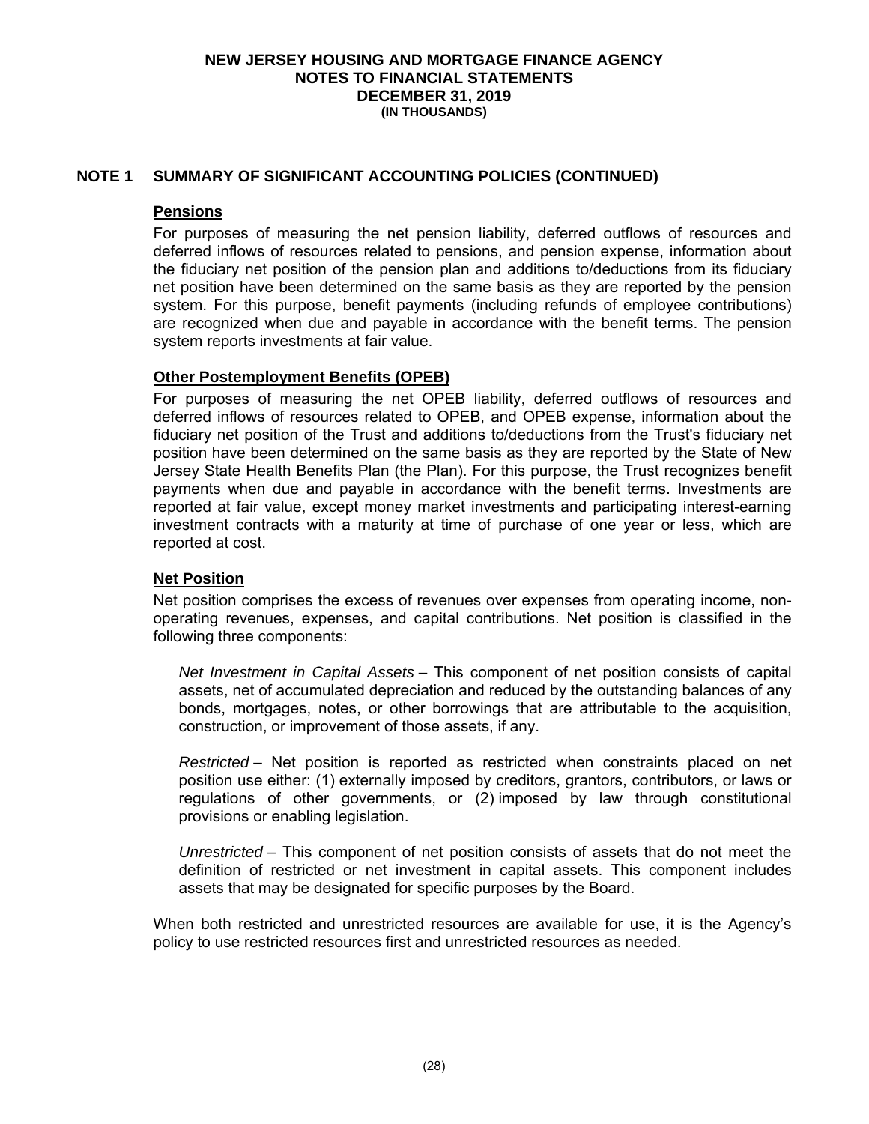## **NOTE 1 SUMMARY OF SIGNIFICANT ACCOUNTING POLICIES (CONTINUED)**

### **Pensions**

For purposes of measuring the net pension liability, deferred outflows of resources and deferred inflows of resources related to pensions, and pension expense, information about the fiduciary net position of the pension plan and additions to/deductions from its fiduciary net position have been determined on the same basis as they are reported by the pension system. For this purpose, benefit payments (including refunds of employee contributions) are recognized when due and payable in accordance with the benefit terms. The pension system reports investments at fair value.

### **Other Postemployment Benefits (OPEB)**

For purposes of measuring the net OPEB liability, deferred outflows of resources and deferred inflows of resources related to OPEB, and OPEB expense, information about the fiduciary net position of the Trust and additions to/deductions from the Trust's fiduciary net position have been determined on the same basis as they are reported by the State of New Jersey State Health Benefits Plan (the Plan). For this purpose, the Trust recognizes benefit payments when due and payable in accordance with the benefit terms. Investments are reported at fair value, except money market investments and participating interest-earning investment contracts with a maturity at time of purchase of one year or less, which are reported at cost.

### **Net Position**

Net position comprises the excess of revenues over expenses from operating income, nonoperating revenues, expenses, and capital contributions. Net position is classified in the following three components:

*Net Investment in Capital Assets* – This component of net position consists of capital assets, net of accumulated depreciation and reduced by the outstanding balances of any bonds, mortgages, notes, or other borrowings that are attributable to the acquisition, construction, or improvement of those assets, if any.

*Restricted* – Net position is reported as restricted when constraints placed on net position use either: (1) externally imposed by creditors, grantors, contributors, or laws or regulations of other governments, or (2) imposed by law through constitutional provisions or enabling legislation.

*Unrestricted* – This component of net position consists of assets that do not meet the definition of restricted or net investment in capital assets. This component includes assets that may be designated for specific purposes by the Board.

When both restricted and unrestricted resources are available for use, it is the Agency's policy to use restricted resources first and unrestricted resources as needed.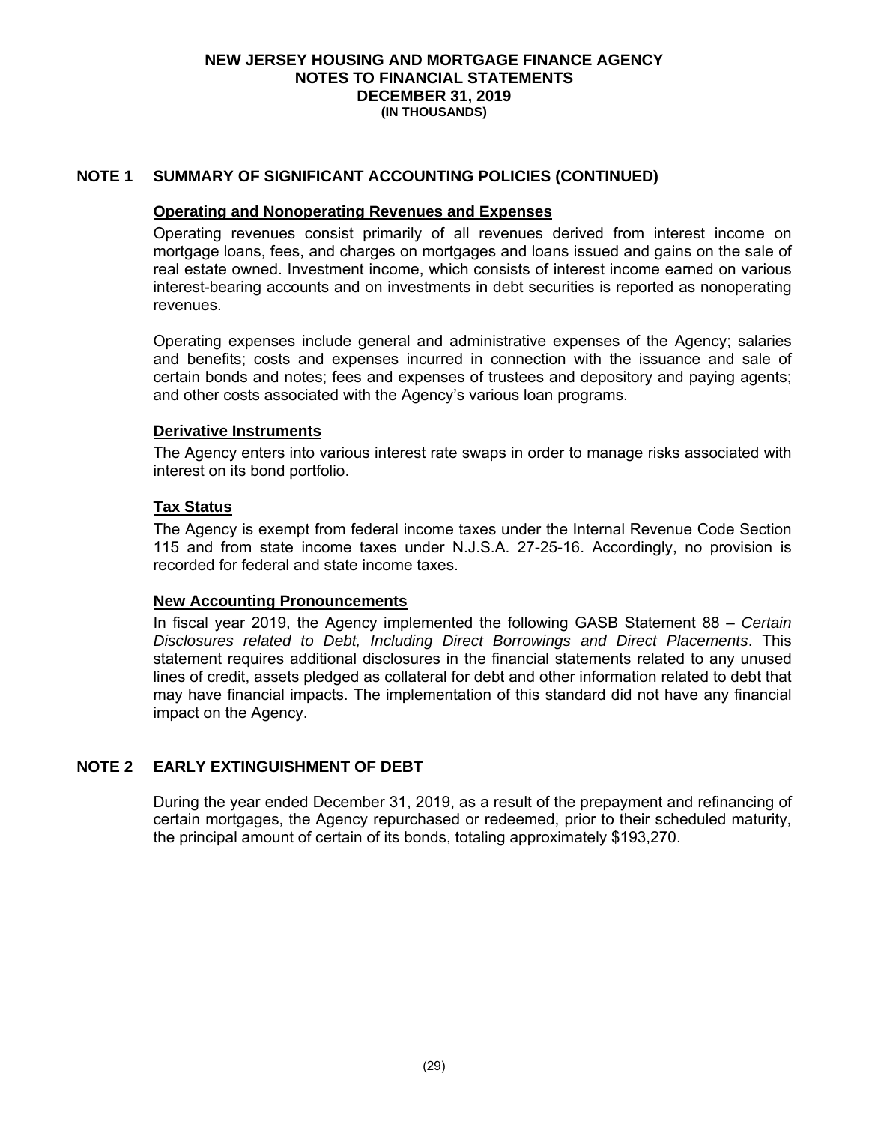## **NOTE 1 SUMMARY OF SIGNIFICANT ACCOUNTING POLICIES (CONTINUED)**

### **Operating and Nonoperating Revenues and Expenses**

Operating revenues consist primarily of all revenues derived from interest income on mortgage loans, fees, and charges on mortgages and loans issued and gains on the sale of real estate owned. Investment income, which consists of interest income earned on various interest-bearing accounts and on investments in debt securities is reported as nonoperating revenues.

Operating expenses include general and administrative expenses of the Agency; salaries and benefits; costs and expenses incurred in connection with the issuance and sale of certain bonds and notes; fees and expenses of trustees and depository and paying agents; and other costs associated with the Agency's various loan programs.

#### **Derivative Instruments**

The Agency enters into various interest rate swaps in order to manage risks associated with interest on its bond portfolio.

### **Tax Status**

The Agency is exempt from federal income taxes under the Internal Revenue Code Section 115 and from state income taxes under N.J.S.A. 27-25-16. Accordingly, no provision is recorded for federal and state income taxes.

### **New Accounting Pronouncements**

In fiscal year 2019, the Agency implemented the following GASB Statement 88 – *Certain Disclosures related to Debt, Including Direct Borrowings and Direct Placements*. This statement requires additional disclosures in the financial statements related to any unused lines of credit, assets pledged as collateral for debt and other information related to debt that may have financial impacts. The implementation of this standard did not have any financial impact on the Agency.

# **NOTE 2 EARLY EXTINGUISHMENT OF DEBT**

During the year ended December 31, 2019, as a result of the prepayment and refinancing of certain mortgages, the Agency repurchased or redeemed, prior to their scheduled maturity, the principal amount of certain of its bonds, totaling approximately \$193,270.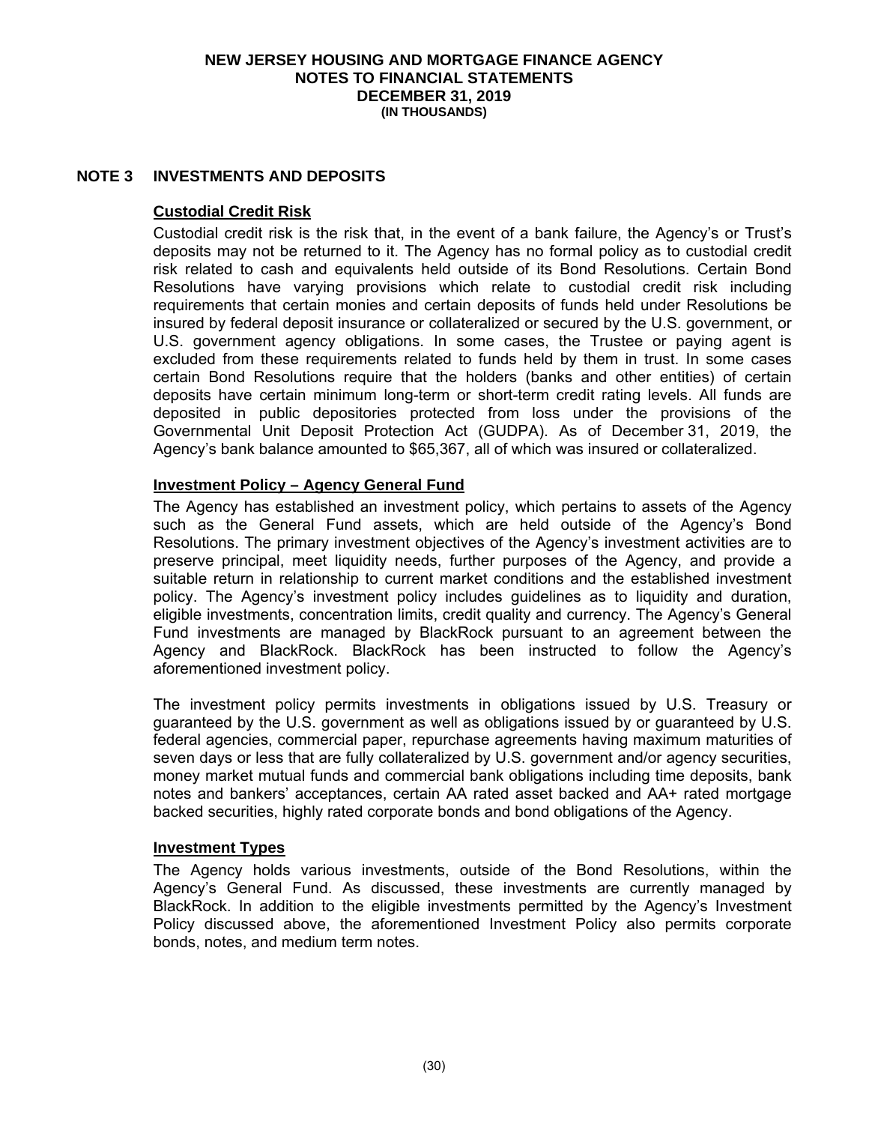### **NOTE 3 INVESTMENTS AND DEPOSITS**

### **Custodial Credit Risk**

Custodial credit risk is the risk that, in the event of a bank failure, the Agency's or Trust's deposits may not be returned to it. The Agency has no formal policy as to custodial credit risk related to cash and equivalents held outside of its Bond Resolutions. Certain Bond Resolutions have varying provisions which relate to custodial credit risk including requirements that certain monies and certain deposits of funds held under Resolutions be insured by federal deposit insurance or collateralized or secured by the U.S. government, or U.S. government agency obligations. In some cases, the Trustee or paying agent is excluded from these requirements related to funds held by them in trust. In some cases certain Bond Resolutions require that the holders (banks and other entities) of certain deposits have certain minimum long-term or short-term credit rating levels. All funds are deposited in public depositories protected from loss under the provisions of the Governmental Unit Deposit Protection Act (GUDPA). As of December 31, 2019, the Agency's bank balance amounted to \$65,367, all of which was insured or collateralized.

### **Investment Policy – Agency General Fund**

The Agency has established an investment policy, which pertains to assets of the Agency such as the General Fund assets, which are held outside of the Agency's Bond Resolutions. The primary investment objectives of the Agency's investment activities are to preserve principal, meet liquidity needs, further purposes of the Agency, and provide a suitable return in relationship to current market conditions and the established investment policy. The Agency's investment policy includes guidelines as to liquidity and duration, eligible investments, concentration limits, credit quality and currency. The Agency's General Fund investments are managed by BlackRock pursuant to an agreement between the Agency and BlackRock. BlackRock has been instructed to follow the Agency's aforementioned investment policy.

The investment policy permits investments in obligations issued by U.S. Treasury or guaranteed by the U.S. government as well as obligations issued by or guaranteed by U.S. federal agencies, commercial paper, repurchase agreements having maximum maturities of seven days or less that are fully collateralized by U.S. government and/or agency securities, money market mutual funds and commercial bank obligations including time deposits, bank notes and bankers' acceptances, certain AA rated asset backed and AA+ rated mortgage backed securities, highly rated corporate bonds and bond obligations of the Agency.

### **Investment Types**

The Agency holds various investments, outside of the Bond Resolutions, within the Agency's General Fund. As discussed, these investments are currently managed by BlackRock. In addition to the eligible investments permitted by the Agency's Investment Policy discussed above, the aforementioned Investment Policy also permits corporate bonds, notes, and medium term notes.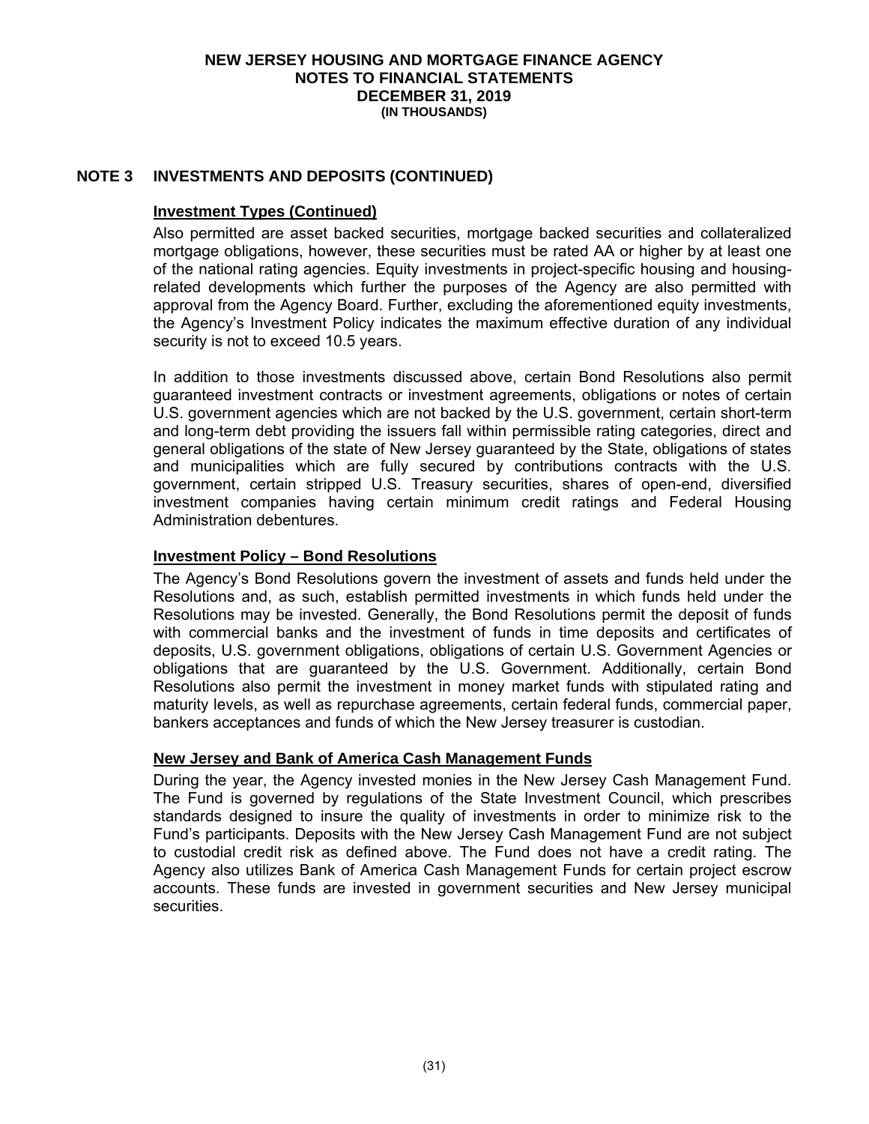### **NOTE 3 INVESTMENTS AND DEPOSITS (CONTINUED)**

### **Investment Types (Continued)**

Also permitted are asset backed securities, mortgage backed securities and collateralized mortgage obligations, however, these securities must be rated AA or higher by at least one of the national rating agencies. Equity investments in project-specific housing and housingrelated developments which further the purposes of the Agency are also permitted with approval from the Agency Board. Further, excluding the aforementioned equity investments, the Agency's Investment Policy indicates the maximum effective duration of any individual security is not to exceed 10.5 years.

In addition to those investments discussed above, certain Bond Resolutions also permit guaranteed investment contracts or investment agreements, obligations or notes of certain U.S. government agencies which are not backed by the U.S. government, certain short-term and long-term debt providing the issuers fall within permissible rating categories, direct and general obligations of the state of New Jersey guaranteed by the State, obligations of states and municipalities which are fully secured by contributions contracts with the U.S. government, certain stripped U.S. Treasury securities, shares of open-end, diversified investment companies having certain minimum credit ratings and Federal Housing Administration debentures.

### **Investment Policy – Bond Resolutions**

The Agency's Bond Resolutions govern the investment of assets and funds held under the Resolutions and, as such, establish permitted investments in which funds held under the Resolutions may be invested. Generally, the Bond Resolutions permit the deposit of funds with commercial banks and the investment of funds in time deposits and certificates of deposits, U.S. government obligations, obligations of certain U.S. Government Agencies or obligations that are guaranteed by the U.S. Government. Additionally, certain Bond Resolutions also permit the investment in money market funds with stipulated rating and maturity levels, as well as repurchase agreements, certain federal funds, commercial paper, bankers acceptances and funds of which the New Jersey treasurer is custodian.

### **New Jersey and Bank of America Cash Management Funds**

During the year, the Agency invested monies in the New Jersey Cash Management Fund. The Fund is governed by regulations of the State Investment Council, which prescribes standards designed to insure the quality of investments in order to minimize risk to the Fund's participants. Deposits with the New Jersey Cash Management Fund are not subject to custodial credit risk as defined above. The Fund does not have a credit rating. The Agency also utilizes Bank of America Cash Management Funds for certain project escrow accounts. These funds are invested in government securities and New Jersey municipal securities.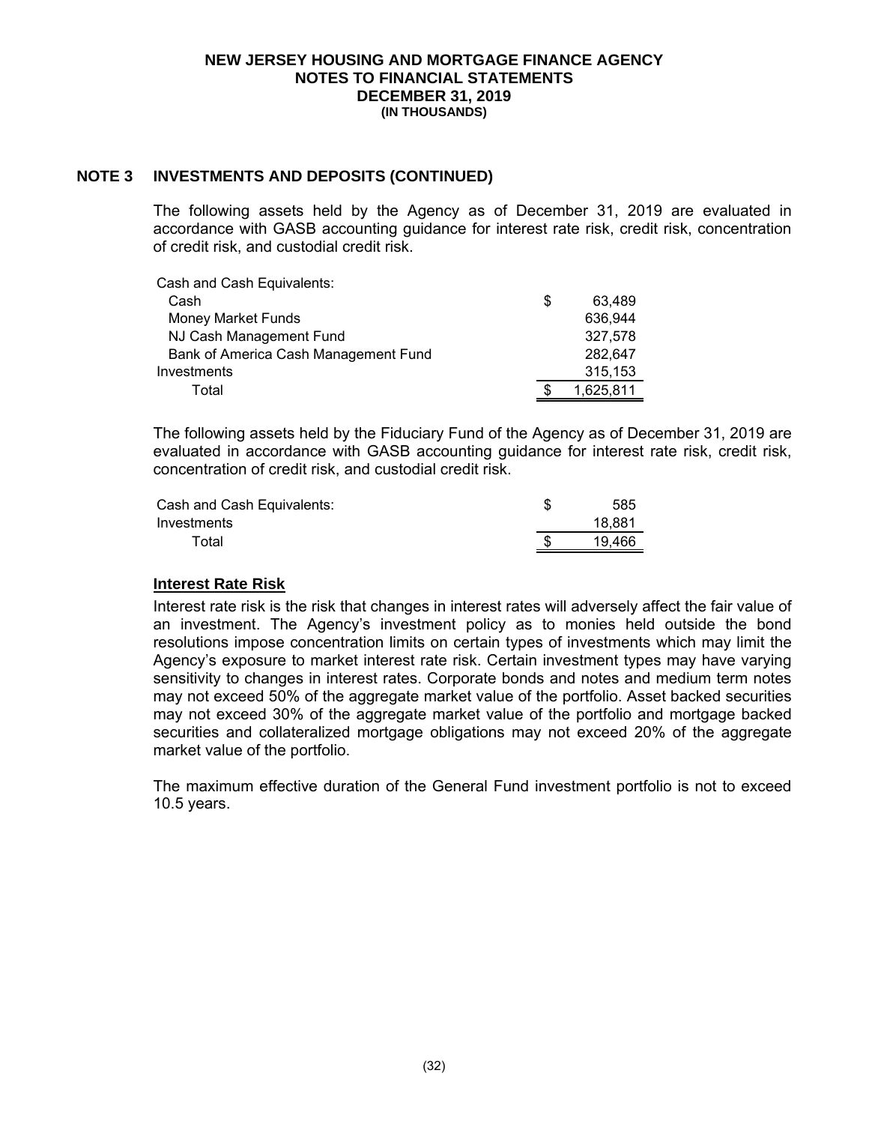### **NOTE 3 INVESTMENTS AND DEPOSITS (CONTINUED)**

The following assets held by the Agency as of December 31, 2019 are evaluated in accordance with GASB accounting guidance for interest rate risk, credit risk, concentration of credit risk, and custodial credit risk.

| Cash and Cash Equivalents:           |   |           |
|--------------------------------------|---|-----------|
| Cash                                 | S | 63.489    |
| Money Market Funds                   |   | 636.944   |
| NJ Cash Management Fund              |   | 327,578   |
| Bank of America Cash Management Fund |   | 282,647   |
| Investments                          |   | 315,153   |
| Total                                |   | 1.625.811 |

The following assets held by the Fiduciary Fund of the Agency as of December 31, 2019 are evaluated in accordance with GASB accounting guidance for interest rate risk, credit risk, concentration of credit risk, and custodial credit risk.

| Cash and Cash Equivalents: | 585    |
|----------------------------|--------|
| Investments                | 18.881 |
| Total                      | 19.466 |

### **Interest Rate Risk**

Interest rate risk is the risk that changes in interest rates will adversely affect the fair value of an investment. The Agency's investment policy as to monies held outside the bond resolutions impose concentration limits on certain types of investments which may limit the Agency's exposure to market interest rate risk. Certain investment types may have varying sensitivity to changes in interest rates. Corporate bonds and notes and medium term notes may not exceed 50% of the aggregate market value of the portfolio. Asset backed securities may not exceed 30% of the aggregate market value of the portfolio and mortgage backed securities and collateralized mortgage obligations may not exceed 20% of the aggregate market value of the portfolio.

The maximum effective duration of the General Fund investment portfolio is not to exceed 10.5 years.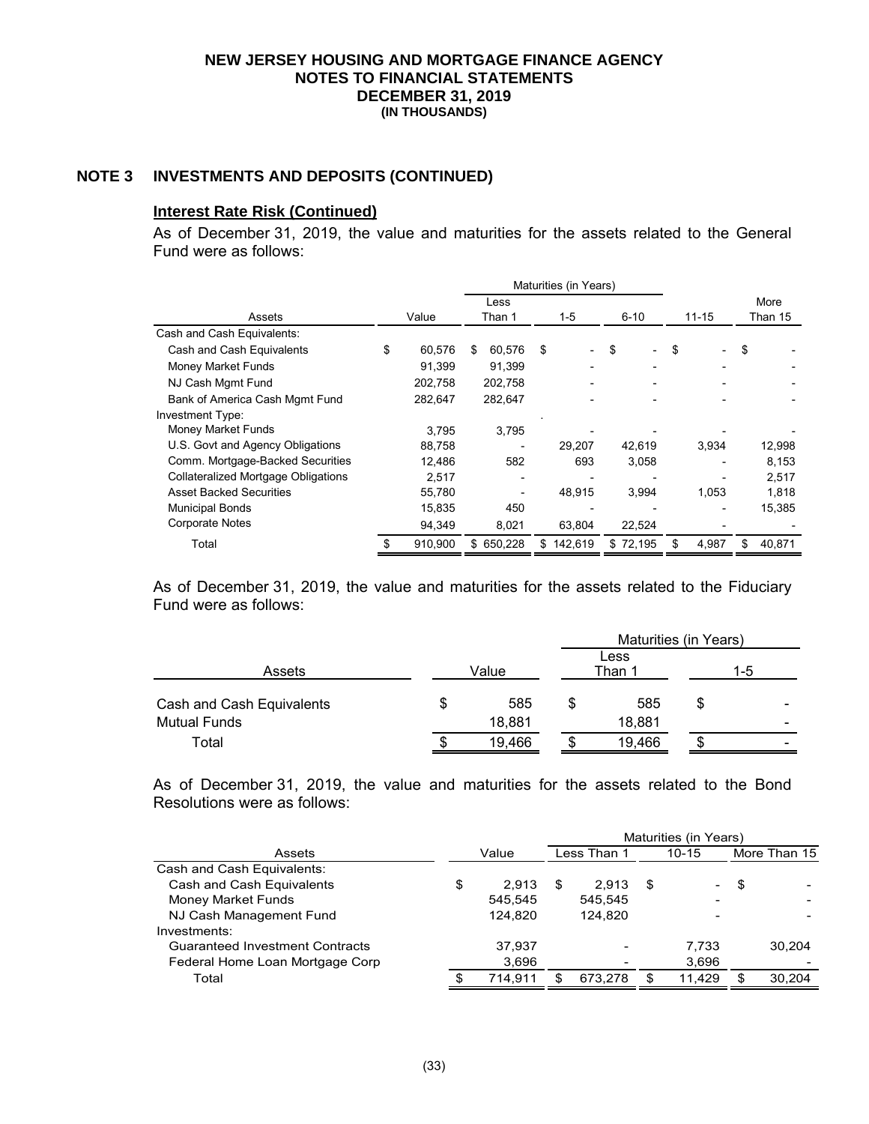### **NOTE 3 INVESTMENTS AND DEPOSITS (CONTINUED)**

## **Interest Rate Risk (Continued)**

As of December 31, 2019, the value and maturities for the assets related to the General Fund were as follows:

|                                            | Maturities (in Years) |         |    |           |     |         |    |          |    |           |         |
|--------------------------------------------|-----------------------|---------|----|-----------|-----|---------|----|----------|----|-----------|---------|
|                                            |                       |         |    | Less      |     |         |    |          |    |           | More    |
| Assets                                     |                       | Value   |    | Than 1    |     | 1-5     |    | $6 - 10$ |    | $11 - 15$ | Than 15 |
| Cash and Cash Equivalents:                 |                       |         |    |           |     |         |    |          |    |           |         |
| Cash and Cash Equivalents                  | \$                    | 60.576  | \$ | 60,576    | \$  | Ξ.      | \$ |          | \$ |           | \$      |
| <b>Money Market Funds</b>                  |                       | 91,399  |    | 91,399    |     |         |    |          |    |           |         |
| NJ Cash Mgmt Fund                          |                       | 202,758 |    | 202,758   |     | ٠       |    |          |    |           |         |
| Bank of America Cash Mgmt Fund             |                       | 282,647 |    | 282,647   |     |         |    |          |    |           |         |
| Investment Type:                           |                       |         |    |           |     |         |    |          |    |           |         |
| Money Market Funds                         |                       | 3.795   |    | 3,795     |     |         |    |          |    |           |         |
| U.S. Govt and Agency Obligations           |                       | 88.758  |    |           |     | 29,207  |    | 42,619   |    | 3,934     | 12,998  |
| Comm. Mortgage-Backed Securities           |                       | 12,486  |    | 582       |     | 693     |    | 3,058    |    |           | 8,153   |
| <b>Collateralized Mortgage Obligations</b> |                       | 2,517   |    |           |     |         |    |          |    |           | 2,517   |
| <b>Asset Backed Securities</b>             |                       | 55,780  |    |           |     | 48,915  |    | 3,994    |    | 1,053     | 1,818   |
| <b>Municipal Bonds</b>                     |                       | 15,835  |    | 450       |     |         |    |          |    |           | 15,385  |
| <b>Corporate Notes</b>                     |                       | 94,349  |    | 8,021     |     | 63,804  |    | 22,524   |    |           |         |
| Total                                      |                       | 910,900 |    | \$650,228 | \$. | 142,619 |    | \$72,195 | \$ | 4,987     | 40,871  |

As of December 31, 2019, the value and maturities for the assets related to the Fiduciary Fund were as follows:

|                           |        |                | Maturities (in Years) |   |
|---------------------------|--------|----------------|-----------------------|---|
| Assets                    |        | Less<br>Than 1 | 1-5                   |   |
|                           | Value  |                |                       |   |
| Cash and Cash Equivalents | 585    | S              | 585                   |   |
| <b>Mutual Funds</b>       | 18,881 |                | 18,881                | - |
| Total                     | 19,466 |                | 19.466                | - |

As of December 31, 2019, the value and maturities for the assets related to the Bond Resolutions were as follows:

|                                        |       |         | Maturities (in Years) |         |         |        |    |              |  |
|----------------------------------------|-------|---------|-----------------------|---------|---------|--------|----|--------------|--|
| Assets                                 | Value |         | Less Than 1           |         | $10-15$ |        |    | More Than 15 |  |
| Cash and Cash Equivalents:             |       |         |                       |         |         |        |    |              |  |
| Cash and Cash Equivalents              | \$    | 2.913   | S                     | 2.913   | \$      | ۰      | \$ |              |  |
| Money Market Funds                     |       | 545.545 |                       | 545.545 |         |        |    |              |  |
| NJ Cash Management Fund                |       | 124.820 |                       | 124.820 |         |        |    |              |  |
| Investments:                           |       |         |                       |         |         |        |    |              |  |
| <b>Guaranteed Investment Contracts</b> |       | 37.937  |                       |         |         | 7.733  |    | 30.204       |  |
| Federal Home Loan Mortgage Corp        |       | 3,696   |                       |         |         | 3,696  |    |              |  |
| Total                                  |       | 714,911 |                       | 673,278 | \$.     | 11,429 | \$ | 30,204       |  |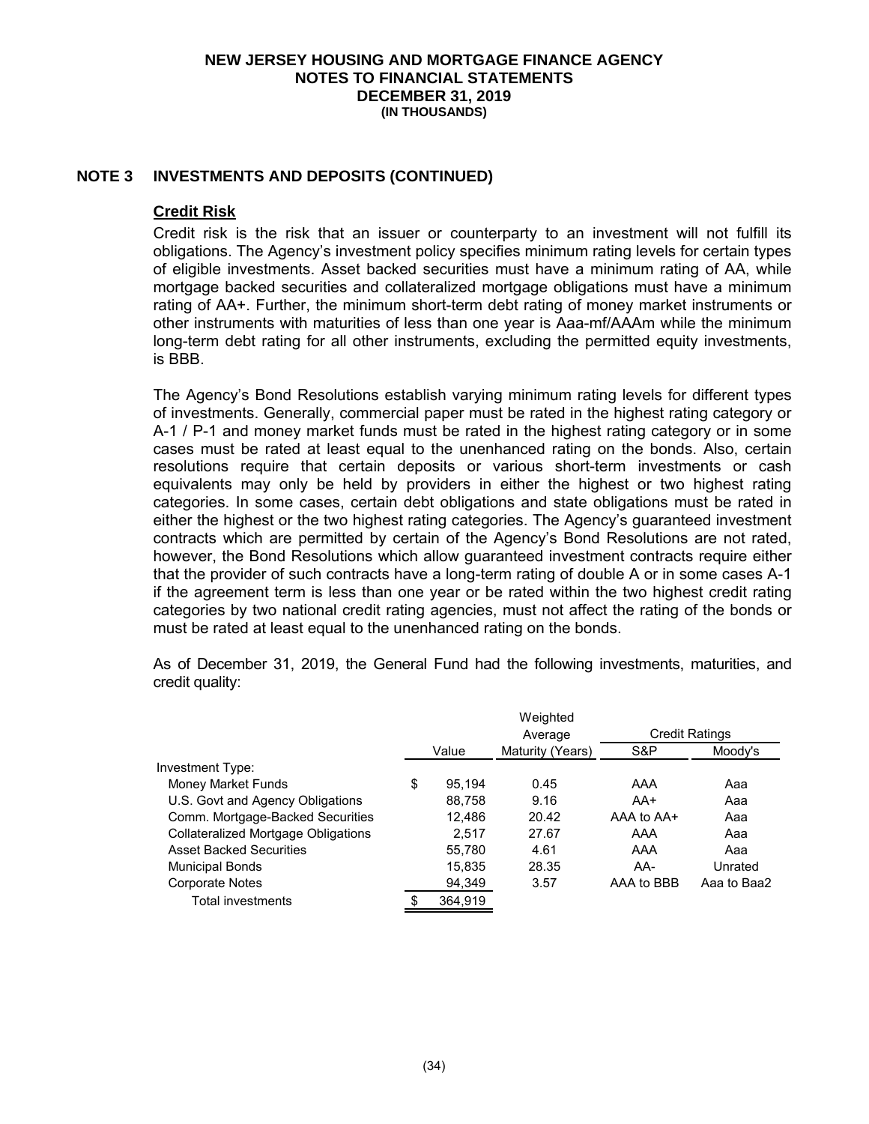### **NOTE 3 INVESTMENTS AND DEPOSITS (CONTINUED)**

### **Credit Risk**

Credit risk is the risk that an issuer or counterparty to an investment will not fulfill its obligations. The Agency's investment policy specifies minimum rating levels for certain types of eligible investments. Asset backed securities must have a minimum rating of AA, while mortgage backed securities and collateralized mortgage obligations must have a minimum rating of AA+. Further, the minimum short-term debt rating of money market instruments or other instruments with maturities of less than one year is Aaa-mf/AAAm while the minimum long-term debt rating for all other instruments, excluding the permitted equity investments, is BBB.

The Agency's Bond Resolutions establish varying minimum rating levels for different types of investments. Generally, commercial paper must be rated in the highest rating category or A-1 / P-1 and money market funds must be rated in the highest rating category or in some cases must be rated at least equal to the unenhanced rating on the bonds. Also, certain resolutions require that certain deposits or various short-term investments or cash equivalents may only be held by providers in either the highest or two highest rating categories. In some cases, certain debt obligations and state obligations must be rated in either the highest or the two highest rating categories. The Agency's guaranteed investment contracts which are permitted by certain of the Agency's Bond Resolutions are not rated, however, the Bond Resolutions which allow guaranteed investment contracts require either that the provider of such contracts have a long-term rating of double A or in some cases A-1 if the agreement term is less than one year or be rated within the two highest credit rating categories by two national credit rating agencies, must not affect the rating of the bonds or must be rated at least equal to the unenhanced rating on the bonds.

As of December 31, 2019, the General Fund had the following investments, maturities, and credit quality:

|                                            |              | Weighted         |            |                       |
|--------------------------------------------|--------------|------------------|------------|-----------------------|
|                                            |              | Average          |            | <b>Credit Ratings</b> |
|                                            | Value        | Maturity (Years) | S&P        | Moody's               |
| Investment Type:                           |              |                  |            |                       |
| Money Market Funds                         | \$<br>95.194 | 0.45             | AAA        | Aaa                   |
| U.S. Govt and Agency Obligations           | 88.758       | 9.16             | AA+        | Aaa                   |
| Comm. Mortgage-Backed Securities           | 12.486       | 20.42            | AAA to AA+ | Aaa                   |
| <b>Collateralized Mortgage Obligations</b> | 2.517        | 27.67            | AAA        | Aaa                   |
| <b>Asset Backed Securities</b>             | 55.780       | 4.61             | AAA        | Aaa                   |
| <b>Municipal Bonds</b>                     | 15.835       | 28.35            | AA-        | Unrated               |
| <b>Corporate Notes</b>                     | 94,349       | 3.57             | AAA to BBB | Aaa to Baa2           |
| <b>Total investments</b>                   | 364.919      |                  |            |                       |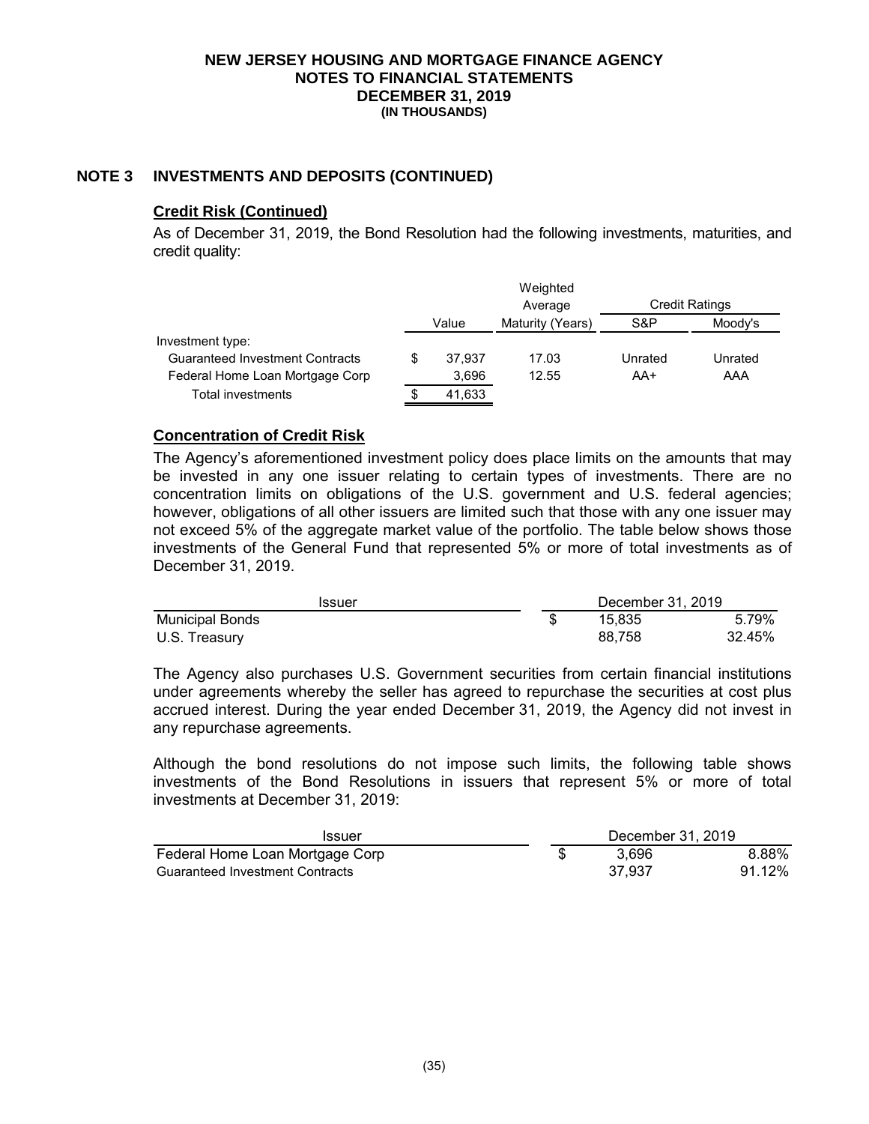### **NOTE 3 INVESTMENTS AND DEPOSITS (CONTINUED)**

### **Credit Risk (Continued)**

As of December 31, 2019, the Bond Resolution had the following investments, maturities, and credit quality:

|                                        |        | Weighted<br>Average | <b>Credit Ratings</b> |         |  |  |
|----------------------------------------|--------|---------------------|-----------------------|---------|--|--|
|                                        | Value  | Maturity (Years)    | S&P                   | Moody's |  |  |
| Investment type:                       |        |                     |                       |         |  |  |
| <b>Guaranteed Investment Contracts</b> | 37.937 | 17.03               | Unrated               | Unrated |  |  |
| Federal Home Loan Mortgage Corp        | 3.696  | 12.55               | AA+                   | AAA     |  |  |
| <b>Total investments</b>               | 41,633 |                     |                       |         |  |  |

# **Concentration of Credit Risk**

The Agency's aforementioned investment policy does place limits on the amounts that may be invested in any one issuer relating to certain types of investments. There are no concentration limits on obligations of the U.S. government and U.S. federal agencies; however, obligations of all other issuers are limited such that those with any one issuer may not exceed 5% of the aggregate market value of the portfolio. The table below shows those investments of the General Fund that represented 5% or more of total investments as of December 31, 2019.

| Issuer          | December 31, 2019 |        |
|-----------------|-------------------|--------|
| Municipal Bonds | 15.835            | 5.79%  |
| U.S. Treasury   | 88.758            | 32.45% |

The Agency also purchases U.S. Government securities from certain financial institutions under agreements whereby the seller has agreed to repurchase the securities at cost plus accrued interest. During the year ended December 31, 2019, the Agency did not invest in any repurchase agreements.

Although the bond resolutions do not impose such limits, the following table shows investments of the Bond Resolutions in issuers that represent 5% or more of total investments at December 31, 2019:

| <b>Issuer</b>                          | December 31, 2019 |        |
|----------------------------------------|-------------------|--------|
| Federal Home Loan Mortgage Corp        | 3.696             | 8.88%  |
| <b>Guaranteed Investment Contracts</b> | 37.937            | 91.12% |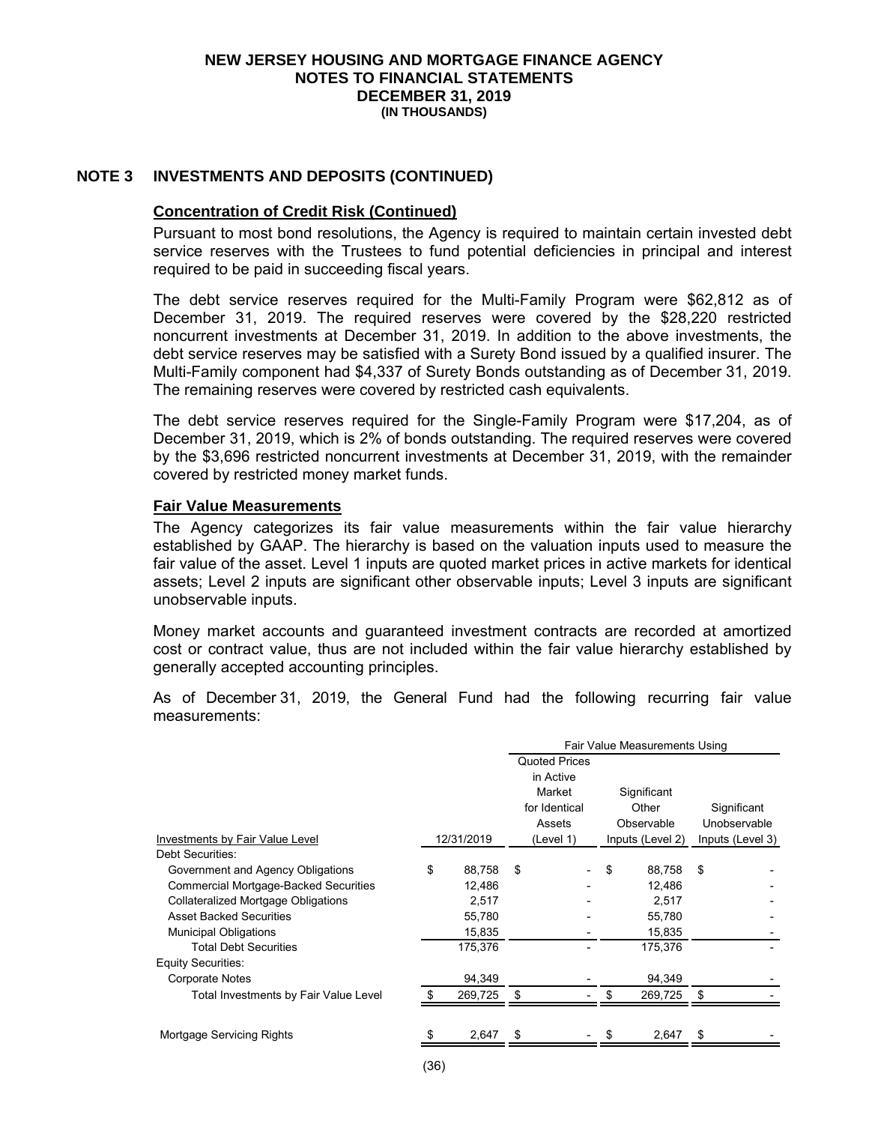### **NOTE 3 INVESTMENTS AND DEPOSITS (CONTINUED)**

### **Concentration of Credit Risk (Continued)**

Pursuant to most bond resolutions, the Agency is required to maintain certain invested debt service reserves with the Trustees to fund potential deficiencies in principal and interest required to be paid in succeeding fiscal years.

The debt service reserves required for the Multi-Family Program were \$62,812 as of December 31, 2019. The required reserves were covered by the \$28,220 restricted noncurrent investments at December 31, 2019. In addition to the above investments, the debt service reserves may be satisfied with a Surety Bond issued by a qualified insurer. The Multi-Family component had \$4,337 of Surety Bonds outstanding as of December 31, 2019. The remaining reserves were covered by restricted cash equivalents.

The debt service reserves required for the Single-Family Program were \$17,204, as of December 31, 2019, which is 2% of bonds outstanding. The required reserves were covered by the \$3,696 restricted noncurrent investments at December 31, 2019, with the remainder covered by restricted money market funds.

#### **Fair Value Measurements**

The Agency categorizes its fair value measurements within the fair value hierarchy established by GAAP. The hierarchy is based on the valuation inputs used to measure the fair value of the asset. Level 1 inputs are quoted market prices in active markets for identical assets; Level 2 inputs are significant other observable inputs; Level 3 inputs are significant unobservable inputs.

Money market accounts and guaranteed investment contracts are recorded at amortized cost or contract value, thus are not included within the fair value hierarchy established by generally accepted accounting principles.

As of December 31, 2019, the General Fund had the following recurring fair value measurements:

|                                              |              | Fair Value Measurements Using |                      |   |                  |                  |  |
|----------------------------------------------|--------------|-------------------------------|----------------------|---|------------------|------------------|--|
|                                              |              |                               | <b>Quoted Prices</b> |   |                  |                  |  |
|                                              |              |                               | in Active            |   |                  |                  |  |
|                                              |              |                               | Market               |   | Significant      |                  |  |
|                                              |              |                               | for Identical        |   | Other            | Significant      |  |
|                                              |              |                               | Assets               |   | Observable       | Unobservable     |  |
| Investments by Fair Value Level              | 12/31/2019   |                               | (Level 1)            |   | Inputs (Level 2) | Inputs (Level 3) |  |
| Debt Securities:                             |              |                               |                      |   |                  |                  |  |
| Government and Agency Obligations            | \$<br>88,758 | \$                            |                      | S | 88,758           | \$               |  |
| <b>Commercial Mortgage-Backed Securities</b> | 12,486       |                               |                      |   | 12,486           |                  |  |
| <b>Collateralized Mortgage Obligations</b>   | 2,517        |                               |                      |   | 2,517            |                  |  |
| <b>Asset Backed Securities</b>               | 55,780       |                               |                      |   | 55,780           |                  |  |
| <b>Municipal Obligations</b>                 | 15,835       |                               |                      |   | 15,835           |                  |  |
| <b>Total Debt Securities</b>                 | 175,376      |                               |                      |   | 175,376          |                  |  |
| <b>Equity Securities:</b>                    |              |                               |                      |   |                  |                  |  |
| <b>Corporate Notes</b>                       | 94,349       |                               |                      |   | 94,349           |                  |  |
| Total Investments by Fair Value Level        | 269,725      | \$                            |                      |   | 269,725          | \$               |  |
| Mortgage Servicing Rights                    | 2,647        | \$                            |                      |   | 2,647            | \$               |  |
|                                              |              |                               |                      |   |                  |                  |  |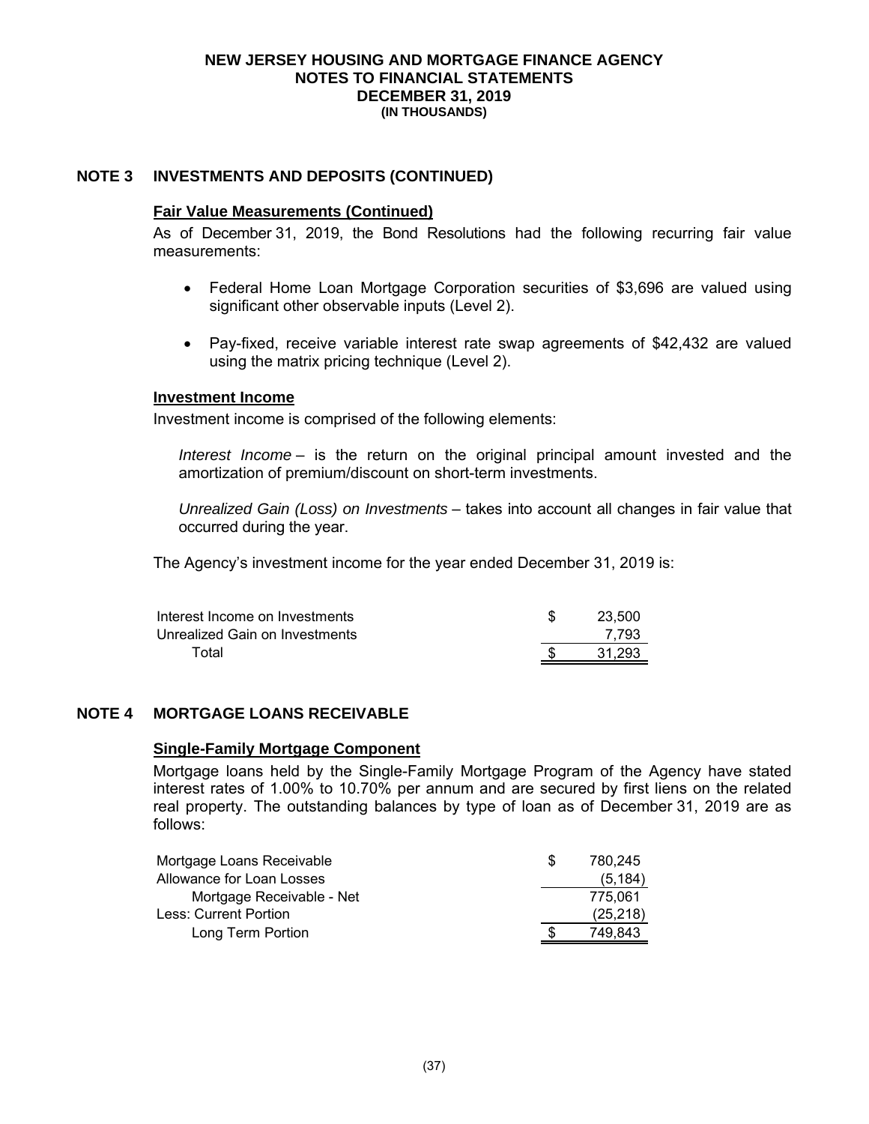### **NOTE 3 INVESTMENTS AND DEPOSITS (CONTINUED)**

### **Fair Value Measurements (Continued)**

As of December 31, 2019, the Bond Resolutions had the following recurring fair value measurements:

- Federal Home Loan Mortgage Corporation securities of \$3,696 are valued using significant other observable inputs (Level 2).
- Pay-fixed, receive variable interest rate swap agreements of \$42,432 are valued using the matrix pricing technique (Level 2).

#### **Investment Income**

Investment income is comprised of the following elements:

*Interest Income* – is the return on the original principal amount invested and the amortization of premium/discount on short-term investments.

*Unrealized Gain (Loss) on Investments* – takes into account all changes in fair value that occurred during the year.

The Agency's investment income for the year ended December 31, 2019 is:

| Interest Income on Investments | 23.500 |
|--------------------------------|--------|
| Unrealized Gain on Investments | 7.793  |
| Total                          | 31.293 |

# **NOTE 4 MORTGAGE LOANS RECEIVABLE**

### **Single-Family Mortgage Component**

Mortgage loans held by the Single-Family Mortgage Program of the Agency have stated interest rates of 1.00% to 10.70% per annum and are secured by first liens on the related real property. The outstanding balances by type of loan as of December 31, 2019 are as follows:

| Mortgage Loans Receivable | 780.245   |
|---------------------------|-----------|
| Allowance for Loan Losses | (5.184)   |
| Mortgage Receivable - Net | 775.061   |
| Less: Current Portion     | (25, 218) |
| Long Term Portion         | 749.843   |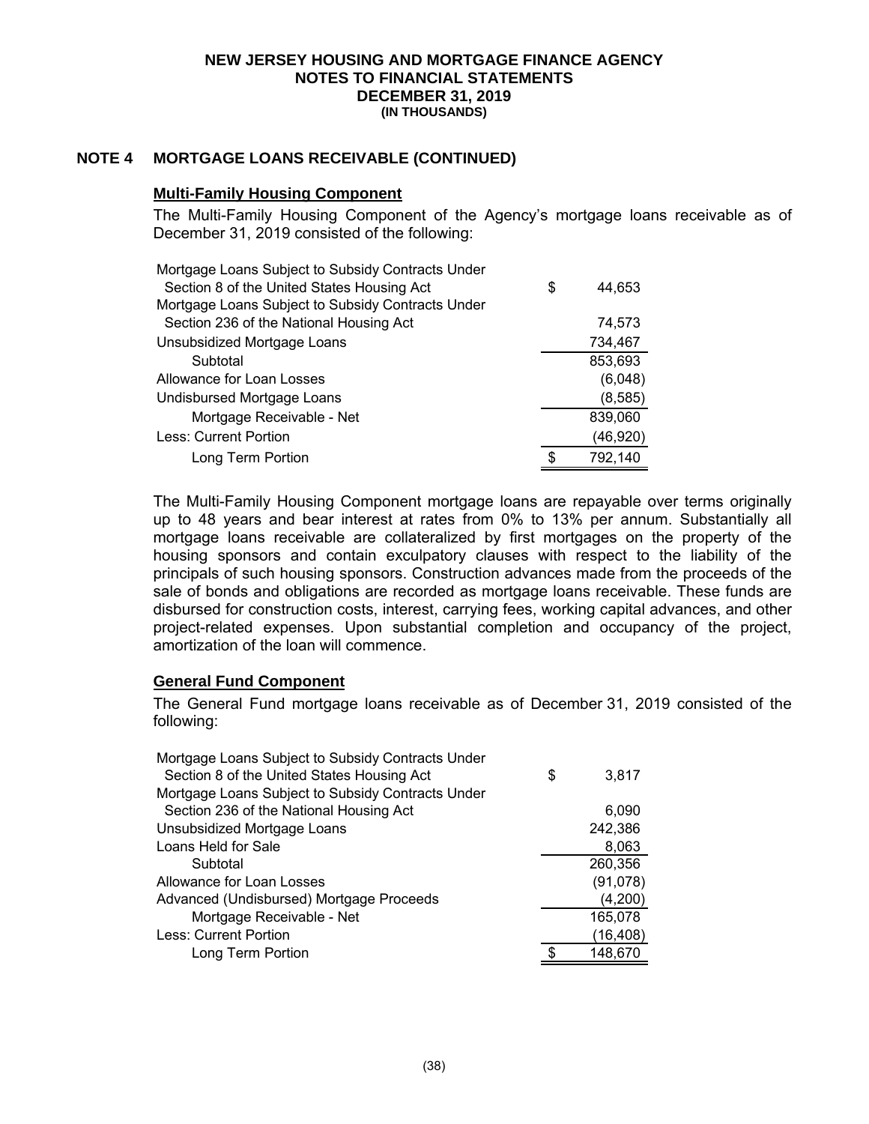# **NOTE 4 MORTGAGE LOANS RECEIVABLE (CONTINUED)**

### **Multi-Family Housing Component**

The Multi-Family Housing Component of the Agency's mortgage loans receivable as of December 31, 2019 consisted of the following:

| Mortgage Loans Subject to Subsidy Contracts Under |               |
|---------------------------------------------------|---------------|
| Section 8 of the United States Housing Act        | \$<br>44,653  |
| Mortgage Loans Subject to Subsidy Contracts Under |               |
| Section 236 of the National Housing Act           | 74,573        |
| Unsubsidized Mortgage Loans                       | 734,467       |
| Subtotal                                          | 853,693       |
| Allowance for Loan Losses                         | (6,048)       |
| Undisbursed Mortgage Loans                        | (8,585)       |
| Mortgage Receivable - Net                         | 839,060       |
| Less: Current Portion                             | (46, 920)     |
| Long Term Portion                                 | \$<br>792,140 |

The Multi-Family Housing Component mortgage loans are repayable over terms originally up to 48 years and bear interest at rates from 0% to 13% per annum. Substantially all mortgage loans receivable are collateralized by first mortgages on the property of the housing sponsors and contain exculpatory clauses with respect to the liability of the principals of such housing sponsors. Construction advances made from the proceeds of the sale of bonds and obligations are recorded as mortgage loans receivable. These funds are disbursed for construction costs, interest, carrying fees, working capital advances, and other project-related expenses. Upon substantial completion and occupancy of the project, amortization of the loan will commence.

### **General Fund Component**

The General Fund mortgage loans receivable as of December 31, 2019 consisted of the following:

| Mortgage Loans Subject to Subsidy Contracts Under |   |           |
|---------------------------------------------------|---|-----------|
| Section 8 of the United States Housing Act        | S | 3,817     |
| Mortgage Loans Subject to Subsidy Contracts Under |   |           |
| Section 236 of the National Housing Act           |   | 6,090     |
| Unsubsidized Mortgage Loans                       |   | 242,386   |
| Loans Held for Sale                               |   | 8,063     |
| Subtotal                                          |   | 260,356   |
| Allowance for Loan Losses                         |   | (91,078)  |
| Advanced (Undisbursed) Mortgage Proceeds          |   | (4,200)   |
| Mortgage Receivable - Net                         |   | 165,078   |
| Less: Current Portion                             |   | (16, 408) |
| Long Term Portion                                 |   | 148,670   |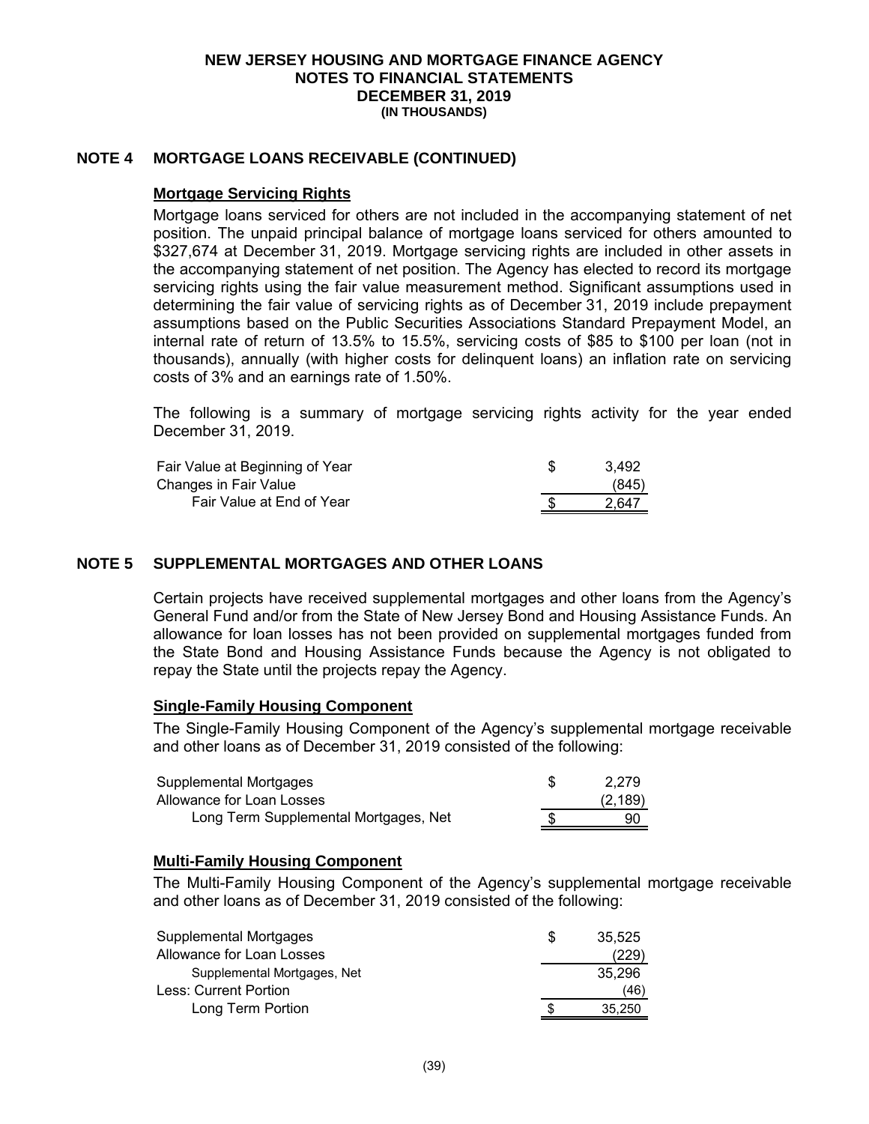## **NOTE 4 MORTGAGE LOANS RECEIVABLE (CONTINUED)**

### **Mortgage Servicing Rights**

Mortgage loans serviced for others are not included in the accompanying statement of net position. The unpaid principal balance of mortgage loans serviced for others amounted to \$327,674 at December 31, 2019. Mortgage servicing rights are included in other assets in the accompanying statement of net position. The Agency has elected to record its mortgage servicing rights using the fair value measurement method. Significant assumptions used in determining the fair value of servicing rights as of December 31, 2019 include prepayment assumptions based on the Public Securities Associations Standard Prepayment Model, an internal rate of return of 13.5% to 15.5%, servicing costs of \$85 to \$100 per loan (not in thousands), annually (with higher costs for delinquent loans) an inflation rate on servicing costs of 3% and an earnings rate of 1.50%.

The following is a summary of mortgage servicing rights activity for the year ended December 31, 2019.

| Fair Value at Beginning of Year | 3.492 |
|---------------------------------|-------|
| Changes in Fair Value           | (845) |
| Fair Value at End of Year       | 2.647 |

### **NOTE 5 SUPPLEMENTAL MORTGAGES AND OTHER LOANS**

Certain projects have received supplemental mortgages and other loans from the Agency's General Fund and/or from the State of New Jersey Bond and Housing Assistance Funds. An allowance for loan losses has not been provided on supplemental mortgages funded from the State Bond and Housing Assistance Funds because the Agency is not obligated to repay the State until the projects repay the Agency.

### **Single-Family Housing Component**

The Single-Family Housing Component of the Agency's supplemental mortgage receivable and other loans as of December 31, 2019 consisted of the following:

| Supplemental Mortgages                | 2.279    |
|---------------------------------------|----------|
| Allowance for Loan Losses             | (2, 189) |
| Long Term Supplemental Mortgages, Net | 90       |

### **Multi-Family Housing Component**

The Multi-Family Housing Component of the Agency's supplemental mortgage receivable and other loans as of December 31, 2019 consisted of the following:

| Supplemental Mortgages      | S. | 35.525 |
|-----------------------------|----|--------|
| Allowance for Loan Losses   |    | (229   |
| Supplemental Mortgages, Net |    | 35.296 |
| Less: Current Portion       |    | (46)   |
| Long Term Portion           |    | 35,250 |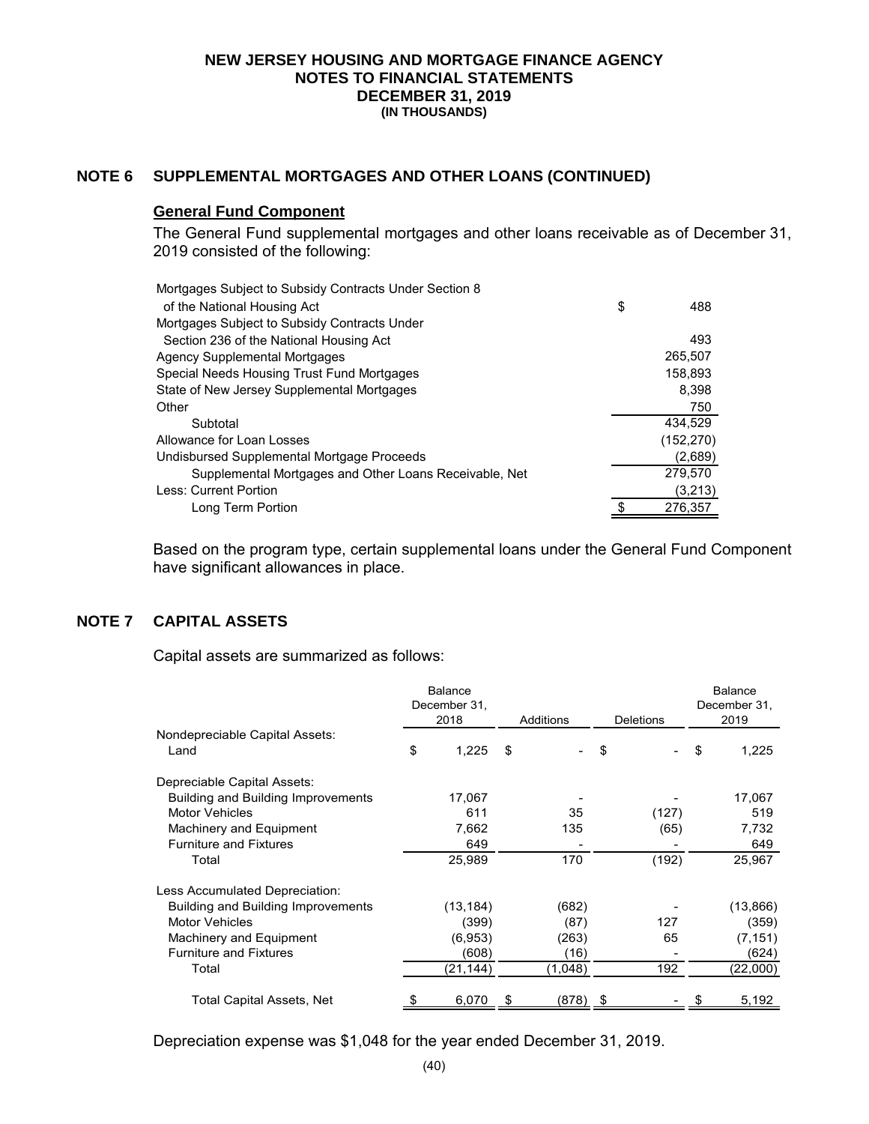## **NOTE 6 SUPPLEMENTAL MORTGAGES AND OTHER LOANS (CONTINUED)**

### **General Fund Component**

The General Fund supplemental mortgages and other loans receivable as of December 31, 2019 consisted of the following:

| Mortgages Subject to Subsidy Contracts Under Section 8 |            |
|--------------------------------------------------------|------------|
| of the National Housing Act                            | \$<br>488  |
| Mortgages Subject to Subsidy Contracts Under           |            |
| Section 236 of the National Housing Act                | 493        |
| Agency Supplemental Mortgages                          | 265,507    |
| Special Needs Housing Trust Fund Mortgages             | 158.893    |
| State of New Jersey Supplemental Mortgages             | 8,398      |
| Other                                                  | 750        |
| Subtotal                                               | 434.529    |
| Allowance for Loan Losses                              | (152, 270) |
| Undisbursed Supplemental Mortgage Proceeds             | (2,689)    |
| Supplemental Mortgages and Other Loans Receivable, Net | 279.570    |
| Less: Current Portion                                  | (3,213)    |
| Long Term Portion                                      | 276.357    |

Based on the program type, certain supplemental loans under the General Fund Component have significant allowances in place.

# **NOTE 7 CAPITAL ASSETS**

Capital assets are summarized as follows:

|                                           | <b>Balance</b><br>December 31,<br>2018 |     | Additions | Deletions | <b>Balance</b><br>December 31,<br>2019 |           |  |
|-------------------------------------------|----------------------------------------|-----|-----------|-----------|----------------------------------------|-----------|--|
| Nondepreciable Capital Assets:            |                                        |     |           |           |                                        |           |  |
| Land                                      | \$<br>1,225                            | -\$ |           | \$        | \$                                     | 1,225     |  |
| Depreciable Capital Assets:               |                                        |     |           |           |                                        |           |  |
| <b>Building and Building Improvements</b> | 17,067                                 |     |           |           |                                        | 17,067    |  |
| <b>Motor Vehicles</b>                     | 611                                    |     | 35        | (127)     |                                        | 519       |  |
| Machinery and Equipment                   | 7,662                                  |     | 135       | (65)      |                                        | 7,732     |  |
| <b>Furniture and Fixtures</b>             | 649                                    |     |           |           |                                        | 649       |  |
| Total                                     | 25,989                                 |     | 170       | (192)     |                                        | 25,967    |  |
| Less Accumulated Depreciation:            |                                        |     |           |           |                                        |           |  |
| <b>Building and Building Improvements</b> | (13, 184)                              |     | (682)     |           |                                        | (13, 866) |  |
| <b>Motor Vehicles</b>                     | (399)                                  |     | (87)      | 127       |                                        | (359)     |  |
| Machinery and Equipment                   | (6,953)                                |     | (263)     | 65        |                                        | (7, 151)  |  |
| <b>Furniture and Fixtures</b>             | (608)                                  |     | (16)      |           |                                        | (624)     |  |
| Total                                     | (21,144)                               |     | (1,048)   | 192       |                                        | (22,000)  |  |
| Total Capital Assets, Net                 | 6,070                                  | \$  | (878)     |           |                                        | 5,192     |  |

Depreciation expense was \$1,048 for the year ended December 31, 2019.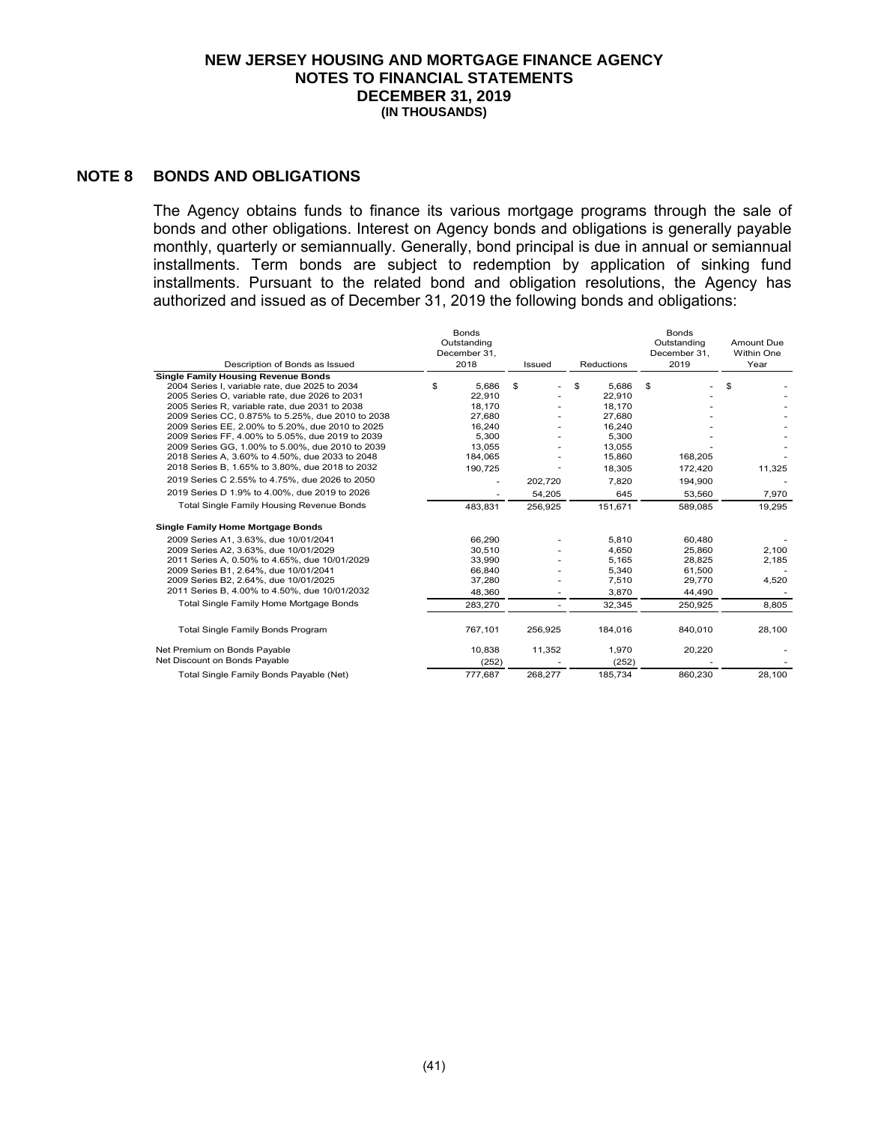### **NOTE 8 BONDS AND OBLIGATIONS**

The Agency obtains funds to finance its various mortgage programs through the sale of bonds and other obligations. Interest on Agency bonds and obligations is generally payable monthly, quarterly or semiannually. Generally, bond principal is due in annual or semiannual installments. Term bonds are subject to redemption by application of sinking fund installments. Pursuant to the related bond and obligation resolutions, the Agency has authorized and issued as of December 31, 2019 the following bonds and obligations:

|                                                   | <b>Bonds</b><br>Outstanding<br>December 31, |         |             | <b>Bonds</b><br>Outstanding<br>December 31. | <b>Amount Due</b><br><b>Within One</b> |
|---------------------------------------------------|---------------------------------------------|---------|-------------|---------------------------------------------|----------------------------------------|
| Description of Bonds as Issued                    | 2018                                        | Issued  | Reductions  | 2019                                        | Year                                   |
| <b>Single Family Housing Revenue Bonds</b>        |                                             |         |             |                                             |                                        |
| 2004 Series I, variable rate, due 2025 to 2034    | \$<br>5.686                                 | \$      | \$<br>5.686 | \$                                          | \$                                     |
| 2005 Series O, variable rate, due 2026 to 2031    | 22,910                                      |         | 22,910      |                                             |                                        |
| 2005 Series R, variable rate, due 2031 to 2038    | 18,170                                      |         | 18,170      |                                             |                                        |
| 2009 Series CC, 0.875% to 5.25%, due 2010 to 2038 | 27,680                                      |         | 27,680      |                                             |                                        |
| 2009 Series EE, 2.00% to 5.20%, due 2010 to 2025  | 16,240                                      |         | 16,240      |                                             |                                        |
| 2009 Series FF, 4.00% to 5.05%, due 2019 to 2039  | 5,300                                       |         | 5,300       |                                             |                                        |
| 2009 Series GG, 1.00% to 5.00%, due 2010 to 2039  | 13.055                                      |         | 13,055      |                                             |                                        |
| 2018 Series A, 3.60% to 4.50%, due 2033 to 2048   | 184,065                                     |         | 15,860      | 168,205                                     |                                        |
| 2018 Series B, 1.65% to 3.80%, due 2018 to 2032   | 190,725                                     |         | 18,305      | 172,420                                     | 11,325                                 |
| 2019 Series C 2.55% to 4.75%, due 2026 to 2050    |                                             | 202,720 | 7.820       | 194.900                                     |                                        |
| 2019 Series D 1.9% to 4.00%, due 2019 to 2026     |                                             | 54,205  | 645         | 53,560                                      | 7,970                                  |
| Total Single Family Housing Revenue Bonds         | 483.831                                     | 256,925 | 151.671     | 589.085                                     | 19,295                                 |
| <b>Single Family Home Mortgage Bonds</b>          |                                             |         |             |                                             |                                        |
| 2009 Series A1, 3.63%, due 10/01/2041             | 66.290                                      |         | 5.810       | 60.480                                      |                                        |
| 2009 Series A2, 3.63%, due 10/01/2029             | 30,510                                      |         | 4,650       | 25,860                                      | 2,100                                  |
| 2011 Series A, 0.50% to 4.65%, due 10/01/2029     | 33,990                                      |         | 5,165       | 28,825                                      | 2,185                                  |
| 2009 Series B1, 2.64%, due 10/01/2041             | 66,840                                      |         | 5,340       | 61.500                                      |                                        |
| 2009 Series B2, 2.64%, due 10/01/2025             | 37,280                                      |         | 7,510       | 29,770                                      | 4,520                                  |
| 2011 Series B, 4.00% to 4.50%, due 10/01/2032     | 48.360                                      |         | 3.870       | 44,490                                      |                                        |
| Total Single Family Home Mortgage Bonds           | 283,270                                     |         | 32,345      | 250,925                                     | 8,805                                  |
| <b>Total Single Family Bonds Program</b>          | 767,101                                     | 256,925 | 184,016     | 840,010                                     | 28,100                                 |
| Net Premium on Bonds Payable                      | 10,838                                      | 11,352  | 1,970       | 20,220                                      |                                        |
| Net Discount on Bonds Payable                     | (252)                                       |         | (252)       |                                             |                                        |
| Total Single Family Bonds Payable (Net)           | 777.687                                     | 268.277 | 185.734     | 860.230                                     | 28.100                                 |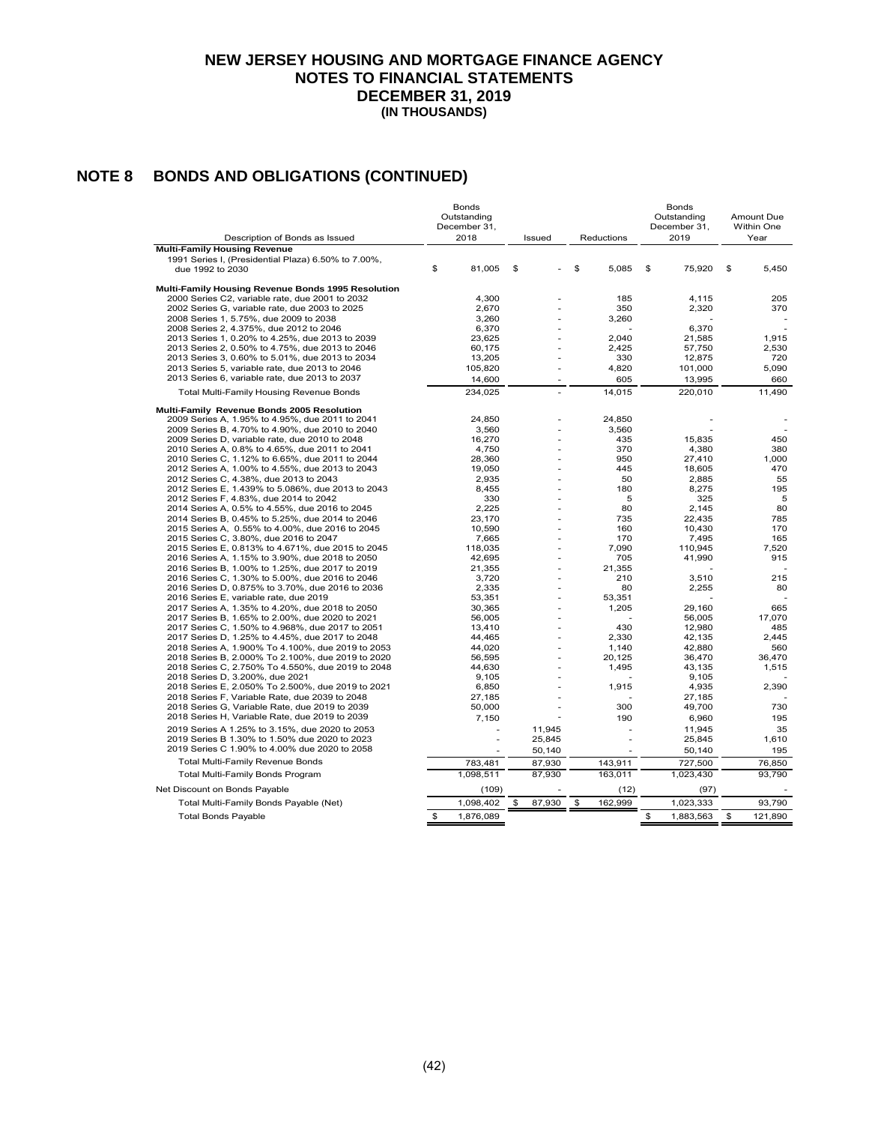# **NOTE 8 BONDS AND OBLIGATIONS (CONTINUED)**

|                                                                                                       | <b>Bonds</b><br>Outstanding<br>December 31, |    |        |            | <b>Bonds</b><br>Outstanding<br>December 31,<br>2019 |    | <b>Amount Due</b><br><b>Within One</b><br>Year |    |            |
|-------------------------------------------------------------------------------------------------------|---------------------------------------------|----|--------|------------|-----------------------------------------------------|----|------------------------------------------------|----|------------|
| Description of Bonds as Issued                                                                        | 2018                                        |    | Issued | Reductions |                                                     |    |                                                |    |            |
| <b>Multi-Family Housing Revenue</b>                                                                   |                                             |    |        |            |                                                     |    |                                                |    |            |
| 1991 Series I, (Presidential Plaza) 6.50% to 7.00%,                                                   |                                             |    |        |            |                                                     |    |                                                |    |            |
| due 1992 to 2030                                                                                      | \$<br>81,005                                | \$ |        | \$         | 5,085                                               | \$ | 75,920                                         | \$ | 5,450      |
|                                                                                                       |                                             |    |        |            |                                                     |    |                                                |    |            |
| Multi-Family Housing Revenue Bonds 1995 Resolution<br>2000 Series C2, variable rate, due 2001 to 2032 | 4.300                                       |    |        |            | 185                                                 |    | 4,115                                          |    | 205        |
| 2002 Series G, variable rate, due 2003 to 2025                                                        | 2,670                                       |    |        |            | 350                                                 |    | 2,320                                          |    | 370        |
| 2008 Series 1, 5.75%, due 2009 to 2038                                                                | 3,260                                       |    |        |            | 3,260                                               |    |                                                |    |            |
| 2008 Series 2, 4.375%, due 2012 to 2046                                                               | 6.370                                       |    |        |            |                                                     |    | 6,370                                          |    |            |
| 2013 Series 1, 0.20% to 4.25%, due 2013 to 2039                                                       | 23,625                                      |    |        |            | 2,040                                               |    | 21,585                                         |    | 1,915      |
| 2013 Series 2, 0.50% to 4.75%, due 2013 to 2046                                                       | 60,175                                      |    |        |            | 2,425                                               |    | 57,750                                         |    | 2,530      |
| 2013 Series 3, 0.60% to 5.01%, due 2013 to 2034                                                       | 13,205                                      |    |        |            | 330                                                 |    | 12,875                                         |    | 720        |
| 2013 Series 5, variable rate, due 2013 to 2046                                                        | 105,820                                     |    |        |            | 4,820                                               |    | 101,000                                        |    | 5,090      |
| 2013 Series 6, variable rate, due 2013 to 2037                                                        | 14,600                                      |    |        |            | 605                                                 |    | 13,995                                         |    | 660        |
| Total Multi-Family Housing Revenue Bonds                                                              | 234,025                                     |    |        |            | 14,015                                              |    | 220,010                                        |    | 11,490     |
|                                                                                                       |                                             |    |        |            |                                                     |    |                                                |    |            |
| Multi-Family Revenue Bonds 2005 Resolution                                                            |                                             |    |        |            |                                                     |    |                                                |    |            |
| 2009 Series A, 1.95% to 4.95%, due 2011 to 2041                                                       | 24.850                                      |    |        |            | 24,850                                              |    |                                                |    |            |
| 2009 Series B, 4.70% to 4.90%, due 2010 to 2040                                                       | 3,560                                       |    |        |            | 3,560                                               |    |                                                |    |            |
| 2009 Series D, variable rate, due 2010 to 2048                                                        | 16,270                                      |    |        |            | 435                                                 |    | 15,835                                         |    | 450        |
| 2010 Series A, 0.8% to 4.65%, due 2011 to 2041                                                        | 4,750                                       |    |        |            | 370                                                 |    | 4,380                                          |    | 380        |
| 2010 Series C, 1.12% to 6.65%, due 2011 to 2044                                                       | 28,360                                      |    |        |            | 950                                                 |    | 27,410                                         |    | 1,000      |
| 2012 Series A, 1.00% to 4.55%, due 2013 to 2043                                                       | 19,050                                      |    |        |            | 445                                                 |    | 18,605                                         |    | 470        |
| 2012 Series C, 4.38%, due 2013 to 2043                                                                | 2,935                                       |    |        |            | 50                                                  |    | 2,885                                          |    | 55         |
| 2012 Series E, 1.439% to 5.086%, due 2013 to 2043                                                     | 8,455                                       |    |        |            | 180                                                 |    | 8,275                                          |    | 195        |
| 2012 Series F, 4.83%, due 2014 to 2042                                                                | 330                                         |    |        |            | 5                                                   |    | 325                                            |    | 5          |
| 2014 Series A, 0.5% to 4.55%, due 2016 to 2045                                                        | 2.225                                       |    |        |            | 80<br>735                                           |    | 2.145<br>22,435                                |    | 80<br>785  |
| 2014 Series B, 0.45% to 5.25%, due 2014 to 2046                                                       | 23,170                                      |    |        |            |                                                     |    |                                                |    |            |
| 2015 Series A, 0.55% to 4.00%, due 2016 to 2045<br>2015 Series C, 3.80%, due 2016 to 2047             | 10,590<br>7,665                             |    |        |            | 160<br>170                                          |    | 10,430<br>7,495                                |    | 170<br>165 |
| 2015 Series E, 0.813% to 4.671%, due 2015 to 2045                                                     | 118,035                                     |    |        |            | 7,090                                               |    | 110,945                                        |    | 7,520      |
| 2016 Series A, 1.15% to 3.90%, due 2018 to 2050                                                       | 42.695                                      |    |        |            | 705                                                 |    | 41,990                                         |    | 915        |
| 2016 Series B, 1.00% to 1.25%, due 2017 to 2019                                                       | 21,355                                      |    |        |            | 21,355                                              |    |                                                |    |            |
| 2016 Series C, 1.30% to 5.00%, due 2016 to 2046                                                       | 3,720                                       |    |        |            | 210                                                 |    | 3,510                                          |    | 215        |
| 2016 Series D. 0.875% to 3.70%, due 2016 to 2036                                                      | 2.335                                       |    |        |            | 80                                                  |    | 2,255                                          |    | 80         |
| 2016 Series E, variable rate, due 2019                                                                | 53,351                                      |    |        |            | 53,351                                              |    |                                                |    |            |
| 2017 Series A, 1.35% to 4.20%, due 2018 to 2050                                                       | 30,365                                      |    |        |            | 1,205                                               |    | 29,160                                         |    | 665        |
| 2017 Series B, 1.65% to 2.00%, due 2020 to 2021                                                       | 56,005                                      |    |        |            |                                                     |    | 56,005                                         |    | 17,070     |
| 2017 Series C, 1.50% to 4.968%, due 2017 to 2051                                                      | 13,410                                      |    |        |            | 430                                                 |    | 12,980                                         |    | 485        |
| 2017 Series D, 1.25% to 4.45%, due 2017 to 2048                                                       | 44,465                                      |    |        |            | 2,330                                               |    | 42,135                                         |    | 2.445      |
| 2018 Series A, 1.900% To 4.100%, due 2019 to 2053                                                     | 44,020                                      |    |        |            | 1,140                                               |    | 42,880                                         |    | 560        |
| 2018 Series B, 2.000% To 2.100%, due 2019 to 2020                                                     | 56,595                                      |    |        |            | 20,125                                              |    | 36,470                                         |    | 36.470     |
| 2018 Series C, 2.750% To 4.550%, due 2019 to 2048                                                     | 44.630                                      |    |        |            | 1,495                                               |    | 43,135                                         |    | 1,515      |
| 2018 Series D, 3.200%, due 2021                                                                       | 9,105                                       |    |        |            |                                                     |    | 9,105                                          |    |            |
| 2018 Series E, 2.050% To 2.500%, due 2019 to 2021                                                     | 6,850                                       |    |        |            | 1,915                                               |    | 4,935                                          |    | 2,390      |
| 2018 Series F, Variable Rate, due 2039 to 2048                                                        | 27,185                                      |    |        |            |                                                     |    | 27,185                                         |    |            |
| 2018 Series G, Variable Rate, due 2019 to 2039                                                        | 50,000                                      |    |        |            | 300                                                 |    | 49,700                                         |    | 730        |
| 2018 Series H, Variable Rate, due 2019 to 2039                                                        | 7,150                                       |    |        |            | 190                                                 |    | 6,960                                          |    | 195        |
| 2019 Series A 1.25% to 3.15%, due 2020 to 2053                                                        |                                             |    | 11,945 |            |                                                     |    | 11.945                                         |    | 35         |
| 2019 Series B 1.30% to 1.50% due 2020 to 2023                                                         | Ĭ.                                          |    | 25,845 |            |                                                     |    | 25,845                                         |    | 1,610      |
| 2019 Series C 1.90% to 4.00% due 2020 to 2058                                                         |                                             |    | 50,140 |            |                                                     |    | 50,140                                         |    | 195        |
| Total Multi-Family Revenue Bonds                                                                      | 783,481                                     |    | 87,930 |            | 143,911                                             |    | 727,500                                        |    | 76,850     |
| <b>Total Multi-Family Bonds Program</b>                                                               | 1,098,511                                   |    | 87,930 |            | 163,011                                             |    | 1,023,430                                      |    | 93,790     |
| Net Discount on Bonds Payable                                                                         | (109)                                       |    |        |            | (12)                                                |    | (97)                                           |    |            |
| Total Multi-Family Bonds Payable (Net)                                                                | 1,098,402                                   | \$ | 87,930 | \$         | 162,999                                             |    | 1,023,333                                      |    | 93,790     |
|                                                                                                       |                                             |    |        |            |                                                     |    |                                                |    |            |
| <b>Total Bonds Payable</b>                                                                            | \$<br>1,876,089                             |    |        |            |                                                     | \$ | 1,883,563                                      | \$ | 121,890    |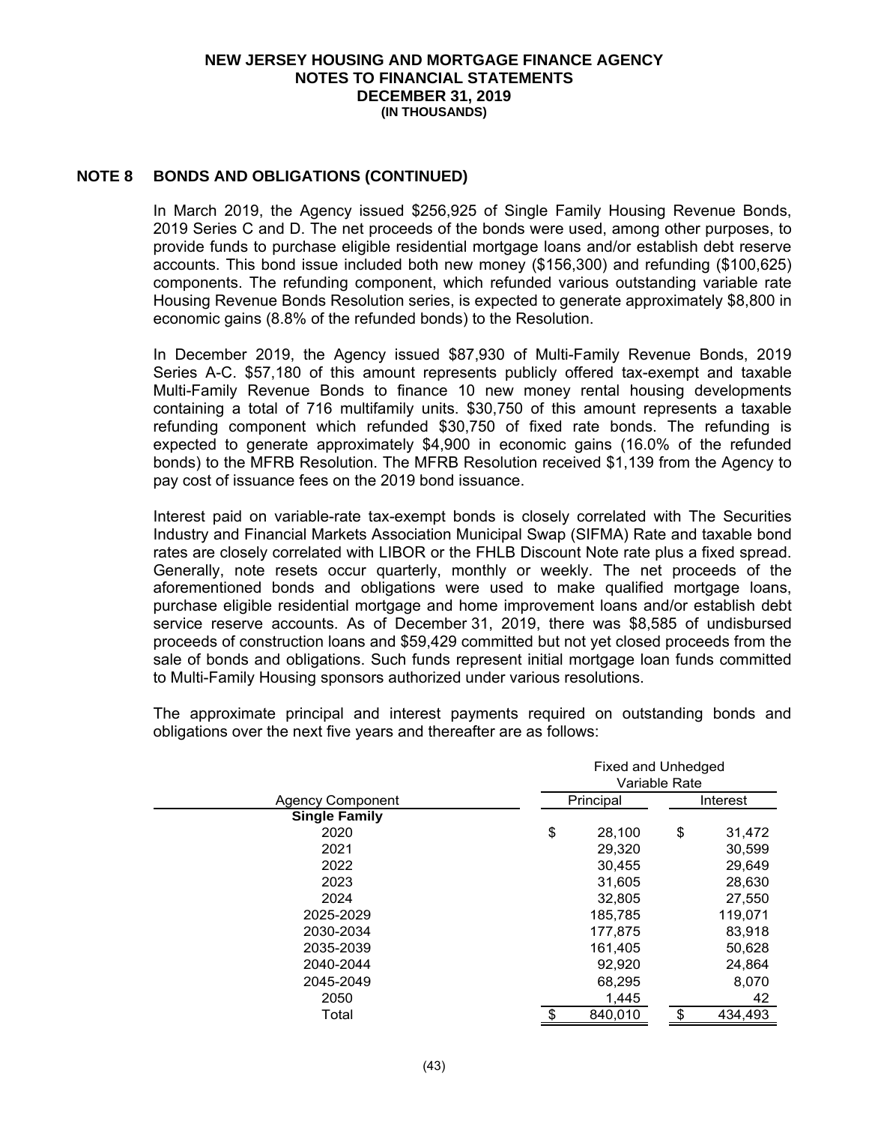### **NOTE 8 BONDS AND OBLIGATIONS (CONTINUED)**

In March 2019, the Agency issued \$256,925 of Single Family Housing Revenue Bonds, 2019 Series C and D. The net proceeds of the bonds were used, among other purposes, to provide funds to purchase eligible residential mortgage loans and/or establish debt reserve accounts. This bond issue included both new money (\$156,300) and refunding (\$100,625) components. The refunding component, which refunded various outstanding variable rate Housing Revenue Bonds Resolution series, is expected to generate approximately \$8,800 in economic gains (8.8% of the refunded bonds) to the Resolution.

In December 2019, the Agency issued \$87,930 of Multi-Family Revenue Bonds, 2019 Series A-C. \$57,180 of this amount represents publicly offered tax-exempt and taxable Multi-Family Revenue Bonds to finance 10 new money rental housing developments containing a total of 716 multifamily units. \$30,750 of this amount represents a taxable refunding component which refunded \$30,750 of fixed rate bonds. The refunding is expected to generate approximately \$4,900 in economic gains (16.0% of the refunded bonds) to the MFRB Resolution. The MFRB Resolution received \$1,139 from the Agency to pay cost of issuance fees on the 2019 bond issuance.

Interest paid on variable-rate tax-exempt bonds is closely correlated with The Securities Industry and Financial Markets Association Municipal Swap (SIFMA) Rate and taxable bond rates are closely correlated with LIBOR or the FHLB Discount Note rate plus a fixed spread. Generally, note resets occur quarterly, monthly or weekly. The net proceeds of the aforementioned bonds and obligations were used to make qualified mortgage loans, purchase eligible residential mortgage and home improvement loans and/or establish debt service reserve accounts. As of December 31, 2019, there was \$8,585 of undisbursed proceeds of construction loans and \$59,429 committed but not yet closed proceeds from the sale of bonds and obligations. Such funds represent initial mortgage loan funds committed to Multi-Family Housing sponsors authorized under various resolutions.

The approximate principal and interest payments required on outstanding bonds and obligations over the next five years and thereafter are as follows:

|                         | <b>Fixed and Unhedged</b><br>Variable Rate |           |    |          |  |  |  |  |
|-------------------------|--------------------------------------------|-----------|----|----------|--|--|--|--|
| <b>Agency Component</b> |                                            | Principal |    | Interest |  |  |  |  |
| <b>Single Family</b>    |                                            |           |    |          |  |  |  |  |
| 2020                    | \$                                         | 28,100    | \$ | 31,472   |  |  |  |  |
| 2021                    |                                            | 29,320    |    | 30,599   |  |  |  |  |
| 2022                    |                                            | 30,455    |    | 29,649   |  |  |  |  |
| 2023                    |                                            | 31,605    |    | 28,630   |  |  |  |  |
| 2024                    |                                            | 32,805    |    | 27,550   |  |  |  |  |
| 2025-2029               |                                            | 185,785   |    | 119,071  |  |  |  |  |
| 2030-2034               |                                            | 177,875   |    | 83,918   |  |  |  |  |
| 2035-2039               |                                            | 161,405   |    | 50,628   |  |  |  |  |
| 2040-2044               |                                            | 92,920    |    | 24,864   |  |  |  |  |
| 2045-2049               |                                            | 68,295    |    | 8,070    |  |  |  |  |
| 2050                    |                                            | 1,445     |    | 42       |  |  |  |  |
| Total                   | \$                                         | 840.010   | \$ | 434,493  |  |  |  |  |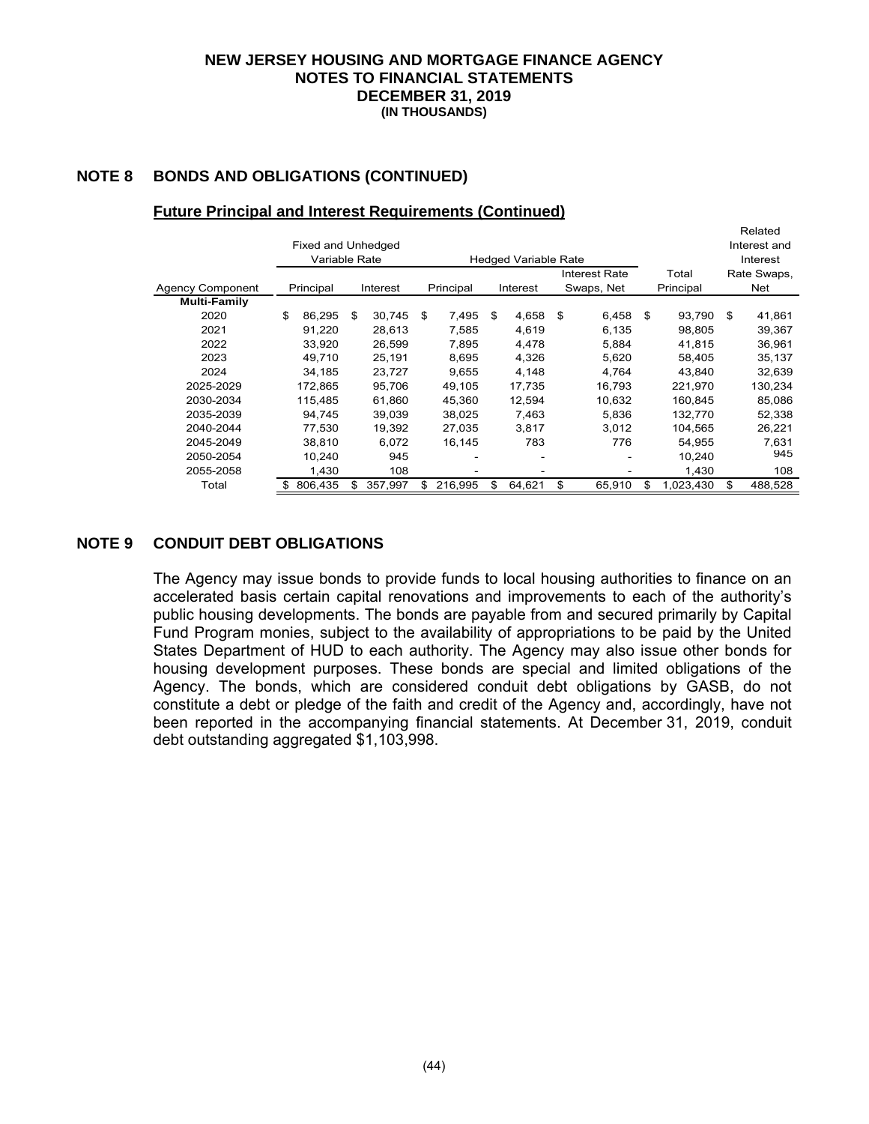### **NOTE 8 BONDS AND OBLIGATIONS (CONTINUED)**

### **Future Principal and Interest Requirements (Continued)**

| <b>Agency Component</b> |     | Fixed and Unhedged<br>Variable Rate<br>Principal |     | Interest | <b>Hedged Variable Rate</b><br><b>Interest Rate</b><br>Principal<br>Swaps, Net<br>Interest |         |    |        |    |        |    | Total<br>Principal | Related<br>Interest and<br>Interest<br>Rate Swaps,<br>Net |
|-------------------------|-----|--------------------------------------------------|-----|----------|--------------------------------------------------------------------------------------------|---------|----|--------|----|--------|----|--------------------|-----------------------------------------------------------|
| <b>Multi-Family</b>     |     |                                                  |     |          |                                                                                            |         |    |        |    |        |    |                    |                                                           |
| 2020                    | \$  | 86.295                                           | \$  | 30,745   | \$                                                                                         | 7.495   | \$ | 4.658  | \$ | 6,458  | \$ | 93.790             | \$<br>41.861                                              |
| 2021                    |     | 91,220                                           |     | 28,613   |                                                                                            | 7,585   |    | 4,619  |    | 6,135  |    | 98,805             | 39,367                                                    |
| 2022                    |     | 33,920                                           |     | 26,599   |                                                                                            | 7,895   |    | 4,478  |    | 5,884  |    | 41,815             | 36,961                                                    |
| 2023                    |     | 49,710                                           |     | 25,191   |                                                                                            | 8,695   |    | 4,326  |    | 5,620  |    | 58,405             | 35,137                                                    |
| 2024                    |     | 34,185                                           |     | 23,727   |                                                                                            | 9,655   |    | 4,148  |    | 4,764  |    | 43,840             | 32,639                                                    |
| 2025-2029               |     | 172,865                                          |     | 95,706   |                                                                                            | 49,105  |    | 17,735 |    | 16,793 |    | 221,970            | 130,234                                                   |
| 2030-2034               |     | 115,485                                          |     | 61,860   |                                                                                            | 45,360  |    | 12,594 |    | 10,632 |    | 160,845            | 85,086                                                    |
| 2035-2039               |     | 94,745                                           |     | 39,039   |                                                                                            | 38,025  |    | 7,463  |    | 5,836  |    | 132,770            | 52,338                                                    |
| 2040-2044               |     | 77.530                                           |     | 19,392   |                                                                                            | 27,035  |    | 3.817  |    | 3.012  |    | 104,565            | 26,221                                                    |
| 2045-2049               |     | 38,810                                           |     | 6.072    |                                                                                            | 16,145  |    | 783    |    | 776    |    | 54,955             | 7.631                                                     |
| 2050-2054               |     | 10,240                                           |     | 945      |                                                                                            | -       |    |        |    |        |    | 10,240             | 945                                                       |
| 2055-2058               |     | 1,430                                            |     | 108      |                                                                                            |         |    |        |    |        |    | 1,430              | 108                                                       |
| Total                   | \$. | 806,435                                          | \$. | 357,997  | \$.                                                                                        | 216,995 | \$ | 64,621 | \$ | 65,910 | \$ | 1,023,430          | \$<br>488,528                                             |

### **NOTE 9 CONDUIT DEBT OBLIGATIONS**

The Agency may issue bonds to provide funds to local housing authorities to finance on an accelerated basis certain capital renovations and improvements to each of the authority's public housing developments. The bonds are payable from and secured primarily by Capital Fund Program monies, subject to the availability of appropriations to be paid by the United States Department of HUD to each authority. The Agency may also issue other bonds for housing development purposes. These bonds are special and limited obligations of the Agency. The bonds, which are considered conduit debt obligations by GASB, do not constitute a debt or pledge of the faith and credit of the Agency and, accordingly, have not been reported in the accompanying financial statements. At December 31, 2019, conduit debt outstanding aggregated \$1,103,998.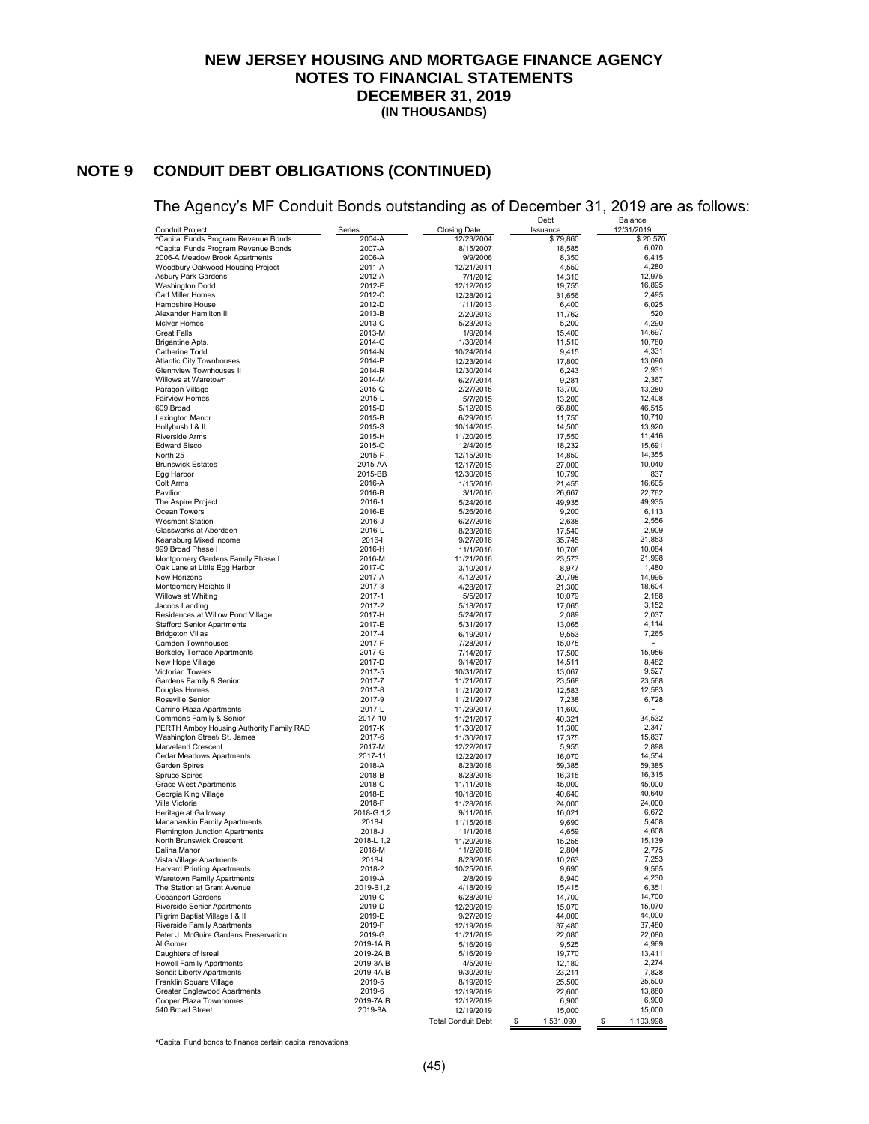# **NOTE 9 CONDUIT DEBT OBLIGATIONS (CONTINUED)**

The Agency's MF Conduit Bonds outstanding as of December 31, 2019 are as follows:

|                                                                             |                      |                                   | Debt                 | Balance                |
|-----------------------------------------------------------------------------|----------------------|-----------------------------------|----------------------|------------------------|
| <b>Conduit Project</b><br>^Capital Funds Program Revenue Bonds              | Series<br>2004-A     | <b>Closing Date</b><br>12/23/2004 | Issuance<br>\$79,860 | 12/31/2019<br>\$20,570 |
| ^Capital Funds Program Revenue Bonds                                        | 2007-A               | 8/15/2007                         | 18,585               | 6,070                  |
| 2006-A Meadow Brook Apartments                                              | 2006-A               | 9/9/2006                          | 8,350                | 6,415                  |
| Woodbury Oakwood Housing Project                                            | 2011-A               | 12/21/2011                        | 4.550                | 4,280                  |
| Asbury Park Gardens<br>Washington Dodd                                      | 2012-A<br>2012-F     | 7/1/2012<br>12/12/2012            | 14,310<br>19,755     | 12,975<br>16,895       |
| Carl Miller Homes                                                           | 2012-C               | 12/28/2012                        | 31,656               | 2,495                  |
| Hampshire House                                                             | 2012-D               | 1/11/2013                         | 6,400                | 6,025                  |
| Alexander Hamilton III                                                      | 2013-B               | 2/20/2013                         | 11,762               | 520                    |
| <b>McIver Homes</b>                                                         | 2013-C               | 5/23/2013                         | 5,200                | 4,290                  |
| <b>Great Falls</b><br><b>Brigantine Apts.</b>                               | 2013-M<br>2014-G     | 1/9/2014<br>1/30/2014             | 15,400<br>11,510     | 14,697<br>10,780       |
| Catherine Todd                                                              | 2014-N               | 10/24/2014                        | 9,415                | 4,331                  |
| <b>Atlantic City Townhouses</b>                                             | 2014-P               | 12/23/2014                        | 17,800               | 13,090                 |
| <b>Glennview Townhouses II</b>                                              | 2014-R               | 12/30/2014                        | 6,243                | 2,931                  |
| Willows at Waretown                                                         | 2014-M               | 6/27/2014                         | 9,281                | 2,367<br>13,280        |
| Paragon Village<br><b>Fairview Homes</b>                                    | 2015-Q<br>2015-L     | 2/27/2015<br>5/7/2015             | 13,700<br>13,200     | 12,408                 |
| 609 Broad                                                                   | 2015-D               | 5/12/2015                         | 66,800               | 46,515                 |
| Lexington Manor                                                             | 2015-B               | 6/29/2015                         | 11,750               | 10,710                 |
| Hollybush I & II                                                            | 2015-S               | 10/14/2015                        | 14,500               | 13,920                 |
| <b>Riverside Arms</b><br><b>Edward Sisco</b>                                | 2015-H<br>2015-O     | 11/20/2015<br>12/4/2015           | 17,550<br>18,232     | 11,416<br>15,691       |
| North 25                                                                    | 2015-F               | 12/15/2015                        | 14,850               | 14,355                 |
| <b>Brunswick Estates</b>                                                    | 2015-AA              | 12/17/2015                        | 27,000               | 10,040                 |
| Egg Harbor                                                                  | 2015-BB              | 12/30/2015                        | 10,790               | 837                    |
| <b>Colt Arms</b>                                                            | 2016-A               | 1/15/2016                         | 21,455               | 16,605                 |
| Pavilion                                                                    | 2016-B<br>2016-1     | 3/1/2016<br>5/24/2016             | 26.667<br>49,935     | 22,762<br>49,935       |
| The Aspire Project<br>Ocean Towers                                          | 2016-E               | 5/26/2016                         | 9,200                | 6,113                  |
| <b>Wesmont Station</b>                                                      | 2016-J               | 6/27/2016                         | 2,638                | 2,556                  |
| Glassworks at Aberdeen                                                      | 2016-L               | 8/23/2016                         | 17,540               | 2,909                  |
| Keansburg Mixed Income                                                      | 2016-l               | 9/27/2016                         | 35,745               | 21,853                 |
| 999 Broad Phase I<br>Montgomery Gardens Family Phase I                      | 2016-H<br>2016-M     | 11/1/2016<br>11/21/2016           | 10,706<br>23,573     | 10,084<br>21,998       |
| Oak Lane at Little Egg Harbor                                               | 2017-C               | 3/10/2017                         | 8,977                | 1,480                  |
| New Horizons                                                                | 2017-A               | 4/12/2017                         | 20,798               | 14,995                 |
| Montgomery Heights II                                                       | 2017-3               | 4/28/2017                         | 21,300               | 18.604                 |
| Willows at Whiting                                                          | 2017-1               | 5/5/2017                          | 10,079               | 2,188                  |
| Jacobs Landing<br>Residences at Willow Pond Village                         | 2017-2<br>2017-H     | 5/18/2017<br>5/24/2017            | 17,065<br>2,089      | 3,152<br>2,037         |
| <b>Stafford Senior Apartments</b>                                           | 2017-E               | 5/31/2017                         | 13,065               | 4,114                  |
| <b>Bridgeton Villas</b>                                                     | 2017-4               | 6/19/2017                         | 9,553                | 7,265                  |
| Camden Townhouses                                                           | 2017-F               | 7/28/2017                         | 15,075               |                        |
| <b>Berkeley Terrace Apartments</b><br>New Hope Village                      | 2017-G<br>2017-D     | 7/14/2017                         | 17,500               | 15,956<br>8,482        |
| <b>Victorian Towers</b>                                                     | 2017-5               | 9/14/2017<br>10/31/2017           | 14,511<br>13,067     | 9,527                  |
| Gardens Family & Senior                                                     | 2017-7               | 11/21/2017                        | 23,568               | 23,568                 |
| Douglas Homes                                                               | 2017-8               | 11/21/2017                        | 12,583               | 12,583                 |
| Roseville Senior                                                            | 2017-9               | 11/21/2017                        | 7,238                | 6,728                  |
| Carrino Plaza Apartments<br>Commons Family & Senior                         | 2017-L<br>2017-10    | 11/29/2017<br>11/21/2017          | 11,600<br>40,321     | 34,532                 |
| PERTH Amboy Housing Authority Family RAD                                    | 2017-K               | 11/30/2017                        | 11,300               | 2,347                  |
| Washington Street/ St. James                                                | 2017-6               | 11/30/2017                        | 17,375               | 15,837                 |
| <b>Marveland Crescent</b>                                                   | 2017-M               | 12/22/2017                        | 5,955                | 2,898                  |
| Cedar Meadows Apartments                                                    | 2017-11              | 12/22/2017                        | 16,070               | 14,554<br>59,385       |
| Garden Spires<br><b>Spruce Spires</b>                                       | 2018-A<br>2018-B     | 8/23/2018<br>8/23/2018            | 59,385<br>16,315     | 16,315                 |
| Grace West Apartments                                                       | 2018-C               | 11/11/2018                        | 45.000               | 45,000                 |
| Georgia King Village                                                        | 2018-E               | 10/18/2018                        | 40,640               | 40,640                 |
| Villa Victoria                                                              | 2018-F               | 11/28/2018                        | 24,000               | 24,000                 |
| Heritage at Galloway                                                        | 2018-G 1.2<br>2018-l | 9/11/2018<br>11/15/2018           | 16,021<br>9,690      | 6,672<br>5,408         |
| Manahawkin Family Apartments<br><b>Flemington Junction Apartments</b>       | 2018-J               | 11/1/2018                         | 4,659                | 4,608                  |
| North Brunswick Crescent                                                    | 2018-L 1.2           | 11/20/2018                        | 15,255               | 15,139                 |
| Dalina Manor                                                                | 2018-M               | 11/2/2018                         | 2,804                | 2,775                  |
| Vista Village Apartments                                                    | 2018-l               | 8/23/2018                         | 10,263               | 7,253                  |
| <b>Harvard Printing Apartments</b><br><b>Waretown Family Apartments</b>     | 2018-2<br>2019-A     | 10/25/2018<br>2/8/2019            | 9,690<br>8,940       | 9,565<br>4,230         |
| The Station at Grant Avenue                                                 | 2019-B1,2            | 4/18/2019                         | 15,415               | 6,351                  |
| Oceanport Gardens                                                           | 2019-C               | 6/28/2019                         | 14,700               | 14,700                 |
| Riverside Senior Apartments                                                 | 2019-D               | 12/20/2019                        | 15,070               | 15,070                 |
| Pilgrim Baptist Village I & II                                              | 2019-E               | 9/27/2019                         | 44,000               | 44,000                 |
| <b>Riverside Family Apartments</b><br>Peter J. McGuire Gardens Preservation | 2019-F<br>2019-G     | 12/19/2019<br>11/21/2019          | 37,480<br>22,080     | 37,480<br>22,080       |
| Al Gomer                                                                    | 2019-1A,B            | 5/16/2019                         | 9,525                | 4,969                  |
| Daughters of Isreal                                                         | 2019-2A,B            | 5/16/2019                         | 19,770               | 13,411                 |
| <b>Howell Family Apartments</b>                                             | 2019-3A,B            | 4/5/2019                          | 12,180               | 2,274                  |
| <b>Sencit Liberty Apartments</b><br>Franklin Square Village                 | 2019-4A,B            | 9/30/2019                         | 23,211               | 7,828                  |
| Greater Englewood Apartments                                                | 2019-5<br>2019-6     | 8/19/2019<br>12/19/2019           | 25,500<br>22,600     | 25,500<br>13,880       |
| Cooper Plaza Townhomes                                                      | 2019-7A,B            | 12/12/2019                        | 6,900                | 6,900                  |
| 540 Broad Street                                                            | 2019-8A              | 12/19/2019                        | 15,000               | 15,000                 |
|                                                                             |                      | <b>Total Conduit Debt</b>         | \$<br>1,531,090      | \$<br>1,103,998        |

^Capital Fund bonds to finance certain capital renovations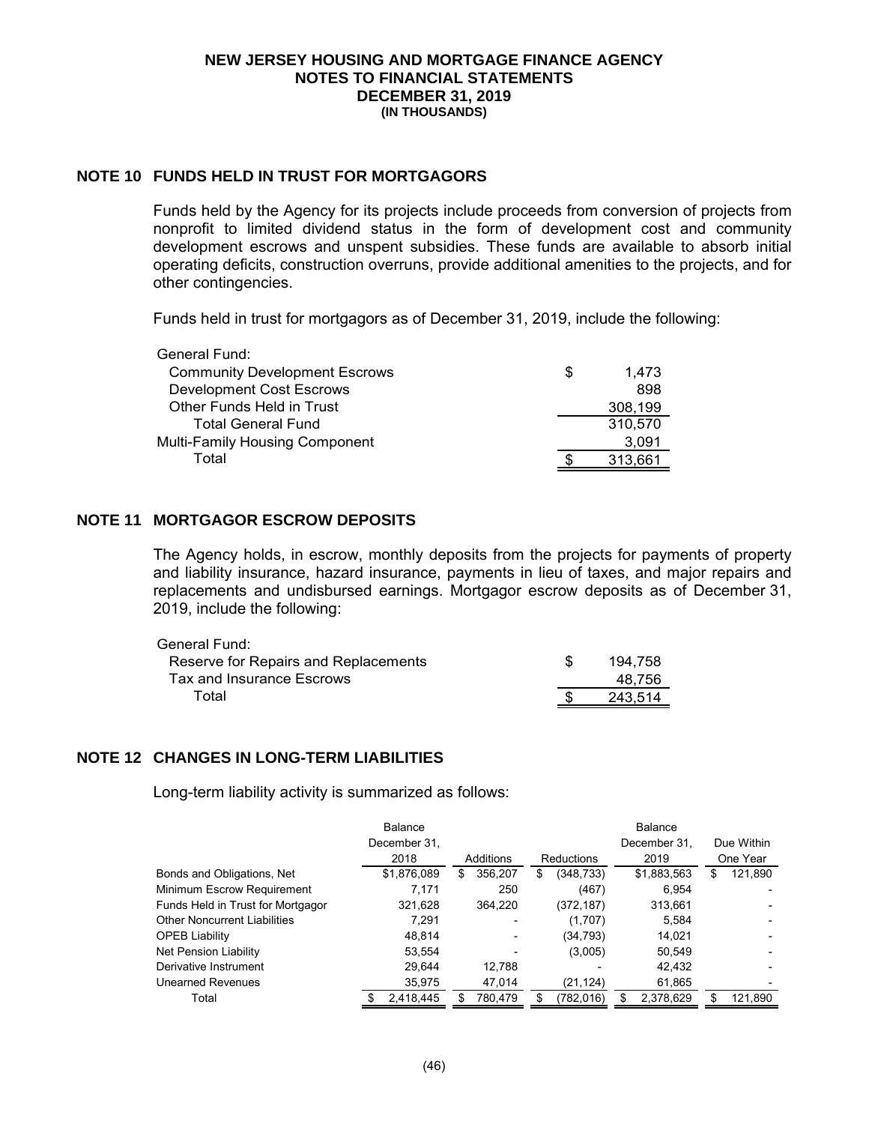### **NOTE 10 FUNDS HELD IN TRUST FOR MORTGAGORS**

Funds held by the Agency for its projects include proceeds from conversion of projects from nonprofit to limited dividend status in the form of development cost and community development escrows and unspent subsidies. These funds are available to absorb initial operating deficits, construction overruns, provide additional amenities to the projects, and for other contingencies.

Funds held in trust for mortgagors as of December 31, 2019, include the following:

| General Fund:                        |   |         |
|--------------------------------------|---|---------|
| <b>Community Development Escrows</b> | S | 1.473   |
| <b>Development Cost Escrows</b>      |   | 898     |
| Other Funds Held in Trust            |   | 308,199 |
| <b>Total General Fund</b>            |   | 310,570 |
| Multi-Family Housing Component       |   | 3.091   |
| Total                                |   | 313,661 |

## **NOTE 11 MORTGAGOR ESCROW DEPOSITS**

The Agency holds, in escrow, monthly deposits from the projects for payments of property and liability insurance, hazard insurance, payments in lieu of taxes, and major repairs and replacements and undisbursed earnings. Mortgagor escrow deposits as of December 31, 2019, include the following:

| General Fund:                        |         |
|--------------------------------------|---------|
| Reserve for Repairs and Replacements | 194.758 |
| Tax and Insurance Escrows            | 48.756  |
| Total                                | 243.514 |

# **NOTE 12 CHANGES IN LONG-TERM LIABILITIES**

Long-term liability activity is summarized as follows:

|                                     | Balance      |   |           |    |                   |   | Balance      |   |            |
|-------------------------------------|--------------|---|-----------|----|-------------------|---|--------------|---|------------|
|                                     | December 31, |   |           |    |                   |   | December 31, |   | Due Within |
|                                     | 2018         |   | Additions |    | <b>Reductions</b> |   | 2019         |   | One Year   |
| Bonds and Obligations, Net          | \$1,876,089  | S | 356,207   | \$ | (348,733)         |   | \$1,883,563  | S | 121,890    |
| Minimum Escrow Requirement          | 7,171        |   | 250       |    | (467)             |   | 6.954        |   |            |
| Funds Held in Trust for Mortgagor   | 321,628      |   | 364.220   |    | (372, 187)        |   | 313,661      |   |            |
| <b>Other Noncurrent Liabilities</b> | 7.291        |   |           |    | (1,707)           |   | 5,584        |   |            |
| <b>OPEB Liability</b>               | 48.814       |   |           |    | (34, 793)         |   | 14,021       |   |            |
| <b>Net Pension Liability</b>        | 53,554       |   |           |    | (3,005)           |   | 50,549       |   |            |
| Derivative Instrument               | 29.644       |   | 12.788    |    |                   |   | 42,432       |   |            |
| <b>Unearned Revenues</b>            | 35,975       |   | 47,014    |    | (21, 124)         |   | 61,865       |   |            |
| Total                               | 2.418.445    |   | 780.479   | S  | (782, 016)        | S | 2.378.629    |   | 121.890    |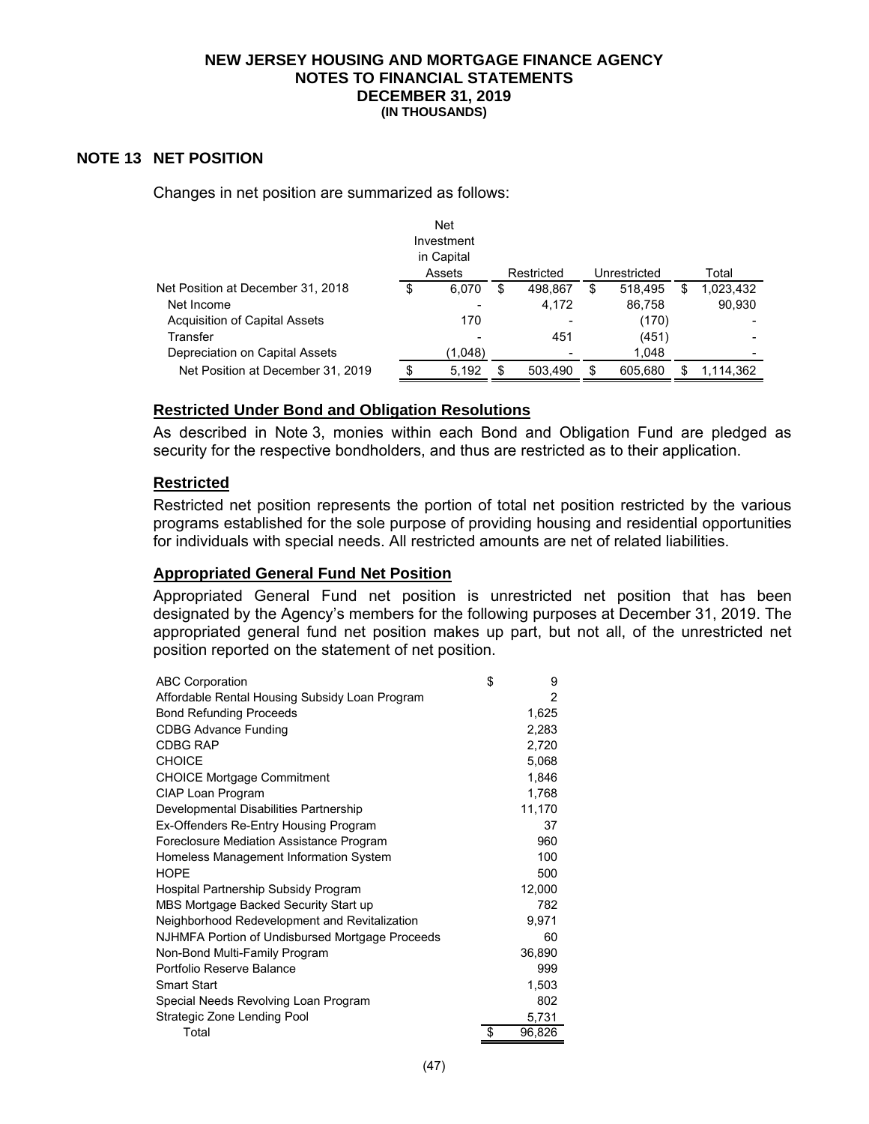# **NOTE 13 NET POSITION**

Changes in net position are summarized as follows:

|                                   |   | <b>Net</b><br>Investment<br>in Capital |   |            |    |              |   |           |
|-----------------------------------|---|----------------------------------------|---|------------|----|--------------|---|-----------|
|                                   |   | Assets                                 |   | Restricted |    | Unrestricted |   | Total     |
| Net Position at December 31, 2018 | S | 6,070                                  | S | 498.867    | S  | 518,495      | S | 1,023,432 |
| Net Income                        |   |                                        |   | 4.172      |    | 86,758       |   | 90.930    |
| Acquisition of Capital Assets     |   | 170                                    |   |            |    | (170)        |   |           |
| Transfer                          |   |                                        |   | 451        |    | (451)        |   |           |
| Depreciation on Capital Assets    |   | (1,048)                                |   |            |    | 1,048        |   |           |
| Net Position at December 31, 2019 |   | 5,192                                  |   | 503.490    | \$ | 605.680      |   | 1,114,362 |

### **Restricted Under Bond and Obligation Resolutions**

As described in Note 3, monies within each Bond and Obligation Fund are pledged as security for the respective bondholders, and thus are restricted as to their application.

### **Restricted**

Restricted net position represents the portion of total net position restricted by the various programs established for the sole purpose of providing housing and residential opportunities for individuals with special needs. All restricted amounts are net of related liabilities.

### **Appropriated General Fund Net Position**

Appropriated General Fund net position is unrestricted net position that has been designated by the Agency's members for the following purposes at December 31, 2019. The appropriated general fund net position makes up part, but not all, of the unrestricted net position reported on the statement of net position.

| <b>ABC Corporation</b>                          | \$<br>9        |
|-------------------------------------------------|----------------|
| Affordable Rental Housing Subsidy Loan Program  | $\overline{2}$ |
| <b>Bond Refunding Proceeds</b>                  | 1,625          |
| <b>CDBG Advance Funding</b>                     | 2,283          |
| <b>CDBG RAP</b>                                 | 2,720          |
| <b>CHOICE</b>                                   | 5,068          |
| <b>CHOICE Mortgage Commitment</b>               | 1,846          |
| CIAP Loan Program                               | 1,768          |
| Developmental Disabilities Partnership          | 11,170         |
| Ex-Offenders Re-Entry Housing Program           | 37             |
| Foreclosure Mediation Assistance Program        | 960            |
| Homeless Management Information System          | 100            |
| <b>HOPE</b>                                     | 500            |
| Hospital Partnership Subsidy Program            | 12,000         |
| MBS Mortgage Backed Security Start up           | 782            |
| Neighborhood Redevelopment and Revitalization   | 9,971          |
| NJHMFA Portion of Undisbursed Mortgage Proceeds | 60             |
| Non-Bond Multi-Family Program                   | 36,890         |
| Portfolio Reserve Balance                       | 999            |
| <b>Smart Start</b>                              | 1,503          |
| Special Needs Revolving Loan Program            | 802            |
| Strategic Zone Lending Pool                     | 5,731          |
| Total                                           | \$<br>96,826   |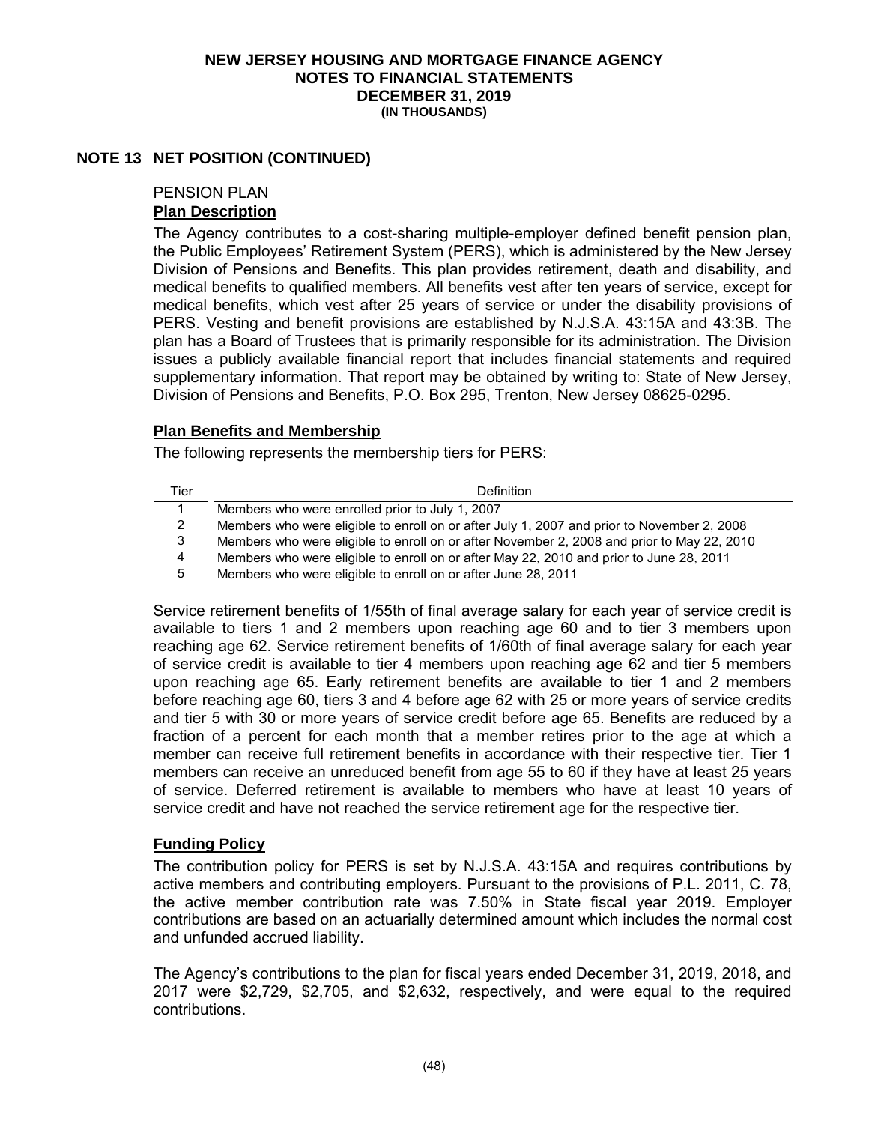## **NOTE 13 NET POSITION (CONTINUED)**

### PENSION PLAN **Plan Description**

The Agency contributes to a cost-sharing multiple-employer defined benefit pension plan, the Public Employees' Retirement System (PERS), which is administered by the New Jersey Division of Pensions and Benefits. This plan provides retirement, death and disability, and medical benefits to qualified members. All benefits vest after ten years of service, except for medical benefits, which vest after 25 years of service or under the disability provisions of PERS. Vesting and benefit provisions are established by N.J.S.A. 43:15A and 43:3B. The plan has a Board of Trustees that is primarily responsible for its administration. The Division issues a publicly available financial report that includes financial statements and required supplementary information. That report may be obtained by writing to: State of New Jersey, Division of Pensions and Benefits, P.O. Box 295, Trenton, New Jersey 08625-0295.

#### **Plan Benefits and Membership**

The following represents the membership tiers for PERS:

| Tier | Definition                                                                                 |
|------|--------------------------------------------------------------------------------------------|
| 1    | Members who were enrolled prior to July 1, 2007                                            |
| 2    | Members who were eligible to enroll on or after July 1, 2007 and prior to November 2, 2008 |
| 3    | Members who were eligible to enroll on or after November 2, 2008 and prior to May 22, 2010 |
| 4    | Members who were eligible to enroll on or after May 22, 2010 and prior to June 28, 2011    |
| 5    | Members who were eligible to enroll on or after June 28, 2011                              |

Service retirement benefits of 1/55th of final average salary for each year of service credit is available to tiers 1 and 2 members upon reaching age 60 and to tier 3 members upon reaching age 62. Service retirement benefits of 1/60th of final average salary for each year of service credit is available to tier 4 members upon reaching age 62 and tier 5 members upon reaching age 65. Early retirement benefits are available to tier 1 and 2 members before reaching age 60, tiers 3 and 4 before age 62 with 25 or more years of service credits and tier 5 with 30 or more years of service credit before age 65. Benefits are reduced by a fraction of a percent for each month that a member retires prior to the age at which a member can receive full retirement benefits in accordance with their respective tier. Tier 1 members can receive an unreduced benefit from age 55 to 60 if they have at least 25 years of service. Deferred retirement is available to members who have at least 10 years of service credit and have not reached the service retirement age for the respective tier.

### **Funding Policy**

The contribution policy for PERS is set by N.J.S.A. 43:15A and requires contributions by active members and contributing employers. Pursuant to the provisions of P.L. 2011, C. 78, the active member contribution rate was 7.50% in State fiscal year 2019. Employer contributions are based on an actuarially determined amount which includes the normal cost and unfunded accrued liability.

The Agency's contributions to the plan for fiscal years ended December 31, 2019, 2018, and 2017 were \$2,729, \$2,705, and \$2,632, respectively, and were equal to the required contributions.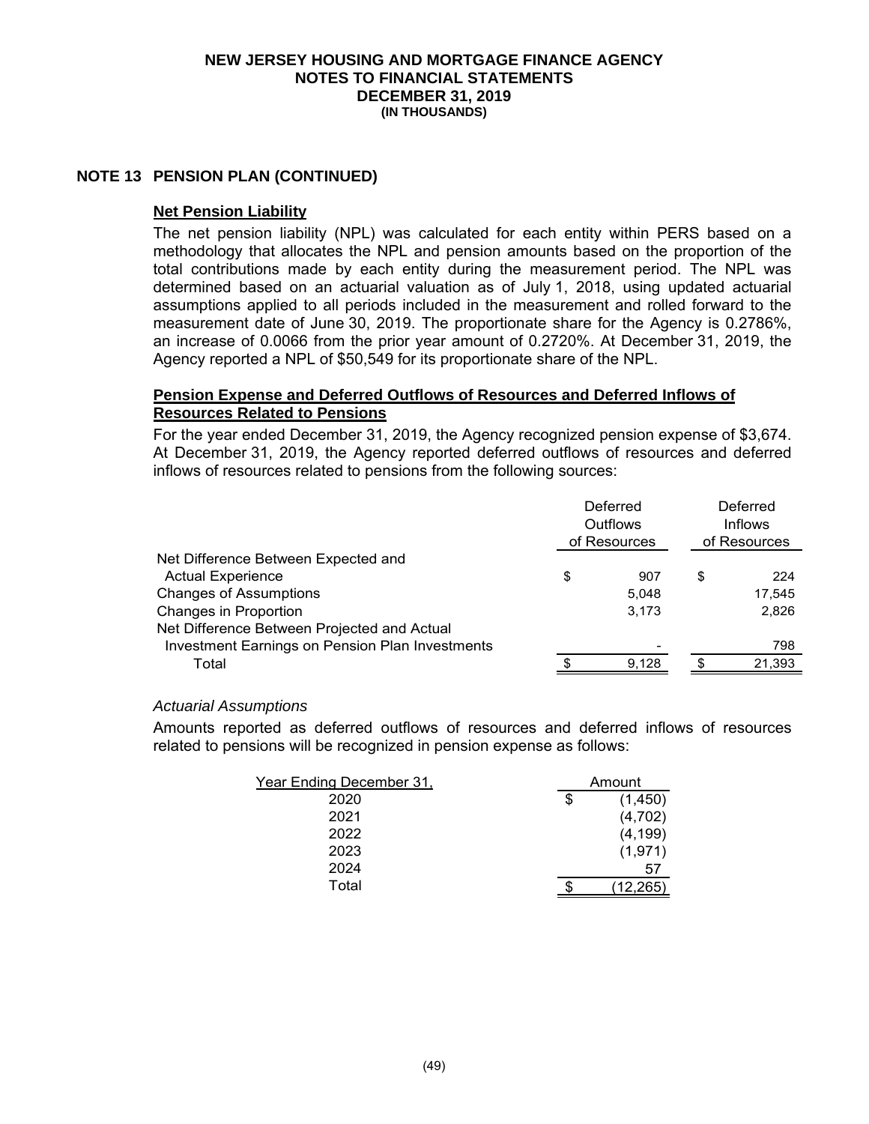### **NOTE 13 PENSION PLAN (CONTINUED)**

### **Net Pension Liability**

The net pension liability (NPL) was calculated for each entity within PERS based on a methodology that allocates the NPL and pension amounts based on the proportion of the total contributions made by each entity during the measurement period. The NPL was determined based on an actuarial valuation as of July 1, 2018, using updated actuarial assumptions applied to all periods included in the measurement and rolled forward to the measurement date of June 30, 2019. The proportionate share for the Agency is 0.2786%, an increase of 0.0066 from the prior year amount of 0.2720%. At December 31, 2019, the Agency reported a NPL of \$50,549 for its proportionate share of the NPL.

### **Pension Expense and Deferred Outflows of Resources and Deferred Inflows of Resources Related to Pensions**

For the year ended December 31, 2019, the Agency recognized pension expense of \$3,674. At December 31, 2019, the Agency reported deferred outflows of resources and deferred inflows of resources related to pensions from the following sources:

|                                                 | Deferred<br><b>Outflows</b><br>of Resources |    | Deferred<br>Inflows<br>of Resources |
|-------------------------------------------------|---------------------------------------------|----|-------------------------------------|
| Net Difference Between Expected and             |                                             |    |                                     |
| <b>Actual Experience</b>                        | \$<br>907                                   | \$ | 224                                 |
| <b>Changes of Assumptions</b>                   | 5,048                                       |    | 17,545                              |
| Changes in Proportion                           | 3,173                                       |    | 2,826                               |
| Net Difference Between Projected and Actual     |                                             |    |                                     |
| Investment Earnings on Pension Plan Investments |                                             |    | 798                                 |
| Total                                           | 9.128                                       |    | 21,393                              |
|                                                 |                                             |    |                                     |

### *Actuarial Assumptions*

Amounts reported as deferred outflows of resources and deferred inflows of resources related to pensions will be recognized in pension expense as follows:

| Year Ending December 31. | Amount        |
|--------------------------|---------------|
| 2020                     | \$<br>(1,450) |
| 2021                     | (4,702)       |
| 2022                     | (4, 199)      |
| 2023                     | (1, 971)      |
| 2024                     | 57            |
| Total                    | 12.265)       |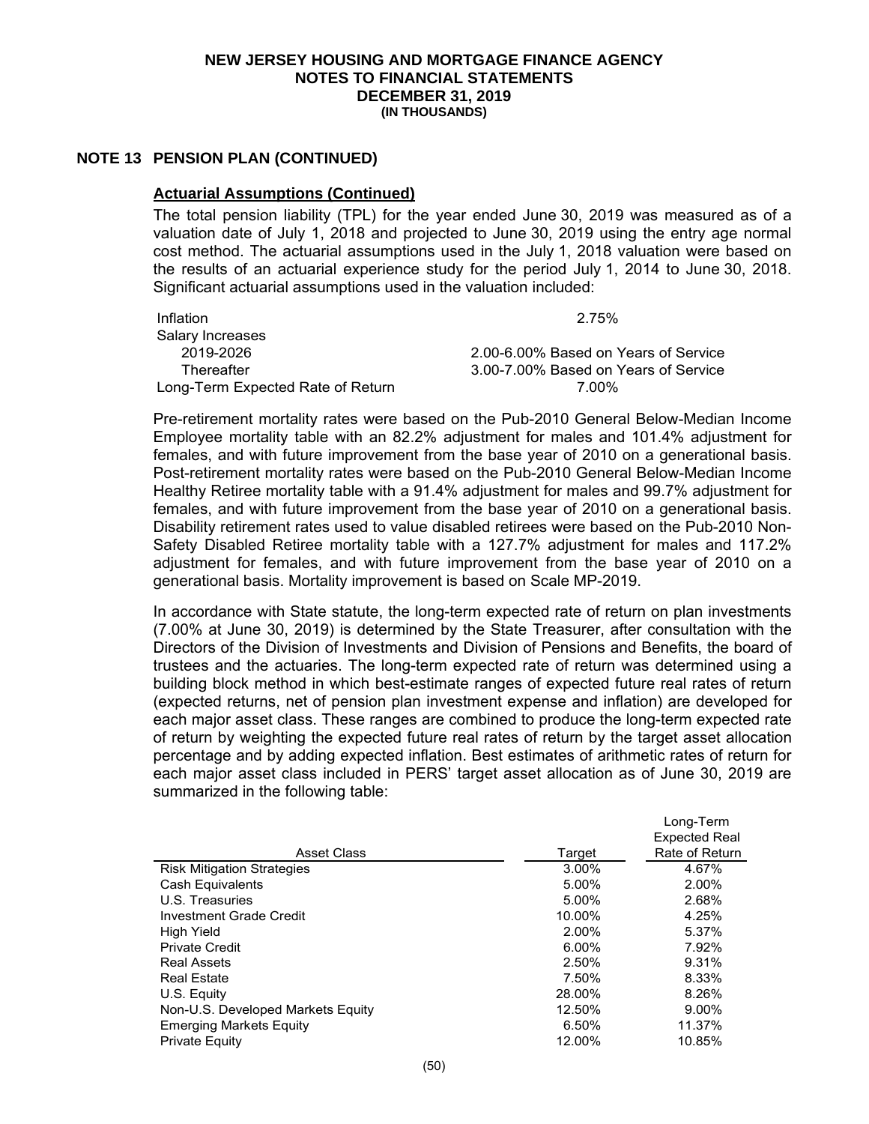### **NOTE 13 PENSION PLAN (CONTINUED)**

### **Actuarial Assumptions (Continued)**

The total pension liability (TPL) for the year ended June 30, 2019 was measured as of a valuation date of July 1, 2018 and projected to June 30, 2019 using the entry age normal cost method. The actuarial assumptions used in the July 1, 2018 valuation were based on the results of an actuarial experience study for the period July 1, 2014 to June 30, 2018. Significant actuarial assumptions used in the valuation included:

| Inflation                         | 2 75%                                |
|-----------------------------------|--------------------------------------|
| Salary Increases                  |                                      |
| 2019-2026                         | 2.00-6.00% Based on Years of Service |
| Thereafter                        | 3.00-7.00% Based on Years of Service |
| Long-Term Expected Rate of Return | 7 00%                                |

Pre-retirement mortality rates were based on the Pub-2010 General Below-Median Income Employee mortality table with an 82.2% adjustment for males and 101.4% adjustment for females, and with future improvement from the base year of 2010 on a generational basis. Post-retirement mortality rates were based on the Pub-2010 General Below-Median Income Healthy Retiree mortality table with a 91.4% adjustment for males and 99.7% adjustment for females, and with future improvement from the base year of 2010 on a generational basis. Disability retirement rates used to value disabled retirees were based on the Pub-2010 Non-Safety Disabled Retiree mortality table with a 127.7% adjustment for males and 117.2% adjustment for females, and with future improvement from the base year of 2010 on a generational basis. Mortality improvement is based on Scale MP-2019.

In accordance with State statute, the long-term expected rate of return on plan investments (7.00% at June 30, 2019) is determined by the State Treasurer, after consultation with the Directors of the Division of Investments and Division of Pensions and Benefits, the board of trustees and the actuaries. The long-term expected rate of return was determined using a building block method in which best-estimate ranges of expected future real rates of return (expected returns, net of pension plan investment expense and inflation) are developed for each major asset class. These ranges are combined to produce the long-term expected rate of return by weighting the expected future real rates of return by the target asset allocation percentage and by adding expected inflation. Best estimates of arithmetic rates of return for each major asset class included in PERS' target asset allocation as of June 30, 2019 are summarized in the following table:

|                                   |        | Long-Term            |
|-----------------------------------|--------|----------------------|
|                                   |        | <b>Expected Real</b> |
| Asset Class                       | Target | Rate of Return       |
| <b>Risk Mitigation Strategies</b> | 3.00%  | 4.67%                |
| <b>Cash Equivalents</b>           | 5.00%  | 2.00%                |
| U.S. Treasuries                   | 5.00%  | 2.68%                |
| Investment Grade Credit           | 10.00% | 4.25%                |
| High Yield                        | 2.00%  | 5.37%                |
| <b>Private Credit</b>             | 6.00%  | 7.92%                |
| <b>Real Assets</b>                | 2.50%  | 9.31%                |
| <b>Real Estate</b>                | 7.50%  | 8.33%                |
| U.S. Equity                       | 28.00% | 8.26%                |
| Non-U.S. Developed Markets Equity | 12.50% | 9.00%                |
| <b>Emerging Markets Equity</b>    | 6.50%  | 11.37%               |
| <b>Private Equity</b>             | 12.00% | 10.85%               |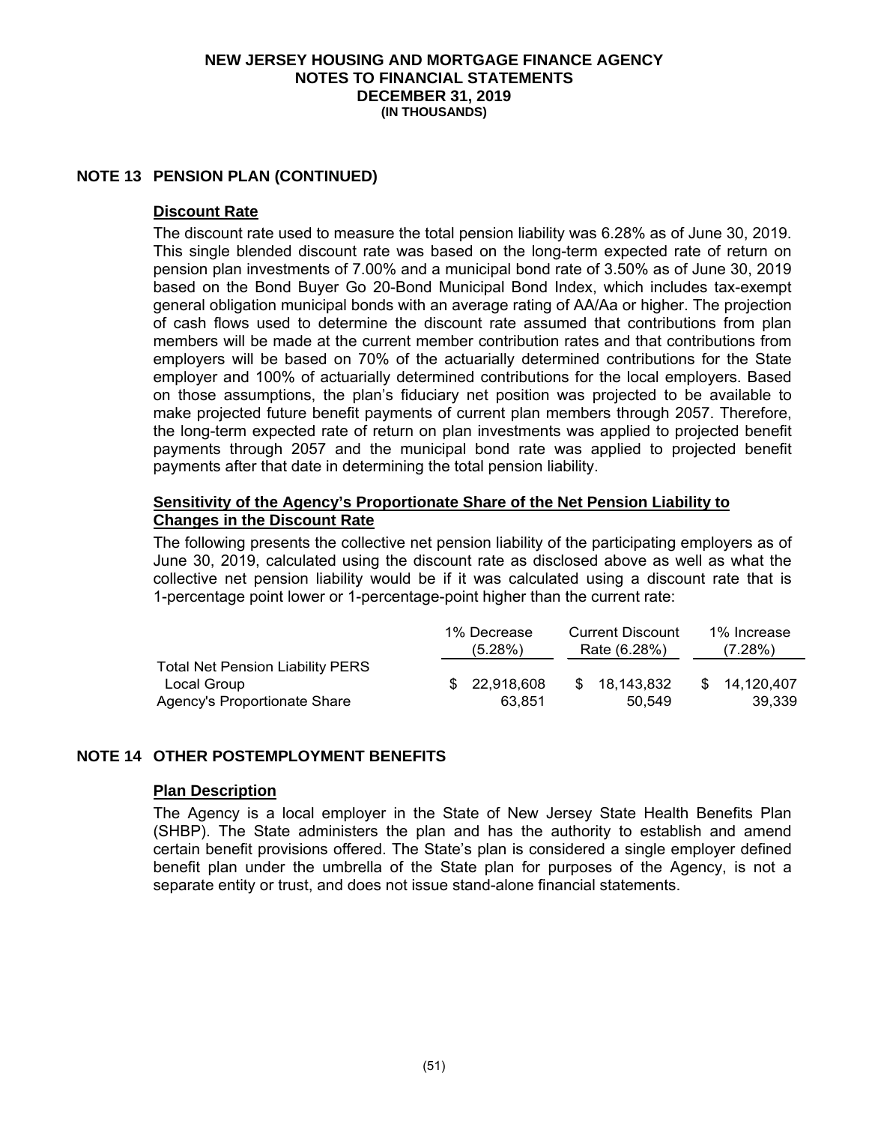### **NOTE 13 PENSION PLAN (CONTINUED)**

### **Discount Rate**

The discount rate used to measure the total pension liability was 6.28% as of June 30, 2019. This single blended discount rate was based on the long-term expected rate of return on pension plan investments of 7.00% and a municipal bond rate of 3.50% as of June 30, 2019 based on the Bond Buyer Go 20-Bond Municipal Bond Index, which includes tax-exempt general obligation municipal bonds with an average rating of AA/Aa or higher. The projection of cash flows used to determine the discount rate assumed that contributions from plan members will be made at the current member contribution rates and that contributions from employers will be based on 70% of the actuarially determined contributions for the State employer and 100% of actuarially determined contributions for the local employers. Based on those assumptions, the plan's fiduciary net position was projected to be available to make projected future benefit payments of current plan members through 2057. Therefore, the long-term expected rate of return on plan investments was applied to projected benefit payments through 2057 and the municipal bond rate was applied to projected benefit payments after that date in determining the total pension liability.

## **Sensitivity of the Agency's Proportionate Share of the Net Pension Liability to Changes in the Discount Rate**

The following presents the collective net pension liability of the participating employers as of June 30, 2019, calculated using the discount rate as disclosed above as well as what the collective net pension liability would be if it was calculated using a discount rate that is 1-percentage point lower or 1-percentage-point higher than the current rate:

|                                         | 1% Decrease   |     | <b>Current Discount</b> | 1% Increase  |
|-----------------------------------------|---------------|-----|-------------------------|--------------|
|                                         | (5.28%)       |     | Rate (6.28%)            | (7.28%)      |
| <b>Total Net Pension Liability PERS</b> |               |     |                         |              |
| Local Group                             | \$ 22.918.608 | SS. | 18.143.832              | \$14.120.407 |
| Agency's Proportionate Share            | 63.851        |     | 50.549                  | 39.339       |

# **NOTE 14 OTHER POSTEMPLOYMENT BENEFITS**

### **Plan Description**

The Agency is a local employer in the State of New Jersey State Health Benefits Plan (SHBP). The State administers the plan and has the authority to establish and amend certain benefit provisions offered. The State's plan is considered a single employer defined benefit plan under the umbrella of the State plan for purposes of the Agency, is not a separate entity or trust, and does not issue stand-alone financial statements.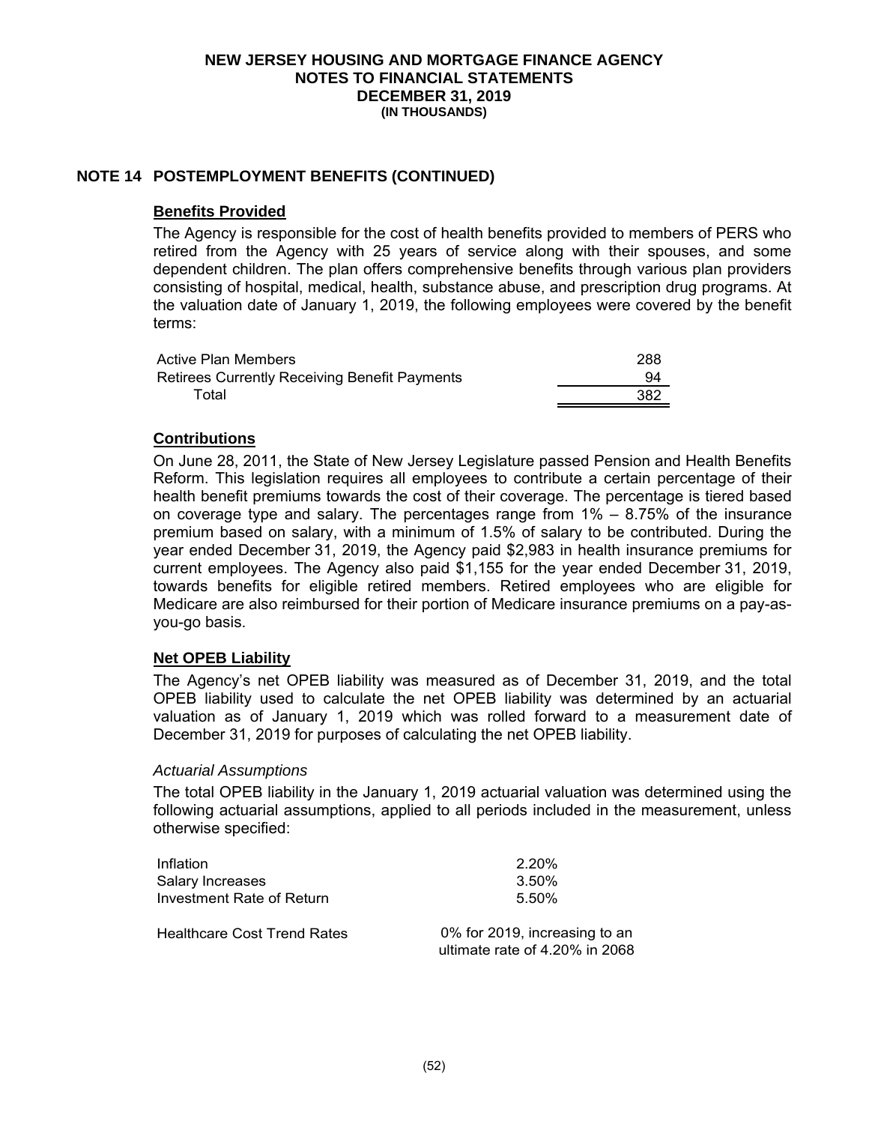### **NOTE 14 POSTEMPLOYMENT BENEFITS (CONTINUED)**

### **Benefits Provided**

The Agency is responsible for the cost of health benefits provided to members of PERS who retired from the Agency with 25 years of service along with their spouses, and some dependent children. The plan offers comprehensive benefits through various plan providers consisting of hospital, medical, health, substance abuse, and prescription drug programs. At the valuation date of January 1, 2019, the following employees were covered by the benefit terms:

| Active Plan Members                           | 288 |
|-----------------------------------------------|-----|
| Retirees Currently Receiving Benefit Payments | 94  |
| Total                                         | 382 |

### **Contributions**

On June 28, 2011, the State of New Jersey Legislature passed Pension and Health Benefits Reform. This legislation requires all employees to contribute a certain percentage of their health benefit premiums towards the cost of their coverage. The percentage is tiered based on coverage type and salary. The percentages range from 1% – 8.75% of the insurance premium based on salary, with a minimum of 1.5% of salary to be contributed. During the year ended December 31, 2019, the Agency paid \$2,983 in health insurance premiums for current employees. The Agency also paid \$1,155 for the year ended December 31, 2019, towards benefits for eligible retired members. Retired employees who are eligible for Medicare are also reimbursed for their portion of Medicare insurance premiums on a pay-asyou-go basis.

### **Net OPEB Liability**

The Agency's net OPEB liability was measured as of December 31, 2019, and the total OPEB liability used to calculate the net OPEB liability was determined by an actuarial valuation as of January 1, 2019 which was rolled forward to a measurement date of December 31, 2019 for purposes of calculating the net OPEB liability.

### *Actuarial Assumptions*

The total OPEB liability in the January 1, 2019 actuarial valuation was determined using the following actuarial assumptions, applied to all periods included in the measurement, unless otherwise specified:

| Inflation                          | 2.20%                                                           |
|------------------------------------|-----------------------------------------------------------------|
| Salary Increases                   | 3.50%                                                           |
| Investment Rate of Return          | 5.50%                                                           |
| <b>Healthcare Cost Trend Rates</b> | 0% for 2019, increasing to an<br>ultimate rate of 4.20% in 2068 |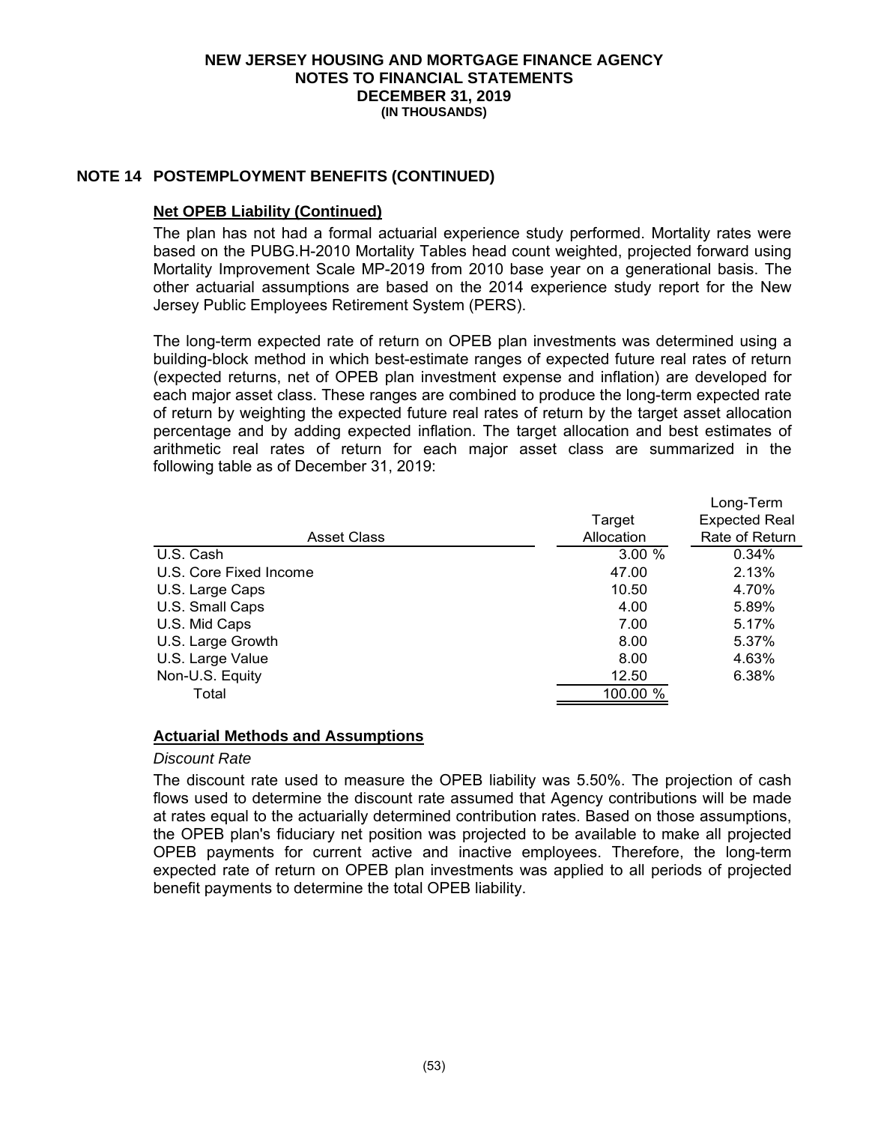### **NOTE 14 POSTEMPLOYMENT BENEFITS (CONTINUED)**

### **Net OPEB Liability (Continued)**

The plan has not had a formal actuarial experience study performed. Mortality rates were based on the PUBG.H-2010 Mortality Tables head count weighted, projected forward using Mortality Improvement Scale MP-2019 from 2010 base year on a generational basis. The other actuarial assumptions are based on the 2014 experience study report for the New Jersey Public Employees Retirement System (PERS).

The long-term expected rate of return on OPEB plan investments was determined using a building-block method in which best-estimate ranges of expected future real rates of return (expected returns, net of OPEB plan investment expense and inflation) are developed for each major asset class. These ranges are combined to produce the long-term expected rate of return by weighting the expected future real rates of return by the target asset allocation percentage and by adding expected inflation. The target allocation and best estimates of arithmetic real rates of return for each major asset class are summarized in the following table as of December 31, 2019:

|                        |            | Long-Term            |
|------------------------|------------|----------------------|
|                        | Target     | <b>Expected Real</b> |
| Asset Class            | Allocation | Rate of Return       |
| U.S. Cash              | 3.00%      | 0.34%                |
| U.S. Core Fixed Income | 47.00      | 2.13%                |
| U.S. Large Caps        | 10.50      | 4.70%                |
| U.S. Small Caps        | 4.00       | 5.89%                |
| U.S. Mid Caps          | 7.00       | 5.17%                |
| U.S. Large Growth      | 8.00       | 5.37%                |
| U.S. Large Value       | 8.00       | 4.63%                |
| Non-U.S. Equity        | 12.50      | 6.38%                |
| Total                  | 100.00 %   |                      |

### **Actuarial Methods and Assumptions**

#### *Discount Rate*

The discount rate used to measure the OPEB liability was 5.50%. The projection of cash flows used to determine the discount rate assumed that Agency contributions will be made at rates equal to the actuarially determined contribution rates. Based on those assumptions, the OPEB plan's fiduciary net position was projected to be available to make all projected OPEB payments for current active and inactive employees. Therefore, the long-term expected rate of return on OPEB plan investments was applied to all periods of projected benefit payments to determine the total OPEB liability.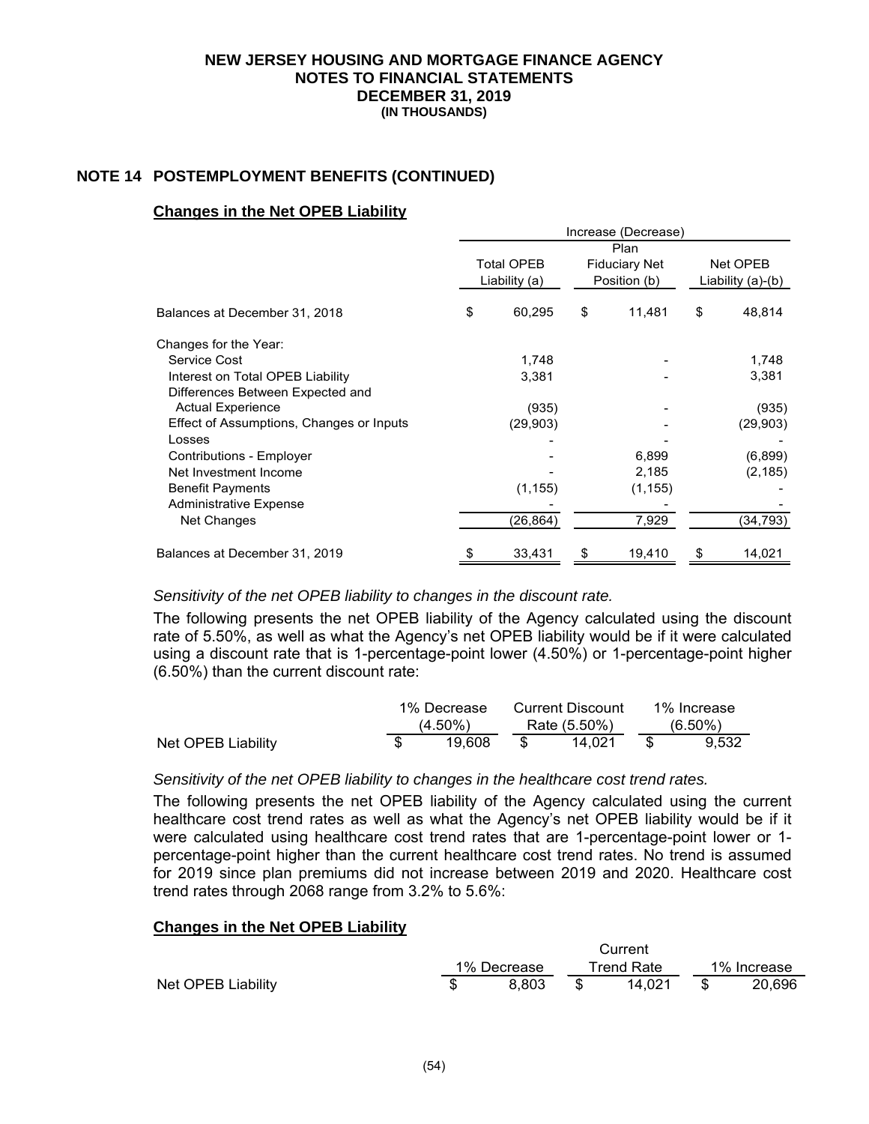### **NOTE 14 POSTEMPLOYMENT BENEFITS (CONTINUED)**

#### **Changes in the Net OPEB Liability**

|                                          | Increase (Decrease) |                   |    |                              |    |                   |  |  |  |  |  |  |
|------------------------------------------|---------------------|-------------------|----|------------------------------|----|-------------------|--|--|--|--|--|--|
|                                          |                     | <b>Total OPEB</b> |    | Plan<br><b>Fiduciary Net</b> |    | Net OPEB          |  |  |  |  |  |  |
|                                          |                     | Liability (a)     |    | Position (b)                 |    | Liability (a)-(b) |  |  |  |  |  |  |
| Balances at December 31, 2018            | \$                  | 60,295            | \$ | 11,481                       | \$ | 48,814            |  |  |  |  |  |  |
| Changes for the Year:                    |                     |                   |    |                              |    |                   |  |  |  |  |  |  |
| Service Cost                             |                     | 1,748             |    |                              |    | 1,748             |  |  |  |  |  |  |
| Interest on Total OPEB Liability         |                     | 3,381             |    |                              |    | 3,381             |  |  |  |  |  |  |
| Differences Between Expected and         |                     |                   |    |                              |    |                   |  |  |  |  |  |  |
| <b>Actual Experience</b>                 |                     | (935)             |    |                              |    | (935)             |  |  |  |  |  |  |
| Effect of Assumptions, Changes or Inputs |                     | (29, 903)         |    |                              |    | (29,903)          |  |  |  |  |  |  |
| Losses                                   |                     |                   |    |                              |    |                   |  |  |  |  |  |  |
| <b>Contributions - Employer</b>          |                     |                   |    | 6,899                        |    | (6,899)           |  |  |  |  |  |  |
| Net Investment Income                    |                     |                   |    | 2,185                        |    | (2, 185)          |  |  |  |  |  |  |
| <b>Benefit Payments</b>                  |                     | (1, 155)          |    | (1, 155)                     |    |                   |  |  |  |  |  |  |
| <b>Administrative Expense</b>            |                     |                   |    |                              |    |                   |  |  |  |  |  |  |
| Net Changes                              |                     | (26, 864)         |    | 7,929                        |    | (34,793)          |  |  |  |  |  |  |
| Balances at December 31, 2019            |                     | 33,431            | \$ | 19,410                       | \$ | 14,021            |  |  |  |  |  |  |

### *Sensitivity of the net OPEB liability to changes in the discount rate.*

The following presents the net OPEB liability of the Agency calculated using the discount rate of 5.50%, as well as what the Agency's net OPEB liability would be if it were calculated using a discount rate that is 1-percentage-point lower (4.50%) or 1-percentage-point higher (6.50%) than the current discount rate:

|                    | 1% Decrease | Current Discount | 1% Increase |
|--------------------|-------------|------------------|-------------|
|                    | $(4.50\%)$  | Rate (5.50%)     | $(6.50\%)$  |
| Net OPEB Liability | 19.608      | 14.021           | 9.532       |

### *Sensitivity of the net OPEB liability to changes in the healthcare cost trend rates.*

The following presents the net OPEB liability of the Agency calculated using the current healthcare cost trend rates as well as what the Agency's net OPEB liability would be if it were calculated using healthcare cost trend rates that are 1-percentage-point lower or 1 percentage-point higher than the current healthcare cost trend rates. No trend is assumed for 2019 since plan premiums did not increase between 2019 and 2020. Healthcare cost trend rates through 2068 range from 3.2% to 5.6%:

### **Changes in the Net OPEB Liability**

|                    |             | Current    |             |        |  |  |  |
|--------------------|-------------|------------|-------------|--------|--|--|--|
|                    | 1% Decrease | Trend Rate | 1% Increase |        |  |  |  |
| Net OPEB Liability | 8.803       | 14.021     |             | 20.696 |  |  |  |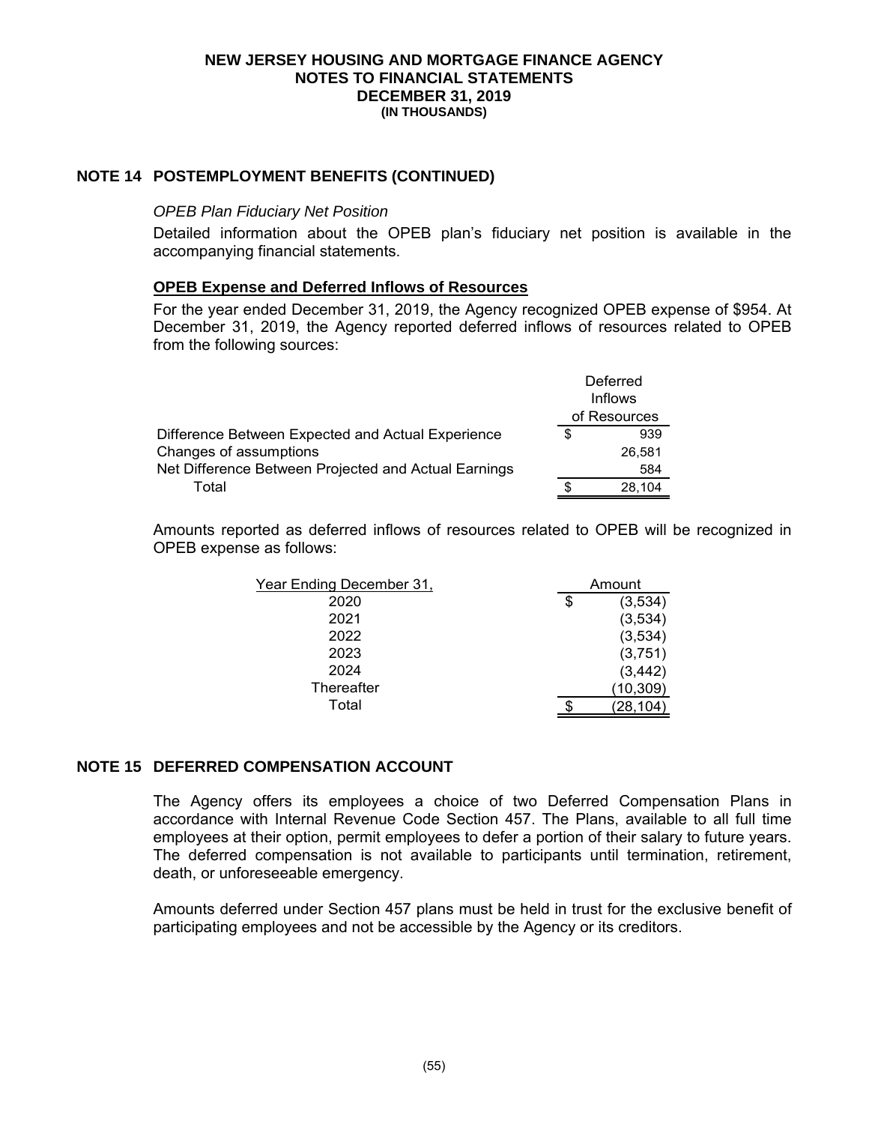## **NOTE 14 POSTEMPLOYMENT BENEFITS (CONTINUED)**

#### *OPEB Plan Fiduciary Net Position*

Detailed information about the OPEB plan's fiduciary net position is available in the accompanying financial statements.

### **OPEB Expense and Deferred Inflows of Resources**

For the year ended December 31, 2019, the Agency recognized OPEB expense of \$954. At December 31, 2019, the Agency reported deferred inflows of resources related to OPEB from the following sources:

|                                                      | Deferred       |
|------------------------------------------------------|----------------|
|                                                      | <b>Inflows</b> |
|                                                      | of Resources   |
| Difference Between Expected and Actual Experience    | \$<br>939      |
| Changes of assumptions                               | 26.581         |
| Net Difference Between Projected and Actual Earnings | 584            |
| Total                                                | 28,104         |

Amounts reported as deferred inflows of resources related to OPEB will be recognized in OPEB expense as follows:

| Year Ending December 31, | Amount                 |
|--------------------------|------------------------|
| 2020                     | \$<br>(3,534)          |
| 2021                     | (3,534)                |
| 2022                     | (3,534)                |
| 2023                     | (3,751)                |
| 2024                     | (3, 442)               |
| Thereafter               | (10, 309)              |
| Total                    | $\left( 28,104\right)$ |

# **NOTE 15 DEFERRED COMPENSATION ACCOUNT**

The Agency offers its employees a choice of two Deferred Compensation Plans in accordance with Internal Revenue Code Section 457. The Plans, available to all full time employees at their option, permit employees to defer a portion of their salary to future years. The deferred compensation is not available to participants until termination, retirement, death, or unforeseeable emergency.

Amounts deferred under Section 457 plans must be held in trust for the exclusive benefit of participating employees and not be accessible by the Agency or its creditors.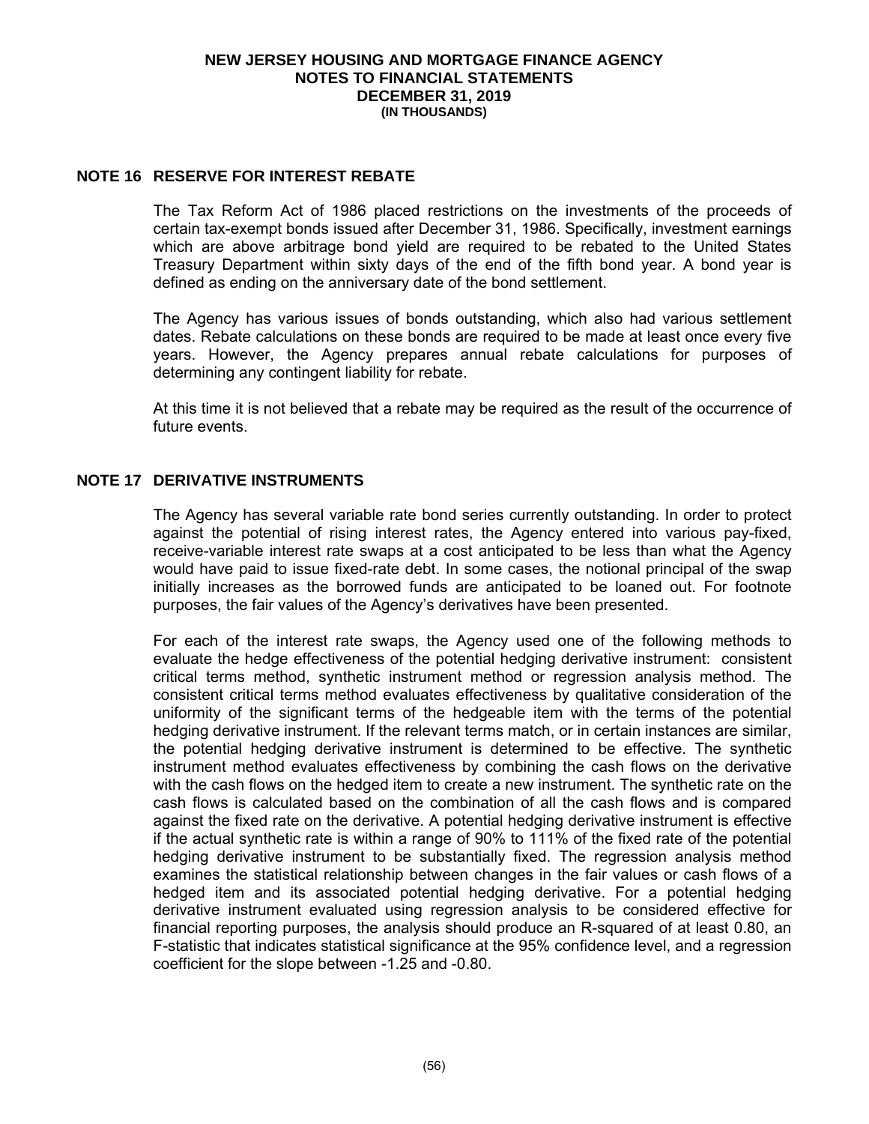### **NOTE 16 RESERVE FOR INTEREST REBATE**

The Tax Reform Act of 1986 placed restrictions on the investments of the proceeds of certain tax-exempt bonds issued after December 31, 1986. Specifically, investment earnings which are above arbitrage bond yield are required to be rebated to the United States Treasury Department within sixty days of the end of the fifth bond year. A bond year is defined as ending on the anniversary date of the bond settlement.

The Agency has various issues of bonds outstanding, which also had various settlement dates. Rebate calculations on these bonds are required to be made at least once every five years. However, the Agency prepares annual rebate calculations for purposes of determining any contingent liability for rebate.

At this time it is not believed that a rebate may be required as the result of the occurrence of future events.

### **NOTE 17 DERIVATIVE INSTRUMENTS**

The Agency has several variable rate bond series currently outstanding. In order to protect against the potential of rising interest rates, the Agency entered into various pay-fixed, receive-variable interest rate swaps at a cost anticipated to be less than what the Agency would have paid to issue fixed-rate debt. In some cases, the notional principal of the swap initially increases as the borrowed funds are anticipated to be loaned out. For footnote purposes, the fair values of the Agency's derivatives have been presented.

For each of the interest rate swaps, the Agency used one of the following methods to evaluate the hedge effectiveness of the potential hedging derivative instrument: consistent critical terms method, synthetic instrument method or regression analysis method. The consistent critical terms method evaluates effectiveness by qualitative consideration of the uniformity of the significant terms of the hedgeable item with the terms of the potential hedging derivative instrument. If the relevant terms match, or in certain instances are similar, the potential hedging derivative instrument is determined to be effective. The synthetic instrument method evaluates effectiveness by combining the cash flows on the derivative with the cash flows on the hedged item to create a new instrument. The synthetic rate on the cash flows is calculated based on the combination of all the cash flows and is compared against the fixed rate on the derivative. A potential hedging derivative instrument is effective if the actual synthetic rate is within a range of 90% to 111% of the fixed rate of the potential hedging derivative instrument to be substantially fixed. The regression analysis method examines the statistical relationship between changes in the fair values or cash flows of a hedged item and its associated potential hedging derivative. For a potential hedging derivative instrument evaluated using regression analysis to be considered effective for financial reporting purposes, the analysis should produce an R-squared of at least 0.80, an F-statistic that indicates statistical significance at the 95% confidence level, and a regression coefficient for the slope between -1.25 and -0.80.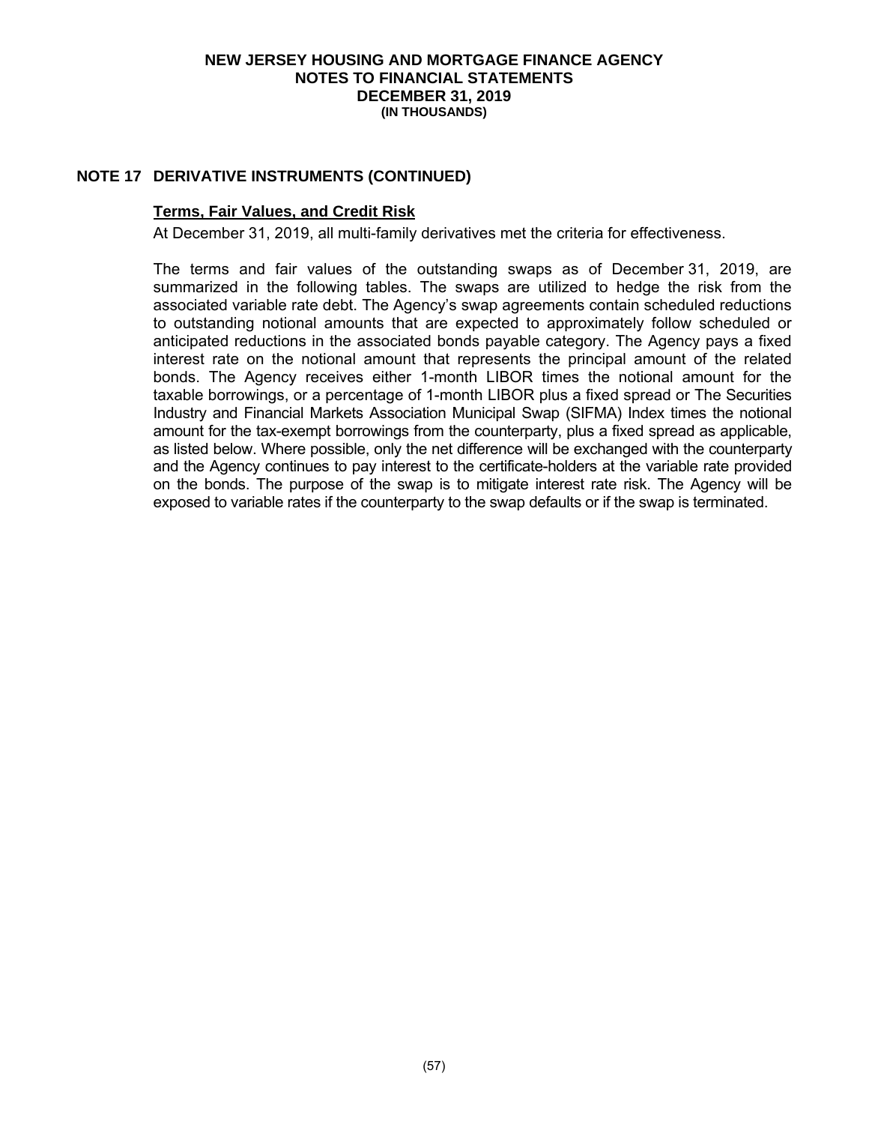### **NOTE 17 DERIVATIVE INSTRUMENTS (CONTINUED)**

### **Terms, Fair Values, and Credit Risk**

At December 31, 2019, all multi-family derivatives met the criteria for effectiveness.

The terms and fair values of the outstanding swaps as of December 31, 2019, are summarized in the following tables. The swaps are utilized to hedge the risk from the associated variable rate debt. The Agency's swap agreements contain scheduled reductions to outstanding notional amounts that are expected to approximately follow scheduled or anticipated reductions in the associated bonds payable category. The Agency pays a fixed interest rate on the notional amount that represents the principal amount of the related bonds. The Agency receives either 1-month LIBOR times the notional amount for the taxable borrowings, or a percentage of 1-month LIBOR plus a fixed spread or The Securities Industry and Financial Markets Association Municipal Swap (SIFMA) Index times the notional amount for the tax-exempt borrowings from the counterparty, plus a fixed spread as applicable, as listed below. Where possible, only the net difference will be exchanged with the counterparty and the Agency continues to pay interest to the certificate-holders at the variable rate provided on the bonds. The purpose of the swap is to mitigate interest rate risk. The Agency will be exposed to variable rates if the counterparty to the swap defaults or if the swap is terminated.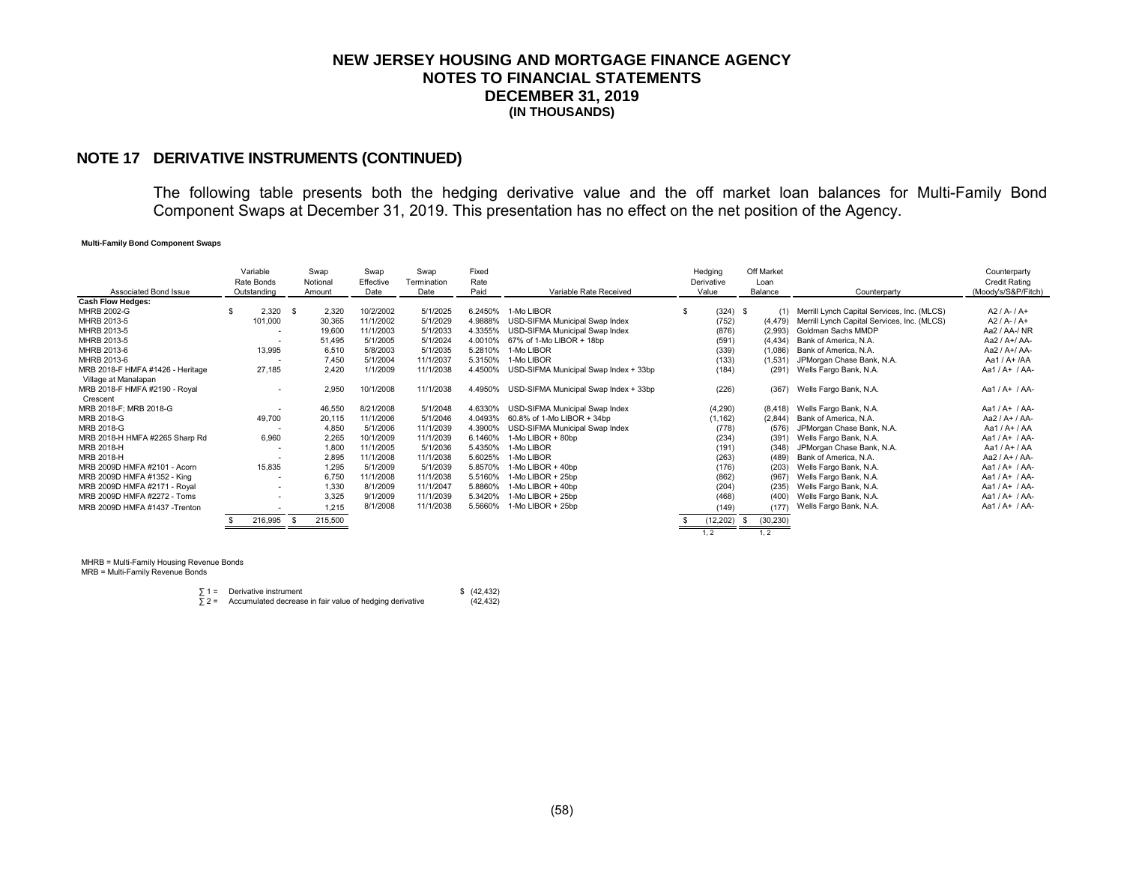### **NOTE 17 DERIVATIVE INSTRUMENTS (CONTINUED)**

The following table presents both the hedging derivative value and the off market loan balances for Multi-Family Bond Component Swaps at December 31, 2019. This presentation has no effect on the net position of the Agency.

#### **Multi-Family Bond Component Swaps**

| Associated Bond Issue                                    | Variable<br>Rate Bonds<br>Outstanding |      | Swap<br>Notional<br>Amount | Swap<br>Effective<br>Date | Swap<br>Termination<br>Date | Fixed<br>Rate<br>Paid | Variable Rate Received                | Hedging<br>Derivative<br>Value |      | Off Market<br>Loan<br>Balance | Counterparty                                | Counterparty<br><b>Credit Rating</b><br>(Moody's/S&P/Fitch) |
|----------------------------------------------------------|---------------------------------------|------|----------------------------|---------------------------|-----------------------------|-----------------------|---------------------------------------|--------------------------------|------|-------------------------------|---------------------------------------------|-------------------------------------------------------------|
| <b>Cash Flow Hedges:</b>                                 |                                       |      |                            |                           |                             |                       |                                       |                                |      |                               |                                             |                                                             |
| MHRB 2002-G                                              | 2,320                                 | - \$ | 2,320                      | 10/2/2002                 | 5/1/2025                    | 6.2450%               | 1-Mo LIBOR                            | (324)                          | - \$ | (1)                           | Merrill Lynch Capital Services, Inc. (MLCS) | $A2 / A - / A +$                                            |
| MHRB 2013-5                                              | 101,000                               |      | 30,365                     | 11/1/2002                 | 5/1/2029                    | 4.9888%               | USD-SIFMA Municipal Swap Index        | (752)                          |      | (4, 479)                      | Merrill Lynch Capital Services, Inc. (MLCS) | $A2 / A - / A +$                                            |
| MHRB 2013-5                                              |                                       |      | 19,600                     | 11/1/2003                 | 5/1/2033                    | 4.3355%               | USD-SIFMA Municipal Swap Index        | (876)                          |      | (2,993)                       | Goldman Sachs MMDP                          | Aa2 / AA-/ NR                                               |
| MHRB 2013-5                                              |                                       |      | 51,495                     | 5/1/2005                  | 5/1/2024                    | 4.0010%               | 67% of 1-Mo LIBOR + 18bp              | (591)                          |      | (4, 434)                      | Bank of America, N.A.                       | Aa2 / A+/ AA-                                               |
| MHRB 2013-6                                              | 13,995                                |      | 6,510                      | 5/8/2003                  | 5/1/2035                    | 5.2810%               | 1-Mo LIBOR                            | (339)                          |      | (1,086)                       | Bank of America, N.A.                       | Aa2 / A+/ AA-                                               |
| MHRB 2013-6                                              | $\overline{\phantom{a}}$              |      | 7,450                      | 5/1/2004                  | 11/1/2037                   | 5.3150%               | 1-Mo LIBOR                            | (133)                          |      | (1,531)                       | JPMorgan Chase Bank, N.A.                   | Aa1 / $A +$ /AA                                             |
| MRB 2018-F HMFA #1426 - Heritage<br>Village at Manalapan | 27,185                                |      | 2,420                      | 1/1/2009                  | 11/1/2038                   | 4.4500%               | USD-SIFMA Municipal Swap Index + 33bp | (184)                          |      | (291)                         | Wells Fargo Bank, N.A.                      | Aa1/A+/AA-                                                  |
| MRB 2018-F HMFA #2190 - Royal<br>Crescent                |                                       |      | 2,950                      | 10/1/2008                 | 11/1/2038                   | 4.4950%               | USD-SIFMA Municipal Swap Index + 33bp | (226)                          |      | (367)                         | Wells Fargo Bank, N.A.                      | Aa1/ $A+$ / $AA-$                                           |
| MRB 2018-F; MRB 2018-G                                   |                                       |      | 46,550                     | 8/21/2008                 | 5/1/2048                    | 4.6330%               | USD-SIFMA Municipal Swap Index        | (4,290)                        |      | (8.418)                       | Wells Fargo Bank, N.A.                      | Aa1/A+/AA-                                                  |
| MRB 2018-G                                               | 49,700                                |      | 20,115                     | 11/1/2006                 | 5/1/2046                    | 4.0493%               | 60.8% of 1-Mo LIBOR + 34bp            | (1, 162)                       |      | (2,844)                       | Bank of America, N.A.                       | Aa2 / $A+$ / $AA-$                                          |
| MRB 2018-G                                               | . .                                   |      | 4,850                      | 5/1/2006                  | 11/1/2039                   | 4.3900%               | USD-SIFMA Municipal Swap Index        | (778)                          |      | (576)                         | JPMorgan Chase Bank, N.A.                   | Aa1 / $A+$ / $AA$                                           |
| MRB 2018-H HMFA #2265 Sharp Rd                           | 6,960                                 |      | 2,265                      | 10/1/2009                 | 11/1/2039                   | 6.1460%               | -Mo LIBOR + 80bp                      | (234)                          |      | (391)                         | Wells Fargo Bank, N.A.                      | Aa1/A+/AA-                                                  |
| MRB 2018-H                                               |                                       |      | 1.800                      | 11/1/2005                 | 5/1/2036                    | 5.4350%               | -Mo LIBOR                             | (191)                          |      | (348)                         | JPMorgan Chase Bank, N.A.                   | Aa1 / $A+$ / $AA$                                           |
| MRB 2018-H                                               |                                       |      | 2,895                      | 11/1/2008                 | 11/1/2038                   | 5.6025%               | -Mo LIBOR                             | (263)                          |      | (489)                         | Bank of America, N.A.                       | Aa2 / $A+$ / $AA-$                                          |
| MRB 2009D HMFA #2101 - Acorn                             | 15.835                                |      | 1.295                      | 5/1/2009                  | 5/1/2039                    | 5.8570%               | 1-Mo LIBOR + 40bp                     | (176)                          |      | (203)                         | Wells Fargo Bank, N.A.                      | Aa1/A+ /AA-                                                 |
| MRB 2009D HMFA #1352 - King                              |                                       |      | 6.750                      | 11/1/2008                 | 11/1/2038                   | 5.5160%               | -Mo LIBOR + 25bp                      | (862)                          |      | (967)                         | Wells Fargo Bank, N.A.                      | Aa1/ $A+$ / $AA-$                                           |
| MRB 2009D HMFA #2171 - Royal                             | $\overline{\phantom{a}}$              |      | 1,330                      | 8/1/2009                  | 11/1/2047                   | 5.8860%               | -Mo LIBOR + 40bp                      | (204)                          |      | (235)                         | Wells Fargo Bank, N.A.                      | Aa1 / A+ / AA-                                              |
| MRB 2009D HMFA #2272 - Toms                              | . .                                   |      | 3,325                      | 9/1/2009                  | 11/1/2039                   | 5.3420%               | -Mo LIBOR + 25bp                      | (468)                          |      | (400)                         | Wells Fargo Bank, N.A.                      | Aa1/ $A+$ / $AA-$                                           |
| MRB 2009D HMFA #1437 -Trenton                            |                                       |      | 1.215                      | 8/1/2008                  | 11/1/2038                   | 5.5660%               | 1-Mo LIBOR + 25bp                     | (149)                          |      | (177)                         | Wells Fargo Bank, N.A.                      | Aa $1/A+$ / AA-                                             |
|                                                          | 216,995                               | - \$ | 215,500                    |                           |                             |                       |                                       | $(12,202)$ \$                  |      | (30, 230)                     |                                             |                                                             |
|                                                          |                                       |      |                            |                           |                             |                       |                                       | 12                             |      | 12                            |                                             |                                                             |

MHRB = Multi-Family Housing Revenue Bonds MRB = Multi-Family Revenue Bonds

- 
- $\Sigma$  1 = Derivative instrument <br>  $\Sigma$  2 = Accumulated decrease in fair value of hedging derivative (42,432)  $\Sigma$  2 = Accumulated decrease in fair value of hedging derivative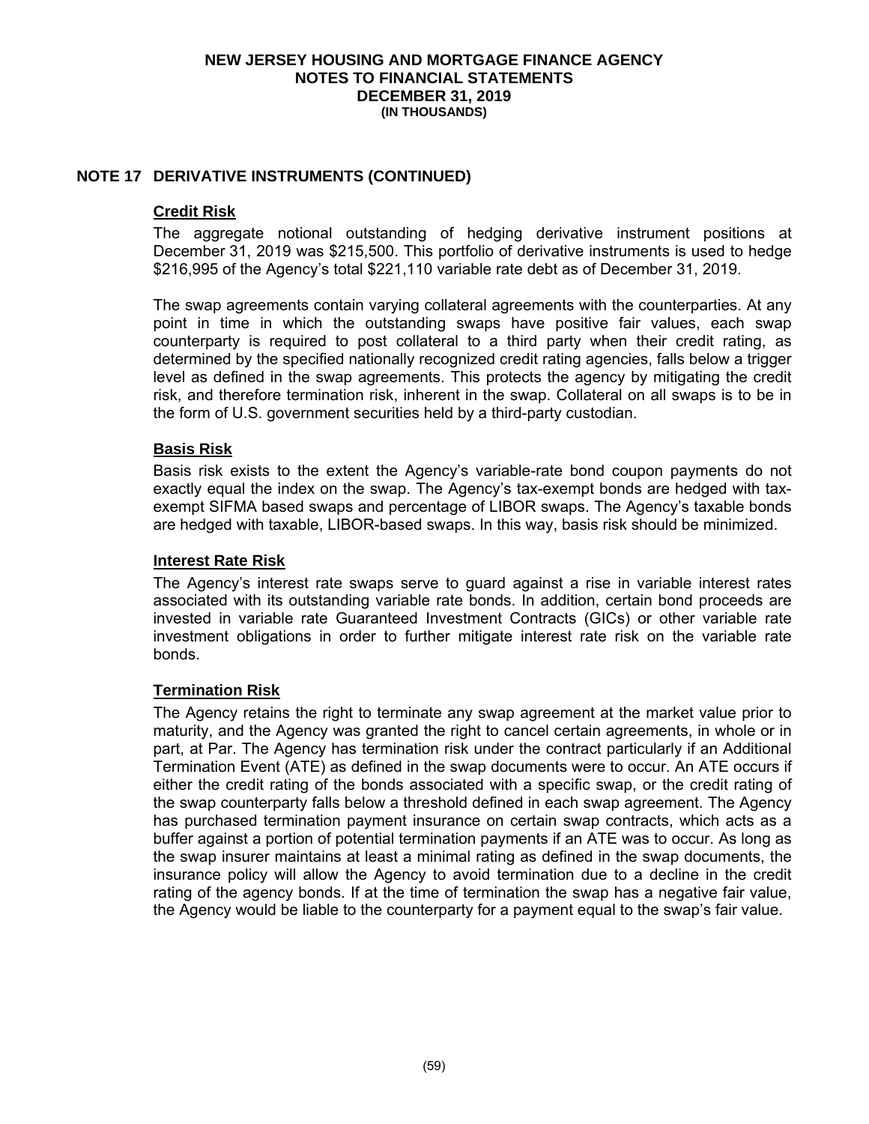## **NOTE 17 DERIVATIVE INSTRUMENTS (CONTINUED)**

### **Credit Risk**

The aggregate notional outstanding of hedging derivative instrument positions at December 31, 2019 was \$215,500. This portfolio of derivative instruments is used to hedge \$216,995 of the Agency's total \$221,110 variable rate debt as of December 31, 2019.

The swap agreements contain varying collateral agreements with the counterparties. At any point in time in which the outstanding swaps have positive fair values, each swap counterparty is required to post collateral to a third party when their credit rating, as determined by the specified nationally recognized credit rating agencies, falls below a trigger level as defined in the swap agreements. This protects the agency by mitigating the credit risk, and therefore termination risk, inherent in the swap. Collateral on all swaps is to be in the form of U.S. government securities held by a third-party custodian.

### **Basis Risk**

Basis risk exists to the extent the Agency's variable-rate bond coupon payments do not exactly equal the index on the swap. The Agency's tax-exempt bonds are hedged with taxexempt SIFMA based swaps and percentage of LIBOR swaps. The Agency's taxable bonds are hedged with taxable, LIBOR-based swaps. In this way, basis risk should be minimized.

### **Interest Rate Risk**

The Agency's interest rate swaps serve to guard against a rise in variable interest rates associated with its outstanding variable rate bonds. In addition, certain bond proceeds are invested in variable rate Guaranteed Investment Contracts (GICs) or other variable rate investment obligations in order to further mitigate interest rate risk on the variable rate bonds.

### **Termination Risk**

The Agency retains the right to terminate any swap agreement at the market value prior to maturity, and the Agency was granted the right to cancel certain agreements, in whole or in part, at Par. The Agency has termination risk under the contract particularly if an Additional Termination Event (ATE) as defined in the swap documents were to occur. An ATE occurs if either the credit rating of the bonds associated with a specific swap, or the credit rating of the swap counterparty falls below a threshold defined in each swap agreement. The Agency has purchased termination payment insurance on certain swap contracts, which acts as a buffer against a portion of potential termination payments if an ATE was to occur. As long as the swap insurer maintains at least a minimal rating as defined in the swap documents, the insurance policy will allow the Agency to avoid termination due to a decline in the credit rating of the agency bonds. If at the time of termination the swap has a negative fair value, the Agency would be liable to the counterparty for a payment equal to the swap's fair value.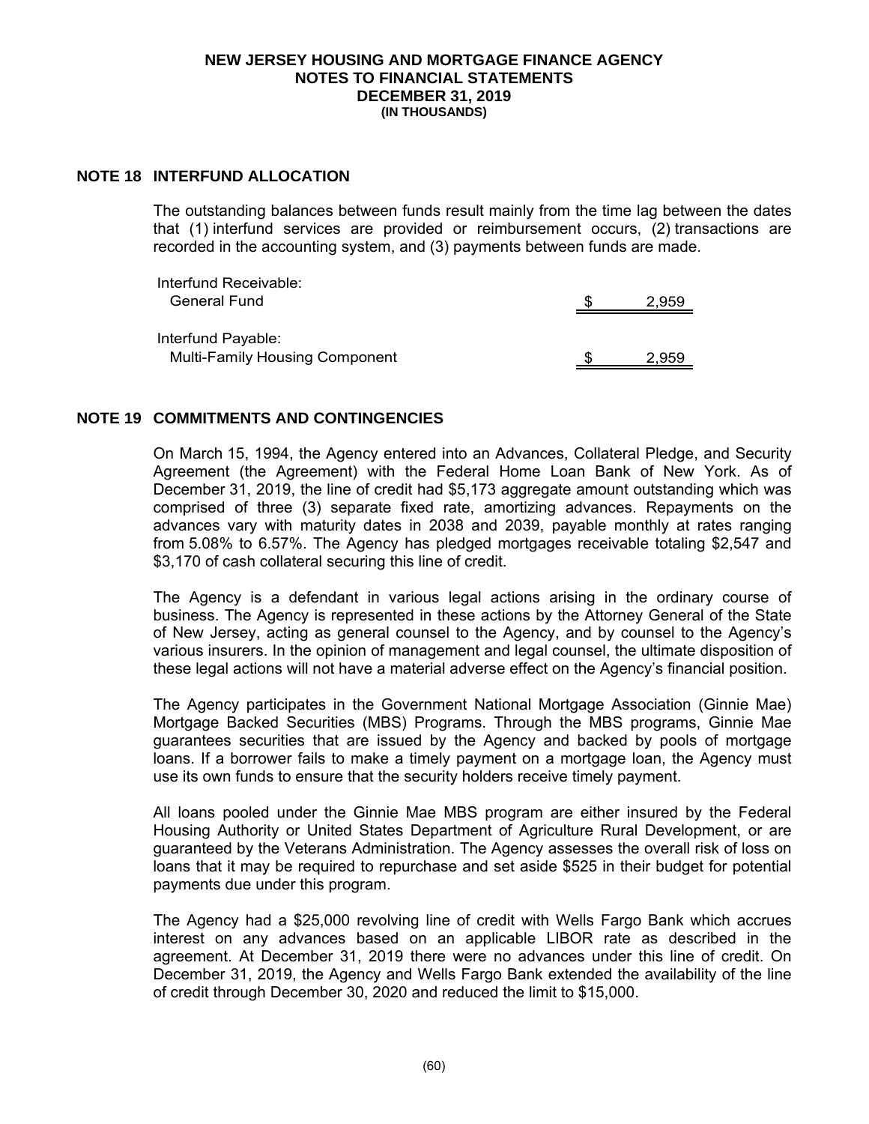### **NOTE 18 INTERFUND ALLOCATION**

The outstanding balances between funds result mainly from the time lag between the dates that (1) interfund services are provided or reimbursement occurs, (2) transactions are recorded in the accounting system, and (3) payments between funds are made.

| Interfund Receivable:                 |       |
|---------------------------------------|-------|
| <b>General Fund</b>                   | 2.959 |
| Interfund Payable:                    |       |
| <b>Multi-Family Housing Component</b> | 2.959 |

### **NOTE 19 COMMITMENTS AND CONTINGENCIES**

On March 15, 1994, the Agency entered into an Advances, Collateral Pledge, and Security Agreement (the Agreement) with the Federal Home Loan Bank of New York. As of December 31, 2019, the line of credit had \$5,173 aggregate amount outstanding which was comprised of three (3) separate fixed rate, amortizing advances. Repayments on the advances vary with maturity dates in 2038 and 2039, payable monthly at rates ranging from 5.08% to 6.57%. The Agency has pledged mortgages receivable totaling \$2,547 and \$3,170 of cash collateral securing this line of credit.

The Agency is a defendant in various legal actions arising in the ordinary course of business. The Agency is represented in these actions by the Attorney General of the State of New Jersey, acting as general counsel to the Agency, and by counsel to the Agency's various insurers. In the opinion of management and legal counsel, the ultimate disposition of these legal actions will not have a material adverse effect on the Agency's financial position.

The Agency participates in the Government National Mortgage Association (Ginnie Mae) Mortgage Backed Securities (MBS) Programs. Through the MBS programs, Ginnie Mae guarantees securities that are issued by the Agency and backed by pools of mortgage loans. If a borrower fails to make a timely payment on a mortgage loan, the Agency must use its own funds to ensure that the security holders receive timely payment.

All loans pooled under the Ginnie Mae MBS program are either insured by the Federal Housing Authority or United States Department of Agriculture Rural Development, or are guaranteed by the Veterans Administration. The Agency assesses the overall risk of loss on loans that it may be required to repurchase and set aside \$525 in their budget for potential payments due under this program.

The Agency had a \$25,000 revolving line of credit with Wells Fargo Bank which accrues interest on any advances based on an applicable LIBOR rate as described in the agreement. At December 31, 2019 there were no advances under this line of credit. On December 31, 2019, the Agency and Wells Fargo Bank extended the availability of the line of credit through December 30, 2020 and reduced the limit to \$15,000.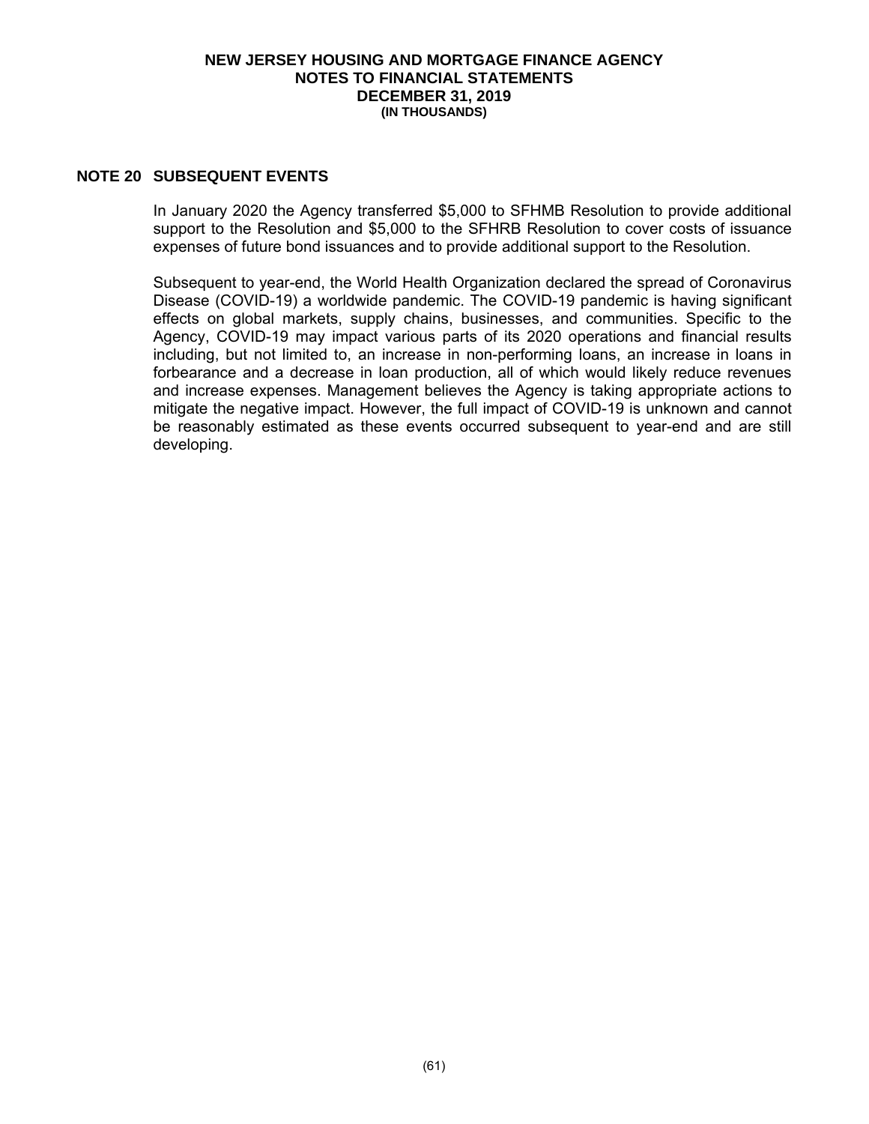### **NOTE 20 SUBSEQUENT EVENTS**

In January 2020 the Agency transferred \$5,000 to SFHMB Resolution to provide additional support to the Resolution and \$5,000 to the SFHRB Resolution to cover costs of issuance expenses of future bond issuances and to provide additional support to the Resolution.

Subsequent to year-end, the World Health Organization declared the spread of Coronavirus Disease (COVID-19) a worldwide pandemic. The COVID-19 pandemic is having significant effects on global markets, supply chains, businesses, and communities. Specific to the Agency, COVID-19 may impact various parts of its 2020 operations and financial results including, but not limited to, an increase in non-performing loans, an increase in loans in forbearance and a decrease in loan production, all of which would likely reduce revenues and increase expenses. Management believes the Agency is taking appropriate actions to mitigate the negative impact. However, the full impact of COVID-19 is unknown and cannot be reasonably estimated as these events occurred subsequent to year-end and are still developing.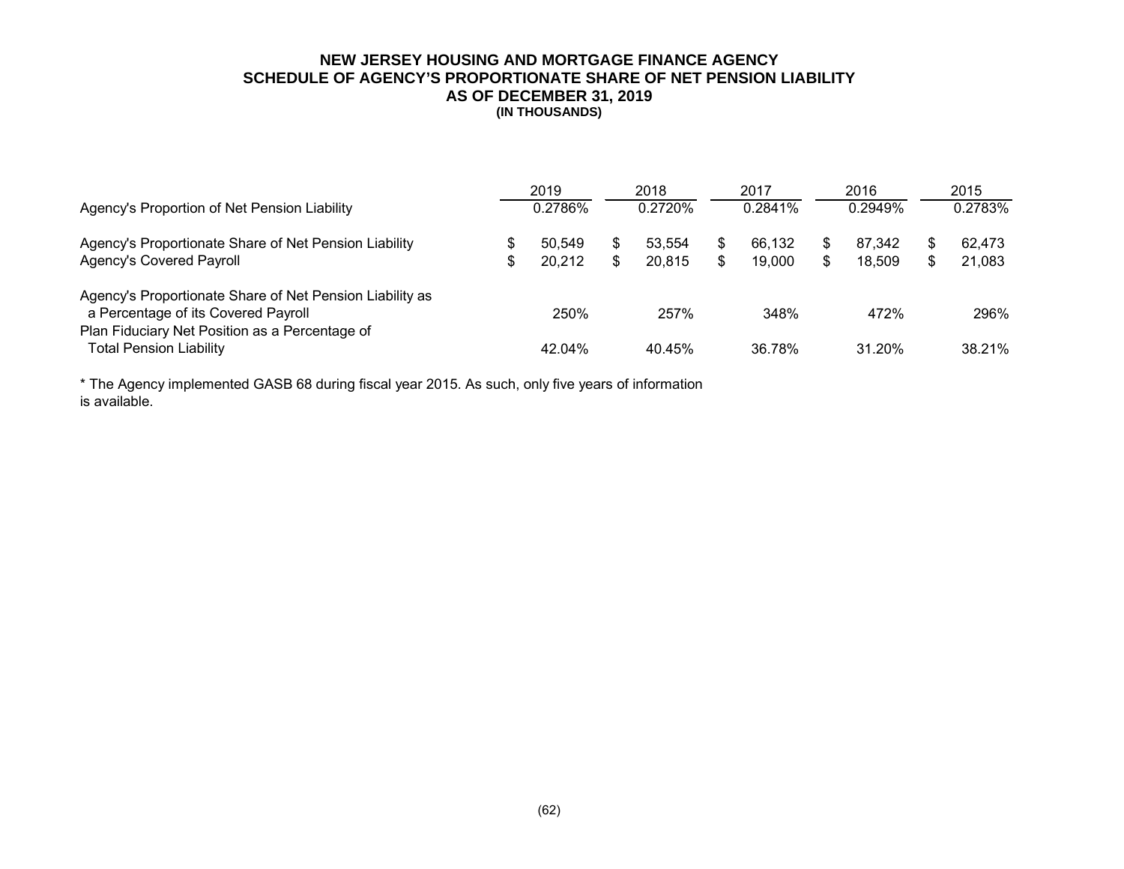### **NEW JERSEY HOUSING AND MORTGAGE FINANCE AGENCY SCHEDULE OF AGENCY'S PROPORTIONATE SHARE OF NET PENSION LIABILITY AS OF DECEMBER 31, 2019 (IN THOUSANDS)**

|                                                          | 2019 |         | 2018 |         | 2017    |     | 2016    |    | 2015    |
|----------------------------------------------------------|------|---------|------|---------|---------|-----|---------|----|---------|
| Agency's Proportion of Net Pension Liability             |      | 0.2786% |      | 0.2720% | 0.2841% |     | 0.2949% |    | 0.2783% |
| Agency's Proportionate Share of Net Pension Liability    |      | 50.549  |      | 53.554  | 66.132  | \$. | 87.342  | S  | 62.473  |
| Agency's Covered Payroll                                 |      | 20,212  |      | 20.815  | 19.000  | \$  | 18,509  | \$ | 21,083  |
| Agency's Proportionate Share of Net Pension Liability as |      |         |      |         |         |     |         |    |         |
| a Percentage of its Covered Payroll                      |      | 250%    |      | 257%    | 348%    |     | 472%    |    | 296%    |
| Plan Fiduciary Net Position as a Percentage of           |      |         |      |         |         |     |         |    |         |
| <b>Total Pension Liability</b>                           |      | 42.04%  |      | 40.45%  | 36.78%  |     | 31.20%  |    | 38.21%  |

is available.\* The Agency implemented GASB 68 during fiscal year 2015. As such, only five years of information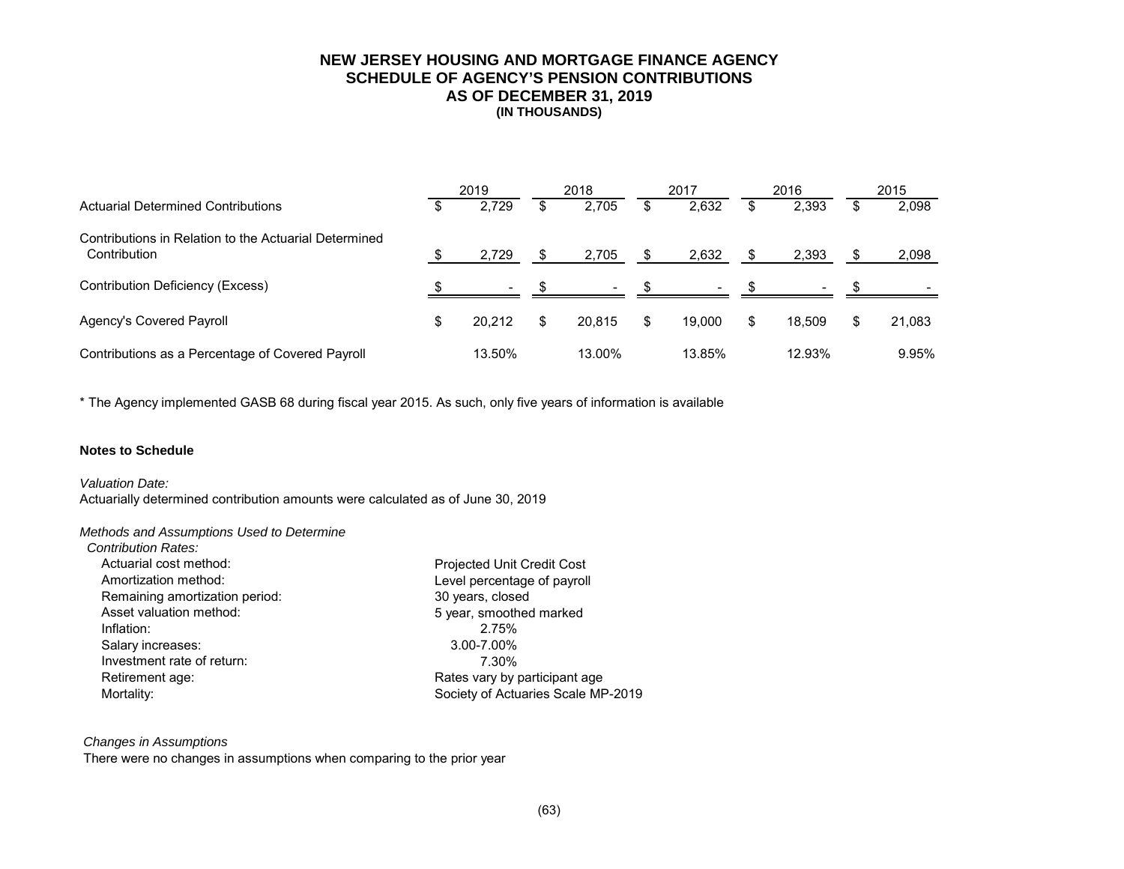### **NEW JERSEY HOUSING AND MORTGAGE FINANCE AGENCY SCHEDULE OF AGENCY'S PENSION CONTRIBUTIONS AS OF DECEMBER 31, 2019 (IN THOUSANDS)**

|                                                                       | 2019 |                          | 2018 |                | 2017 |        | 2016 |        | 2015 |        |
|-----------------------------------------------------------------------|------|--------------------------|------|----------------|------|--------|------|--------|------|--------|
| <b>Actuarial Determined Contributions</b>                             |      | 2.729                    |      | 2.705          |      | 2,632  |      | 2,393  |      | 2,098  |
| Contributions in Relation to the Actuarial Determined<br>Contribution |      | 2,729                    | \$   | 2,705          | \$   | 2,632  | \$   | 2,393  |      | 2,098  |
| <b>Contribution Deficiency (Excess)</b>                               |      | $\overline{\phantom{a}}$ |      | $\blacksquare$ |      |        |      |        |      |        |
| Agency's Covered Payroll                                              | \$   | 20.212                   | \$   | 20.815         | \$   | 19.000 | \$   | 18.509 | \$.  | 21,083 |
| Contributions as a Percentage of Covered Payroll                      |      | 13.50%                   |      | 13.00%         |      | 13.85% |      | 12.93% |      | 9.95%  |

\* The Agency implemented GASB 68 during fiscal year 2015. As such, only five years of information is available

#### **Notes to Schedule**

*Valuation Date:*

Actuarially determined contribution amounts were calculated as of June 30, 2019

#### *Methods and Assumptions Used to Determine*

| <b>Contribution Rates:</b>     |                                    |
|--------------------------------|------------------------------------|
| Actuarial cost method:         | Projected Unit Credit Cost         |
| Amortization method:           | Level percentage of payroll        |
| Remaining amortization period: | 30 years, closed                   |
| Asset valuation method:        | 5 year, smoothed marked            |
| Inflation:                     | 2.75%                              |
| Salary increases:              | 3.00-7.00%                         |
| Investment rate of return:     | 7.30%                              |
| Retirement age:                | Rates vary by participant age      |
| Mortality:                     | Society of Actuaries Scale MP-2019 |
|                                |                                    |

 *Changes in Assumptions* 

There were no changes in assumptions when comparing to the prior year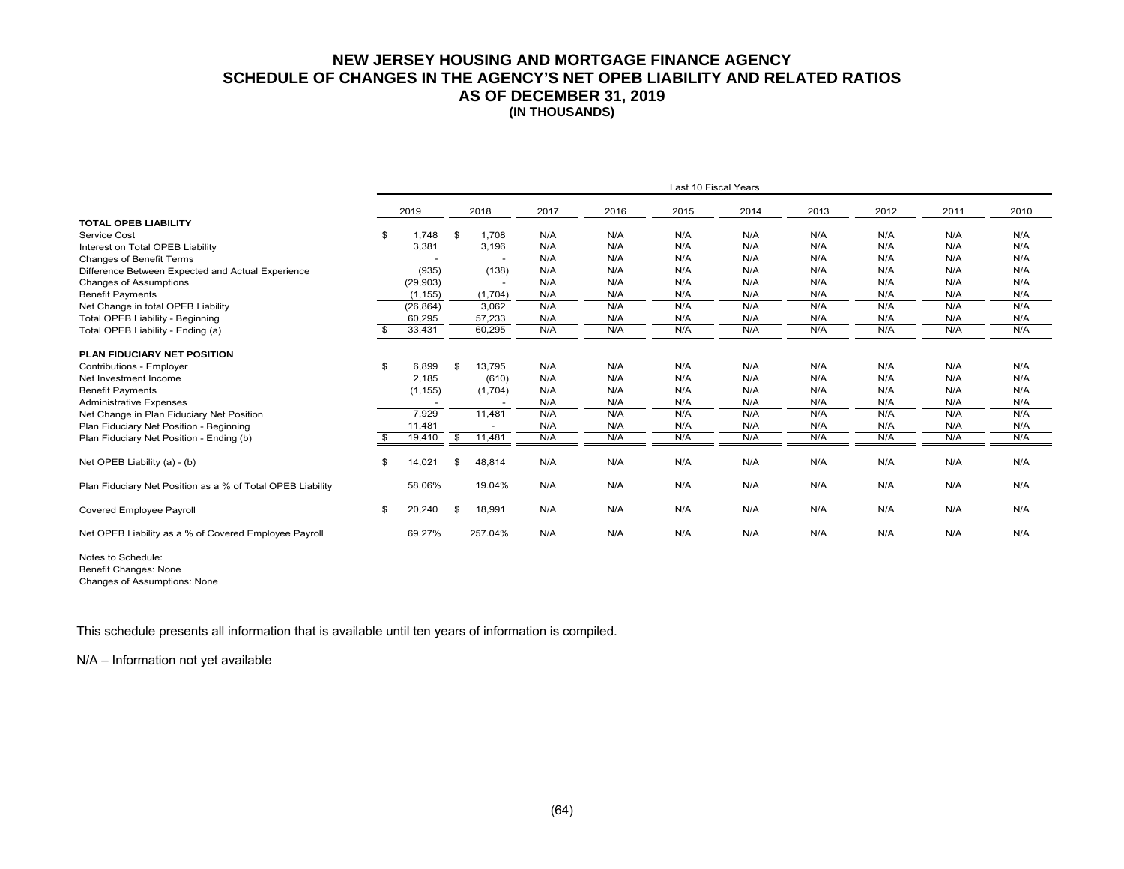#### **NEW JERSEY HOUSING AND MORTGAGE FINANCE AGENCY SCHEDULE OF CHANGES IN THE AGENCY'S NET OPEB LIABILITY AND RELATED RATIOS AS OF DECEMBER 31, 2019 (IN THOUSANDS)**

|                                                            | Last 10 Fiscal Years |           |    |         |      |      |      |      |      |      |      |      |
|------------------------------------------------------------|----------------------|-----------|----|---------|------|------|------|------|------|------|------|------|
|                                                            |                      | 2019      |    | 2018    | 2017 | 2016 | 2015 | 2014 | 2013 | 2012 | 2011 | 2010 |
| <b>TOTAL OPEB LIABILITY</b>                                |                      |           |    |         |      |      |      |      |      |      |      |      |
| Service Cost                                               | \$                   | 1,748     | \$ | 1.708   | N/A  | N/A  | N/A  | N/A  | N/A  | N/A  | N/A  | N/A  |
| Interest on Total OPEB Liability                           |                      | 3,381     |    | 3,196   | N/A  | N/A  | N/A  | N/A  | N/A  | N/A  | N/A  | N/A  |
| <b>Changes of Benefit Terms</b>                            |                      |           |    |         | N/A  | N/A  | N/A  | N/A  | N/A  | N/A  | N/A  | N/A  |
| Difference Between Expected and Actual Experience          |                      | (935)     |    | (138)   | N/A  | N/A  | N/A  | N/A  | N/A  | N/A  | N/A  | N/A  |
| <b>Changes of Assumptions</b>                              |                      | (29,903)  |    |         | N/A  | N/A  | N/A  | N/A  | N/A  | N/A  | N/A  | N/A  |
| <b>Benefit Payments</b>                                    |                      | (1, 155)  |    | (1,704) | N/A  | N/A  | N/A  | N/A  | N/A  | N/A  | N/A  | N/A  |
| Net Change in total OPEB Liability                         |                      | (26, 864) |    | 3.062   | N/A  | N/A  | N/A  | N/A  | N/A  | N/A  | N/A  | N/A  |
| Total OPEB Liability - Beginning                           |                      | 60,295    |    | 57,233  | N/A  | N/A  | N/A  | N/A  | N/A  | N/A  | N/A  | N/A  |
| Total OPEB Liability - Ending (a)                          |                      | 33,431    |    | 60,295  | N/A  | N/A  | N/A  | N/A  | N/A  | N/A  | N/A  | N/A  |
| PLAN FIDUCIARY NET POSITION                                |                      |           |    |         |      |      |      |      |      |      |      |      |
| <b>Contributions - Employer</b>                            | \$                   | 6,899     | \$ | 13,795  | N/A  | N/A  | N/A  | N/A  | N/A  | N/A  | N/A  | N/A  |
| Net Investment Income                                      |                      | 2,185     |    | (610)   | N/A  | N/A  | N/A  | N/A  | N/A  | N/A  | N/A  | N/A  |
| <b>Benefit Payments</b>                                    |                      | (1, 155)  |    | (1,704) | N/A  | N/A  | N/A  | N/A  | N/A  | N/A  | N/A  | N/A  |
| <b>Administrative Expenses</b>                             |                      |           |    |         | N/A  | N/A  | N/A  | N/A  | N/A  | N/A  | N/A  | N/A  |
| Net Change in Plan Fiduciary Net Position                  |                      | 7,929     |    | 11,481  | N/A  | N/A  | N/A  | N/A  | N/A  | N/A  | N/A  | N/A  |
| Plan Fiduciary Net Position - Beginning                    |                      | 11,481    |    |         | N/A  | N/A  | N/A  | N/A  | N/A  | N/A  | N/A  | N/A  |
| Plan Fiduciary Net Position - Ending (b)                   |                      | 19,410    | \$ | 11,481  | N/A  | N/A  | N/A  | N/A  | N/A  | N/A  | N/A  | N/A  |
| Net OPEB Liability (a) - (b)                               | \$                   | 14,021    | \$ | 48,814  | N/A  | N/A  | N/A  | N/A  | N/A  | N/A  | N/A  | N/A  |
| Plan Fiduciary Net Position as a % of Total OPEB Liability |                      | 58.06%    |    | 19.04%  | N/A  | N/A  | N/A  | N/A  | N/A  | N/A  | N/A  | N/A  |
| <b>Covered Employee Payroll</b>                            | \$                   | 20,240    | \$ | 18,991  | N/A  | N/A  | N/A  | N/A  | N/A  | N/A  | N/A  | N/A  |
| Net OPEB Liability as a % of Covered Employee Payroll      |                      | 69.27%    |    | 257.04% | N/A  | N/A  | N/A  | N/A  | N/A  | N/A  | N/A  | N/A  |

Notes to Schedule: Benefit Changes: None Changes of Assumptions: None

This schedule presents all information that is available until ten years of information is compiled.

N/A – Information not yet available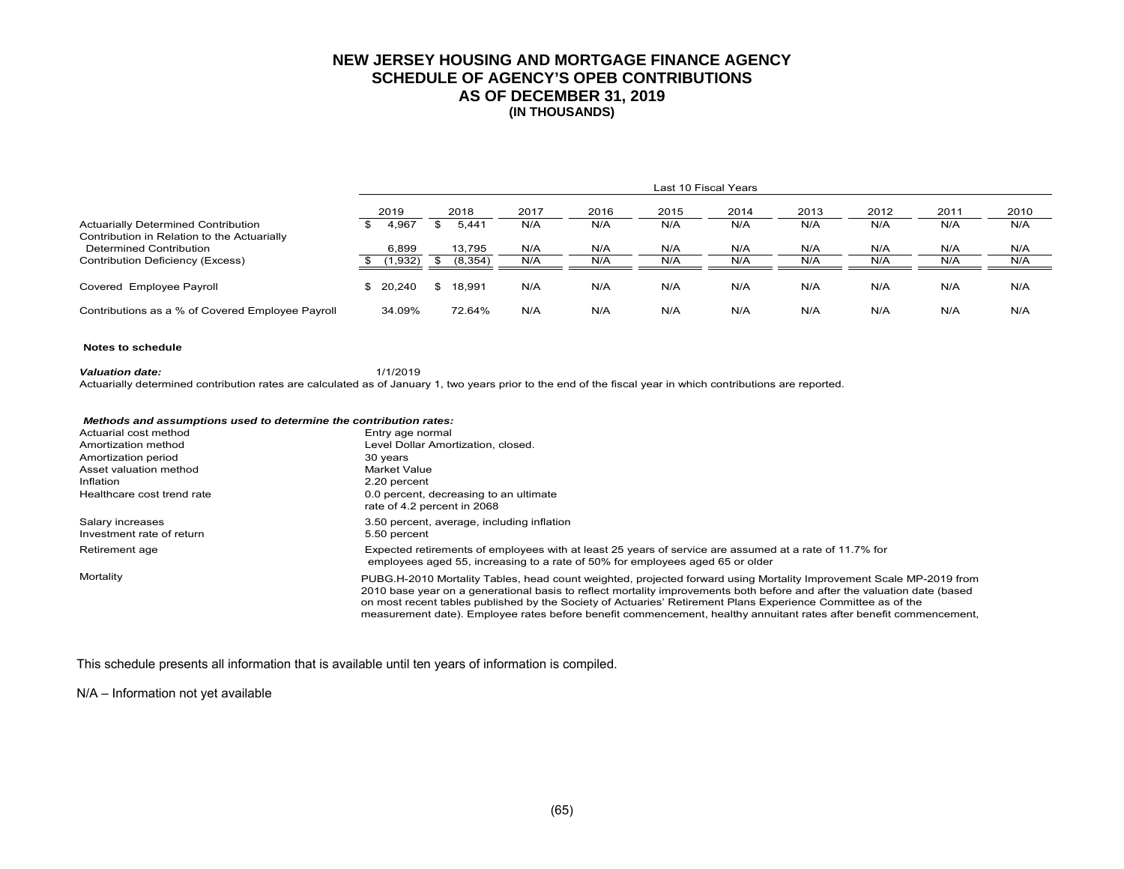#### **NEW JERSEY HOUSING AND MORTGAGE FINANCE AGENCY SCHEDULE OF AGENCY'S OPEB CONTRIBUTIONS AS OF DECEMBER 31, 2019 (IN THOUSANDS)**

|                                                  | Last 10 Fiscal Years |          |  |          |      |      |      |      |      |      |      |      |
|--------------------------------------------------|----------------------|----------|--|----------|------|------|------|------|------|------|------|------|
|                                                  |                      | 2019     |  | 2018     | 2017 | 2016 | 2015 | 2014 | 2013 | 2012 | 2011 | 2010 |
| <b>Actuarially Determined Contribution</b>       |                      | 4,967    |  | 5,441    | N/A  | N/A  | N/A  | N/A  | N/A  | N/A  | N/A  | N/A  |
| Contribution in Relation to the Actuarially      |                      |          |  |          |      |      |      |      |      |      |      |      |
| Determined Contribution                          |                      | 6,899    |  | 13.795   | N/A  | N/A  | N/A  | N/A  | N/A  | N/A  | N/A  | N/A  |
| Contribution Deficiency (Excess)                 |                      | (1,932)  |  | (8, 354) | N/A  | N/A  | N/A  | N/A  | N/A  | N/A  | N/A  | N/A  |
|                                                  |                      |          |  |          |      |      |      |      |      |      |      |      |
| Covered Employee Payroll                         |                      | \$20,240 |  | 18,991   | N/A  | N/A  | N/A  | N/A  | N/A  | N/A  | N/A  | N/A  |
|                                                  |                      |          |  |          |      |      |      |      |      |      |      |      |
| Contributions as a % of Covered Employee Payroll |                      | 34.09%   |  | 72.64%   | N/A  | N/A  | N/A  | N/A  | N/A  | N/A  | N/A  | N/A  |

#### **Notes to schedule**

*Valuation date:* 1/1/2019Actuarially determined contribution rates are calculated as of January 1, two years prior to the end of the fiscal year in which contributions are reported.

#### *Methods and assumptions used to determine the contribution rates:*

| Actuarial cost method      | Entry age normal                                                                                                                                                                                                                                                                                                                                                                                                                                                                      |
|----------------------------|---------------------------------------------------------------------------------------------------------------------------------------------------------------------------------------------------------------------------------------------------------------------------------------------------------------------------------------------------------------------------------------------------------------------------------------------------------------------------------------|
| Amortization method        | Level Dollar Amortization, closed.                                                                                                                                                                                                                                                                                                                                                                                                                                                    |
| Amortization period        | 30 years                                                                                                                                                                                                                                                                                                                                                                                                                                                                              |
| Asset valuation method     | <b>Market Value</b>                                                                                                                                                                                                                                                                                                                                                                                                                                                                   |
| Inflation                  | 2.20 percent                                                                                                                                                                                                                                                                                                                                                                                                                                                                          |
| Healthcare cost trend rate | 0.0 percent, decreasing to an ultimate                                                                                                                                                                                                                                                                                                                                                                                                                                                |
|                            | rate of 4.2 percent in 2068                                                                                                                                                                                                                                                                                                                                                                                                                                                           |
| Salary increases           | 3.50 percent, average, including inflation                                                                                                                                                                                                                                                                                                                                                                                                                                            |
| Investment rate of return  | 5.50 percent                                                                                                                                                                                                                                                                                                                                                                                                                                                                          |
| Retirement age             | Expected retirements of employees with at least 25 years of service are assumed at a rate of 11.7% for<br>employees aged 55, increasing to a rate of 50% for employees aged 65 or older                                                                                                                                                                                                                                                                                               |
| Mortality                  | PUBG.H-2010 Mortality Tables, head count weighted, projected forward using Mortality Improvement Scale MP-2019 from<br>2010 base year on a generational basis to reflect mortality improvements both before and after the valuation date (based<br>on most recent tables published by the Society of Actuaries' Retirement Plans Experience Committee as of the<br>measurement date). Employee rates before benefit commencement, healthy annuitant rates after benefit commencement, |

This schedule presents all information that is available until ten years of information is compiled.

#### N/A – Information not yet available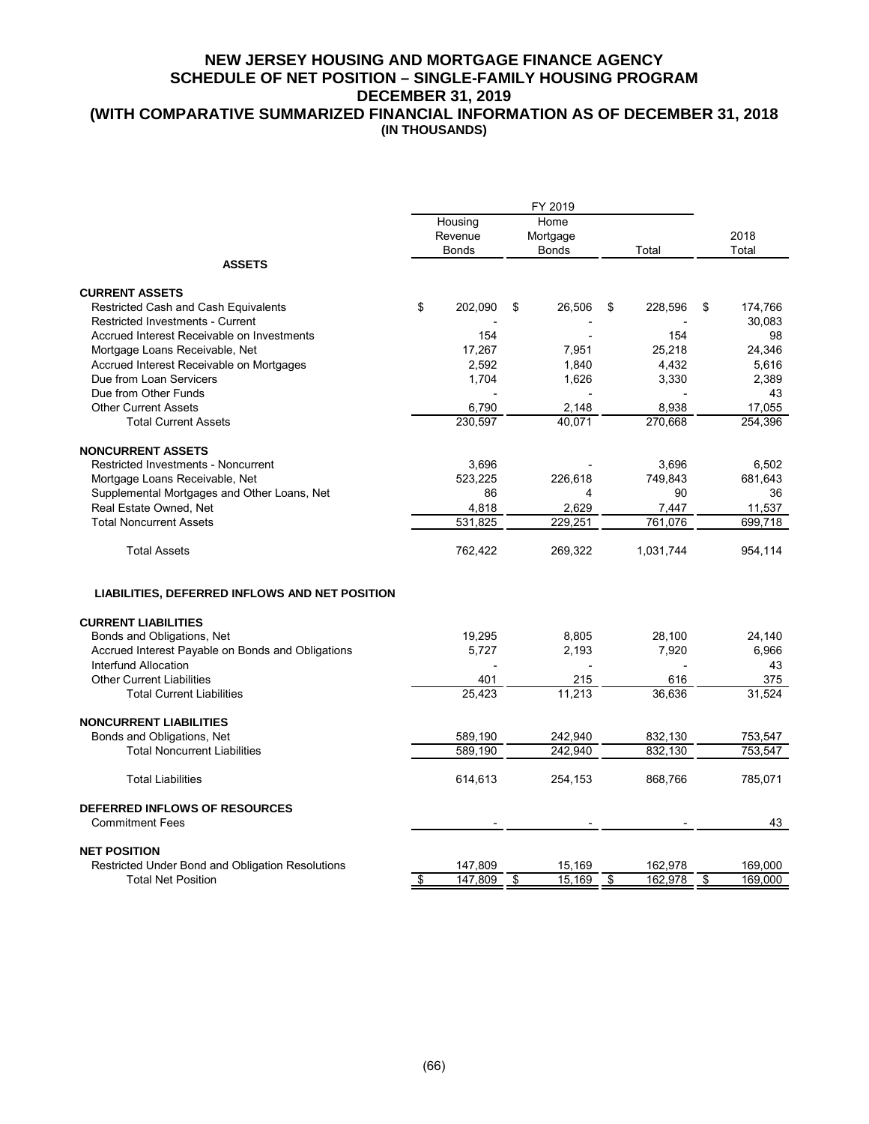# **NEW JERSEY HOUSING AND MORTGAGE FINANCE AGENCY SCHEDULE OF NET POSITION – SINGLE-FAMILY HOUSING PROGRAM DECEMBER 31, 2019**

**(WITH COMPARATIVE SUMMARIZED FINANCIAL INFORMATION AS OF DECEMBER 31, 2018 (IN THOUSANDS)** 

|                                                         | Housing       | Home         |               |               |
|---------------------------------------------------------|---------------|--------------|---------------|---------------|
|                                                         | Revenue       | Mortgage     |               | 2018          |
|                                                         | <b>Bonds</b>  | <b>Bonds</b> | Total         | Total         |
| <b>ASSETS</b>                                           |               |              |               |               |
| <b>CURRENT ASSETS</b>                                   |               |              |               |               |
| Restricted Cash and Cash Equivalents                    | \$<br>202,090 | \$<br>26,506 | \$<br>228,596 | \$<br>174,766 |
| <b>Restricted Investments - Current</b>                 |               |              |               | 30,083        |
| Accrued Interest Receivable on Investments              | 154           |              | 154           | 98            |
| Mortgage Loans Receivable, Net                          | 17,267        | 7,951        | 25.218        | 24,346        |
| Accrued Interest Receivable on Mortgages                | 2,592         | 1,840        | 4,432         | 5,616         |
| Due from Loan Servicers                                 | 1,704         | 1,626        | 3,330         | 2,389         |
| Due from Other Funds                                    |               |              |               | 43            |
| <b>Other Current Assets</b>                             | 6,790         | 2,148        | 8,938         | 17,055        |
| <b>Total Current Assets</b>                             | 230.597       | 40.071       | 270.668       | 254,396       |
| <b>NONCURRENT ASSETS</b>                                |               |              |               |               |
| Restricted Investments - Noncurrent                     | 3,696         |              | 3,696         | 6,502         |
| Mortgage Loans Receivable, Net                          | 523,225       | 226,618      | 749,843       | 681,643       |
| Supplemental Mortgages and Other Loans, Net             | 86            | 4            | 90            | 36            |
| Real Estate Owned, Net                                  | 4,818         | 2,629        | 7,447         | 11,537        |
| <b>Total Noncurrent Assets</b>                          | 531,825       | 229,251      | 761,076       | 699,718       |
| <b>Total Assets</b>                                     | 762,422       | 269,322      | 1,031,744     | 954,114       |
| LIABILITIES, DEFERRED INFLOWS AND NET POSITION          |               |              |               |               |
| <b>CURRENT LIABILITIES</b>                              |               |              |               |               |
| Bonds and Obligations, Net                              | 19,295        | 8,805        | 28,100        | 24,140        |
| Accrued Interest Payable on Bonds and Obligations       | 5.727         | 2,193        | 7,920         | 6.966         |
| Interfund Allocation                                    |               |              |               | 43            |
| <b>Other Current Liabilities</b>                        | 401           | 215          | 616           | 375           |
| <b>Total Current Liabilities</b>                        | 25,423        | 11,213       | 36,636        | 31,524        |
| <b>NONCURRENT LIABILITIES</b>                           |               |              |               |               |
| Bonds and Obligations, Net                              | 589,190       | 242,940      | 832,130       | 753,547       |
| <b>Total Noncurrent Liabilities</b>                     | 589,190       | 242,940      | 832,130       | 753,547       |
| <b>Total Liabilities</b>                                | 614,613       | 254,153      | 868,766       | 785,071       |
| DEFERRED INFLOWS OF RESOURCES                           |               |              |               |               |
| <b>Commitment Fees</b>                                  |               |              |               | 43            |
| <b>NET POSITION</b>                                     |               |              |               |               |
| <b>Restricted Under Bond and Obligation Resolutions</b> | 147,809       | 15,169       | 162,978       | 169,000       |
| <b>Total Net Position</b>                               | \$<br>147,809 | \$<br>15,169 | \$<br>162,978 | \$<br>169,000 |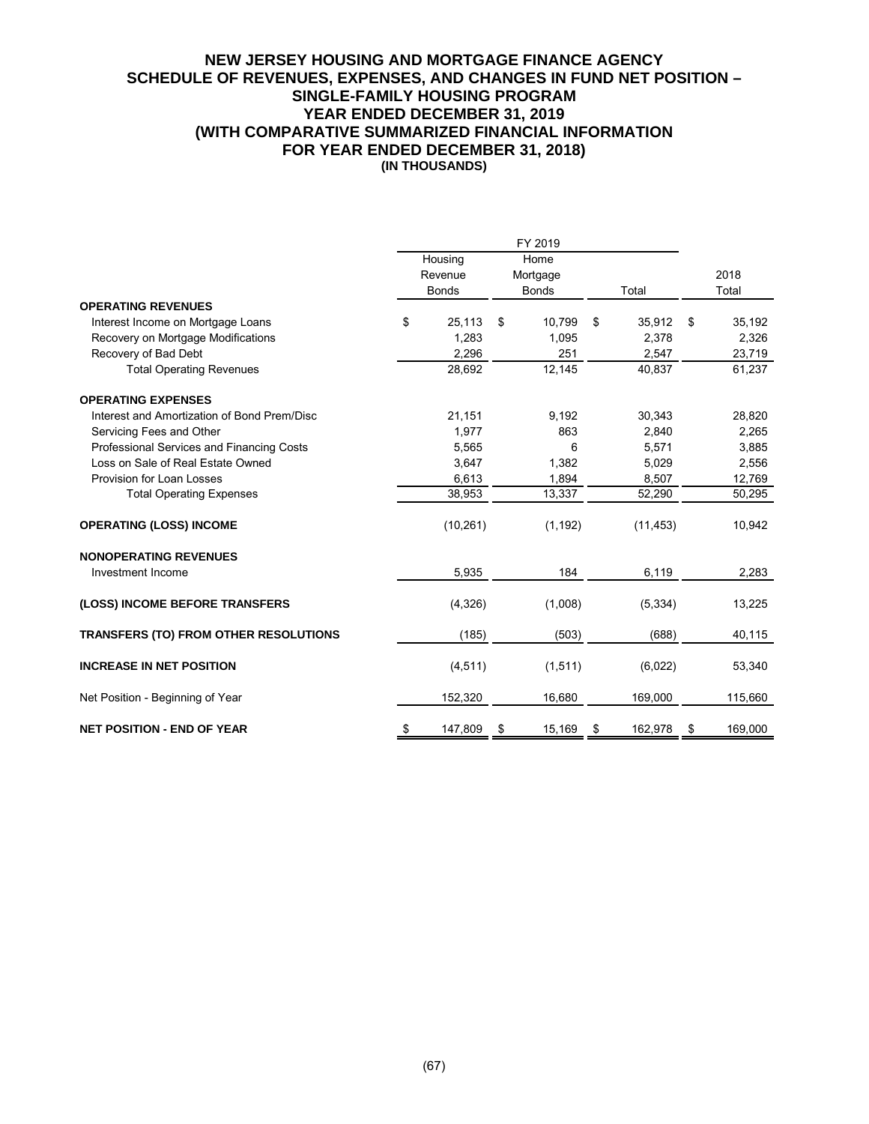### **NEW JERSEY HOUSING AND MORTGAGE FINANCE AGENCY SCHEDULE OF REVENUES, EXPENSES, AND CHANGES IN FUND NET POSITION – SINGLE-FAMILY HOUSING PROGRAM YEAR ENDED DECEMBER 31, 2019 (WITH COMPARATIVE SUMMARIZED FINANCIAL INFORMATION FOR YEAR ENDED DECEMBER 31, 2018) (IN THOUSANDS)**

|                                              |    | Housing      | Home         |               |               |
|----------------------------------------------|----|--------------|--------------|---------------|---------------|
|                                              |    | Revenue      | Mortgage     |               | 2018          |
|                                              |    | <b>Bonds</b> | <b>Bonds</b> | Total         | Total         |
| <b>OPERATING REVENUES</b>                    |    |              |              |               |               |
| Interest Income on Mortgage Loans            | \$ | 25,113       | \$<br>10,799 | \$<br>35,912  | \$<br>35,192  |
| Recovery on Mortgage Modifications           |    | 1,283        | 1.095        | 2.378         | 2,326         |
| Recovery of Bad Debt                         |    | 2,296        | 251          | 2,547         | 23,719        |
| <b>Total Operating Revenues</b>              |    | 28,692       | 12,145       | 40.837        | 61,237        |
| <b>OPERATING EXPENSES</b>                    |    |              |              |               |               |
| Interest and Amortization of Bond Prem/Disc  |    | 21,151       | 9,192        | 30,343        | 28,820        |
| Servicing Fees and Other                     |    | 1,977        | 863          | 2.840         | 2,265         |
| Professional Services and Financing Costs    |    | 5,565        | 6            | 5,571         | 3,885         |
| Loss on Sale of Real Estate Owned            |    | 3,647        | 1,382        | 5,029         | 2,556         |
| Provision for Loan Losses                    |    | 6,613        | 1,894        | 8,507         | 12,769        |
| <b>Total Operating Expenses</b>              |    | 38,953       | 13,337       | 52,290        | 50,295        |
| <b>OPERATING (LOSS) INCOME</b>               |    | (10, 261)    | (1, 192)     | (11, 453)     | 10,942        |
| <b>NONOPERATING REVENUES</b>                 |    |              |              |               |               |
| Investment Income                            |    | 5,935        | 184          | 6,119         | 2,283         |
| (LOSS) INCOME BEFORE TRANSFERS               |    | (4,326)      | (1,008)      | (5, 334)      | 13,225        |
| <b>TRANSFERS (TO) FROM OTHER RESOLUTIONS</b> |    | (185)        | (503)        | (688)         | 40,115        |
| <b>INCREASE IN NET POSITION</b>              |    | (4, 511)     | (1,511)      | (6,022)       | 53,340        |
| Net Position - Beginning of Year             |    | 152,320      | 16,680       | 169,000       | 115,660       |
| <b>NET POSITION - END OF YEAR</b>            | \$ | 147,809      | \$<br>15,169 | \$<br>162,978 | \$<br>169,000 |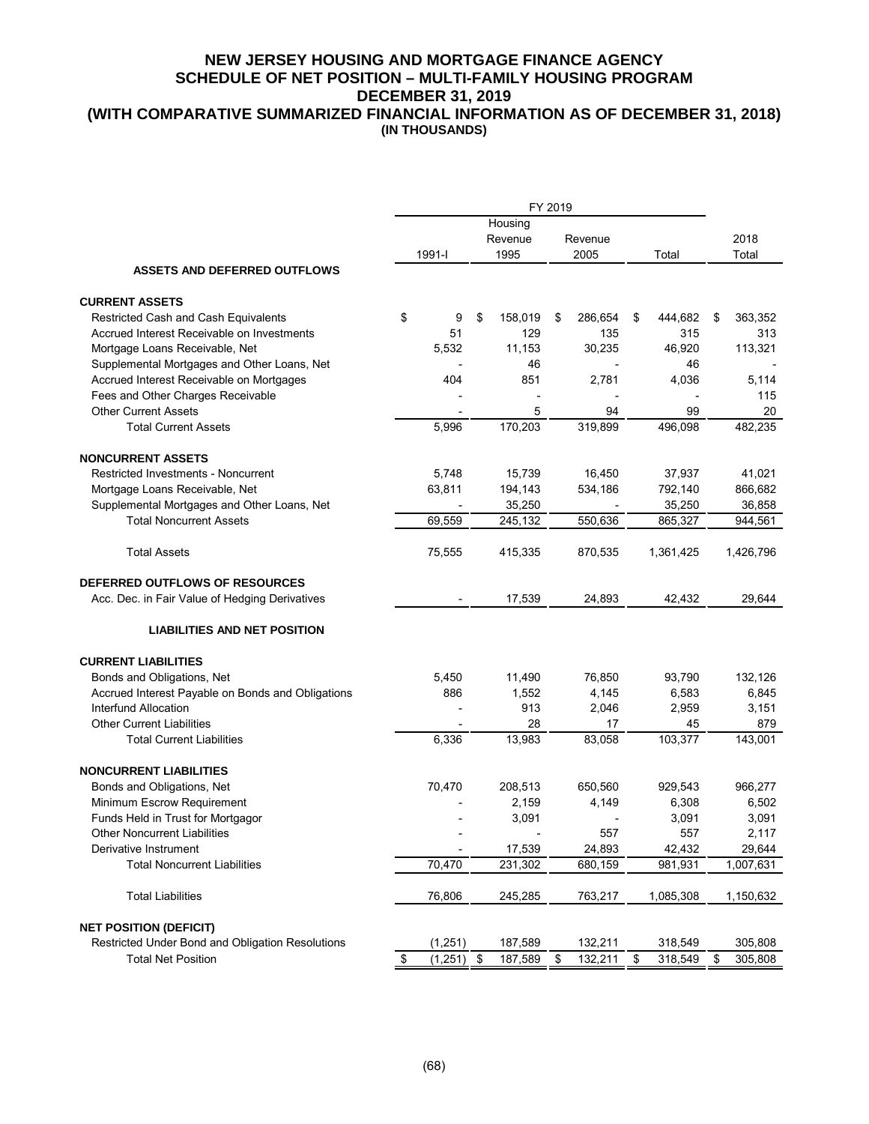### **NEW JERSEY HOUSING AND MORTGAGE FINANCE AGENCY SCHEDULE OF NET POSITION – MULTI-FAMILY HOUSING PROGRAM DECEMBER 31, 2019 (WITH COMPARATIVE SUMMARIZED FINANCIAL INFORMATION AS OF DECEMBER 31, 2018)**

**(IN THOUSANDS)** 

|                                                   | FY 2019 |                               |      |         |      |         |    |           |    |           |
|---------------------------------------------------|---------|-------------------------------|------|---------|------|---------|----|-----------|----|-----------|
|                                                   |         | Housing<br>Revenue<br>Revenue |      |         |      |         |    |           |    | 2018      |
|                                                   | 1991-l  |                               | 1995 |         | 2005 |         |    | Total     |    | Total     |
| <b>ASSETS AND DEFERRED OUTFLOWS</b>               |         |                               |      |         |      |         |    |           |    |           |
| <b>CURRENT ASSETS</b>                             |         |                               |      |         |      |         |    |           |    |           |
| Restricted Cash and Cash Equivalents              | \$      | 9                             | \$   | 158,019 | \$   | 286,654 | \$ | 444,682   | \$ | 363,352   |
| Accrued Interest Receivable on Investments        |         | 51                            |      | 129     |      | 135     |    | 315       |    | 313       |
| Mortgage Loans Receivable, Net                    |         | 5,532                         |      | 11,153  |      | 30,235  |    | 46,920    |    | 113,321   |
| Supplemental Mortgages and Other Loans, Net       |         |                               |      | 46      |      |         |    | 46        |    |           |
| Accrued Interest Receivable on Mortgages          |         | 404                           |      | 851     |      | 2,781   |    | 4,036     |    | 5,114     |
| Fees and Other Charges Receivable                 |         |                               |      |         |      |         |    |           |    | 115       |
| <b>Other Current Assets</b>                       |         |                               |      | 5       |      | 94      |    | 99        |    | 20        |
| <b>Total Current Assets</b>                       |         | 5,996                         |      | 170,203 |      | 319,899 |    | 496,098   |    | 482,235   |
| <b>NONCURRENT ASSETS</b>                          |         |                               |      |         |      |         |    |           |    |           |
| <b>Restricted Investments - Noncurrent</b>        |         | 5,748                         |      | 15,739  |      | 16,450  |    | 37,937    |    | 41,021    |
| Mortgage Loans Receivable, Net                    |         | 63,811                        |      | 194,143 |      | 534,186 |    | 792,140   |    | 866,682   |
| Supplemental Mortgages and Other Loans, Net       |         |                               |      | 35,250  |      |         |    | 35.250    |    | 36,858    |
| <b>Total Noncurrent Assets</b>                    |         | 69,559                        |      | 245,132 |      | 550,636 |    | 865,327   |    | 944,561   |
| <b>Total Assets</b>                               |         | 75,555                        |      | 415,335 |      | 870,535 |    | 1,361,425 |    | 1,426,796 |
| DEFERRED OUTFLOWS OF RESOURCES                    |         |                               |      |         |      |         |    |           |    |           |
| Acc. Dec. in Fair Value of Hedging Derivatives    |         |                               |      | 17,539  |      | 24,893  |    | 42,432    |    | 29,644    |
| <b>LIABILITIES AND NET POSITION</b>               |         |                               |      |         |      |         |    |           |    |           |
| <b>CURRENT LIABILITIES</b>                        |         |                               |      |         |      |         |    |           |    |           |
| Bonds and Obligations, Net                        |         | 5,450                         |      | 11,490  |      | 76,850  |    | 93,790    |    | 132,126   |
| Accrued Interest Payable on Bonds and Obligations |         | 886                           |      | 1,552   |      | 4,145   |    | 6,583     |    | 6,845     |
| <b>Interfund Allocation</b>                       |         |                               |      | 913     |      | 2,046   |    | 2,959     |    | 3,151     |
| <b>Other Current Liabilities</b>                  |         |                               |      | 28      |      | 17      |    | 45        |    | 879       |
| <b>Total Current Liabilities</b>                  |         | 6,336                         |      | 13,983  |      | 83,058  |    | 103,377   |    | 143,001   |
| <b>NONCURRENT LIABILITIES</b>                     |         |                               |      |         |      |         |    |           |    |           |
| Bonds and Obligations, Net                        |         | 70,470                        |      | 208,513 |      | 650,560 |    | 929,543   |    | 966,277   |
| Minimum Escrow Requirement                        |         |                               |      | 2,159   |      | 4,149   |    | 6,308     |    | 6,502     |
| Funds Held in Trust for Mortgagor                 |         |                               |      | 3,091   |      |         |    | 3,091     |    | 3,091     |
| <b>Other Noncurrent Liabilities</b>               |         |                               |      |         |      | 557     |    | 55/       |    | 2,117     |
| Derivative Instrument                             |         |                               |      | 17,539  |      | 24,893  |    | 42,432    |    | 29,644    |
| <b>Total Noncurrent Liabilities</b>               |         | 70,470                        |      | 231,302 |      | 680,159 |    | 981,931   |    | 1,007,631 |
| <b>Total Liabilities</b>                          |         | 76,806                        |      | 245,285 |      | 763,217 |    | 1,085,308 |    | 1,150,632 |
| <b>NET POSITION (DEFICIT)</b>                     |         |                               |      |         |      |         |    |           |    |           |
| Restricted Under Bond and Obligation Resolutions  |         | (1, 251)                      |      | 187,589 |      | 132,211 |    | 318,549   |    | 305,808   |
| <b>Total Net Position</b>                         | \$      | (1, 251)                      | \$   | 187,589 | \$   | 132,211 | \$ | 318,549   | \$ | 305,808   |